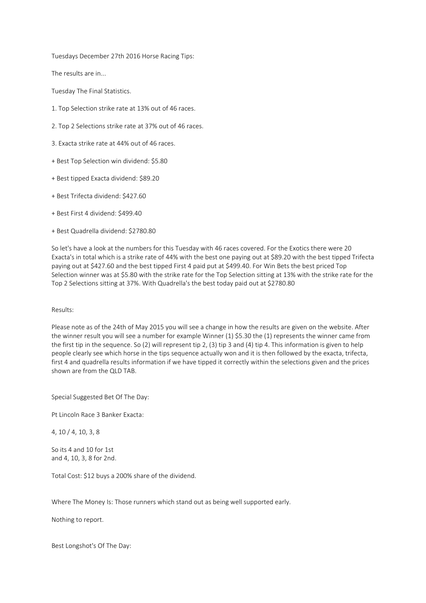Tuesdays December 27th 2016 Horse Racing Tips:

The results are in...

Tuesday The Final Statistics.

- 1. Top Selection strike rate at 13% out of 46 races.
- 2. Top 2 Selections strike rate at 37% out of 46 races.
- 3. Exacta strike rate at 44% out of 46 races.
- + Best Top Selection win dividend: \$5.80
- + Best tipped Exacta dividend: \$89.20
- + Best Trifecta dividend: \$427.60
- + Best First 4 dividend: \$499.40
- + Best Quadrella dividend: \$2780.80

So let's have a look at the numbers for this Tuesday with 46 races covered. For the Exotics there were 20 Exacta's in total which is a strike rate of 44% with the best one paying out at \$89.20 with the best tipped Trifecta paying out at \$427.60 and the best tipped First 4 paid put at \$499.40. For Win Bets the best priced Top Selection winner was at \$5.80 with the strike rate for the Top Selection sitting at 13% with the strike rate for the Top 2 Selections sitting at 37%. With Quadrella's the best today paid out at \$2780.80

### Results:

Please note as of the 24th of May 2015 you will see a change in how the results are given on the website. After the winner result you will see a number for example Winner (1) \$5.30 the (1) represents the winner came from the first tip in the sequence. So (2) will represent tip 2, (3) tip 3 and (4) tip 4. This information is given to help people clearly see which horse in the tips sequence actually won and it is then followed by the exacta, trifecta, first 4 and quadrella results information if we have tipped it correctly within the selections given and the prices shown are from the QLD TAB.

Special Suggested Bet Of The Day:

Pt Lincoln Race 3 Banker Exacta:

4, 10 / 4, 10, 3, 8

So its 4 and 10 for 1st and 4, 10, 3, 8 for 2nd.

Total Cost: \$12 buys a 200% share of the dividend.

Where The Money Is: Those runners which stand out as being well supported early.

Nothing to report.

Best Longshot's Of The Day: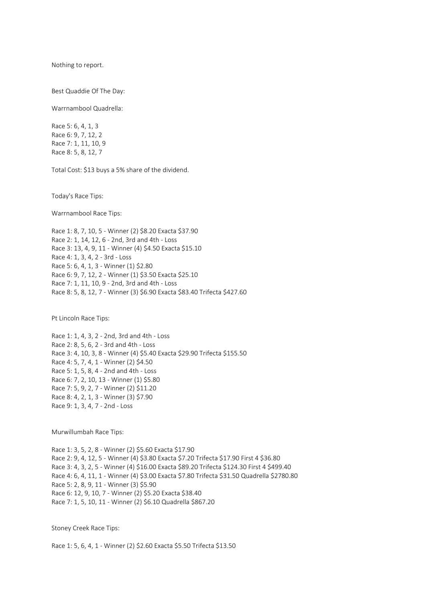Nothing to report.

Best Quaddie Of The Day:

Warrnambool Quadrella:

Race 5: 6, 4, 1, 3 Race 6: 9, 7, 12, 2 Race 7: 1, 11, 10, 9 Race 8: 5, 8, 12, 7

Total Cost: \$13 buys a 5% share of the dividend.

Today's Race Tips:

Warrnambool Race Tips:

Race 1: 8, 7, 10, 5 - Winner (2) \$8.20 Exacta \$37.90 Race 2: 1, 14, 12, 6 - 2nd, 3rd and 4th - Loss Race 3: 13, 4, 9, 11 - Winner (4) \$4.50 Exacta \$15.10 Race 4: 1, 3, 4, 2 - 3rd - Loss Race 5: 6, 4, 1, 3 - Winner (1) \$2.80 Race 6: 9, 7, 12, 2 - Winner (1) \$3.50 Exacta \$25.10 Race 7: 1, 11, 10, 9 - 2nd, 3rd and 4th - Loss Race 8: 5, 8, 12, 7 - Winner (3) \$6.90 Exacta \$83.40 Trifecta \$427.60

Pt Lincoln Race Tips:

Race 1: 1, 4, 3, 2 - 2nd, 3rd and 4th - Loss Race 2: 8, 5, 6, 2 - 3rd and 4th - Loss Race 3: 4, 10, 3, 8 - Winner (4) \$5.40 Exacta \$29.90 Trifecta \$155.50 Race 4: 5, 7, 4, 1 - Winner (2) \$4.50 Race 5: 1, 5, 8, 4 - 2nd and 4th - Loss Race 6: 7, 2, 10, 13 - Winner (1) \$5.80 Race 7: 5, 9, 2, 7 - Winner (2) \$11.20 Race 8: 4, 2, 1, 3 - Winner (3) \$7.90 Race 9: 1, 3, 4, 7 - 2nd - Loss

Murwillumbah Race Tips:

Race 1: 3, 5, 2, 8 - Winner (2) \$5.60 Exacta \$17.90 Race 2: 9, 4, 12, 5 - Winner (4) \$3.80 Exacta \$7.20 Trifecta \$17.90 First 4 \$36.80 Race 3: 4, 3, 2, 5 - Winner (4) \$16.00 Exacta \$89.20 Trifecta \$124.30 First 4 \$499.40 Race 4: 6, 4, 11, 1 - Winner (4) \$3.00 Exacta \$7.80 Trifecta \$31.50 Quadrella \$2780.80 Race 5: 2, 8, 9, 11 - Winner (3) \$5.90 Race 6: 12, 9, 10, 7 - Winner (2) \$5.20 Exacta \$38.40 Race 7: 1, 5, 10, 11 - Winner (2) \$6.10 Quadrella \$867.20

Stoney Creek Race Tips:

Race 1: 5, 6, 4, 1 - Winner (2) \$2.60 Exacta \$5.50 Trifecta \$13.50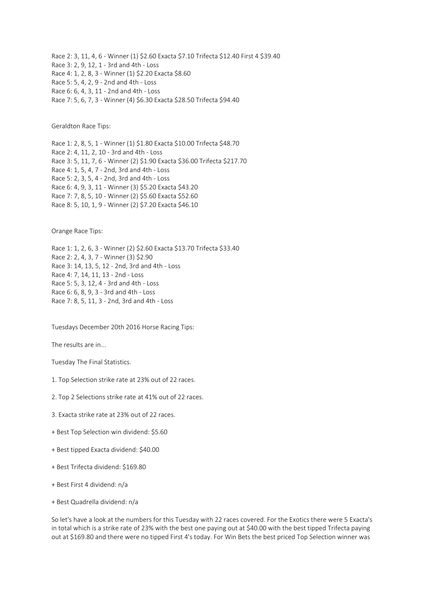Race 2: 3, 11, 4, 6 - Winner (1) \$2.60 Exacta \$7.10 Trifecta \$12.40 First 4 \$39.40 Race 3: 2, 9, 12, 1 - 3rd and 4th - Loss Race 4: 1, 2, 8, 3 - Winner (1) \$2.20 Exacta \$8.60 Race 5: 5, 4, 2, 9 - 2nd and 4th - Loss Race 6: 6, 4, 3, 11 - 2nd and 4th - Loss Race 7: 5, 6, 7, 3 - Winner (4) \$6.30 Exacta \$28.50 Trifecta \$94.40

Geraldton Race Tips:

Race 1: 2, 8, 5, 1 - Winner (1) \$1.80 Exacta \$10.00 Trifecta \$48.70 Race 2: 4, 11, 2, 10 - 3rd and 4th - Loss Race 3: 5, 11, 7, 6 - Winner (2) \$1.90 Exacta \$36.00 Trifecta \$217.70 Race 4: 1, 5, 4, 7 - 2nd, 3rd and 4th - Loss Race 5: 2, 3, 5, 4 - 2nd, 3rd and 4th - Loss Race 6: 4, 9, 3, 11 - Winner (3) \$5.20 Exacta \$43.20 Race 7: 7, 8, 5, 10 - Winner (2) \$5.60 Exacta \$52.60 Race 8: 5, 10, 1, 9 - Winner (2) \$7.20 Exacta \$46.10

Orange Race Tips:

Race 1: 1, 2, 6, 3 - Winner (2) \$2.60 Exacta \$13.70 Trifecta \$33.40 Race 2: 2, 4, 3, 7 - Winner (3) \$2.90 Race 3: 14, 13, 5, 12 - 2nd, 3rd and 4th - Loss Race 4: 7, 14, 11, 13 - 2nd - Loss Race 5: 5, 3, 12, 4 - 3rd and 4th - Loss Race 6: 6, 8, 9, 3 - 3rd and 4th - Loss Race 7: 8, 5, 11, 3 - 2nd, 3rd and 4th - Loss

Tuesdays December 20th 2016 Horse Racing Tips:

The results are in...

Tuesday The Final Statistics.

1. Top Selection strike rate at 23% out of 22 races.

2. Top 2 Selections strike rate at 41% out of 22 races.

- 3. Exacta strike rate at 23% out of 22 races.
- + Best Top Selection win dividend: \$5.60
- + Best tipped Exacta dividend: \$40.00
- + Best Trifecta dividend: \$169.80
- + Best First 4 dividend: n/a
- + Best Quadrella dividend: n/a

So let's have a look at the numbers for this Tuesday with 22 races covered. For the Exotics there were 5 Exacta's in total which is a strike rate of 23% with the best one paying out at \$40.00 with the best tipped Trifecta paying out at \$169.80 and there were no tipped First 4's today. For Win Bets the best priced Top Selection winner was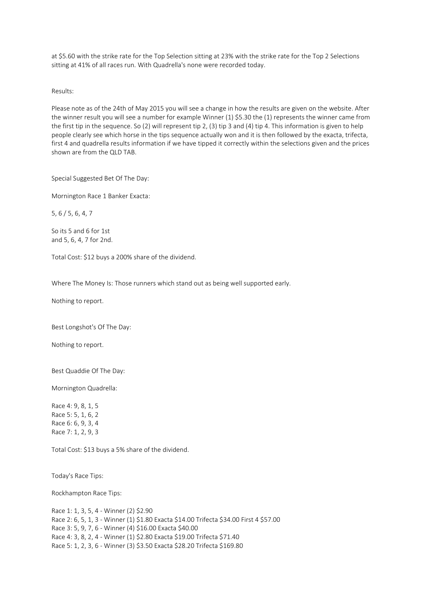at \$5.60 with the strike rate for the Top Selection sitting at 23% with the strike rate for the Top 2 Selections sitting at 41% of all races run. With Quadrella's none were recorded today.

Results:

Please note as of the 24th of May 2015 you will see a change in how the results are given on the website. After the winner result you will see a number for example Winner (1) \$5.30 the (1) represents the winner came from the first tip in the sequence. So (2) will represent tip 2, (3) tip 3 and (4) tip 4. This information is given to help people clearly see which horse in the tips sequence actually won and it is then followed by the exacta, trifecta, first 4 and quadrella results information if we have tipped it correctly within the selections given and the prices shown are from the QLD TAB.

Special Suggested Bet Of The Day:

Mornington Race 1 Banker Exacta:

5, 6 / 5, 6, 4, 7

So its 5 and 6 for 1st and 5, 6, 4, 7 for 2nd.

Total Cost: \$12 buys a 200% share of the dividend.

Where The Money Is: Those runners which stand out as being well supported early.

Nothing to report.

Best Longshot's Of The Day:

Nothing to report.

Best Quaddie Of The Day:

Mornington Quadrella:

Race 4: 9, 8, 1, 5 Race 5: 5, 1, 6, 2 Race 6: 6, 9, 3, 4 Race 7: 1, 2, 9, 3

Total Cost: \$13 buys a 5% share of the dividend.

Today's Race Tips:

Rockhampton Race Tips:

Race 1: 1, 3, 5, 4 - Winner (2) \$2.90 Race 2: 6, 5, 1, 3 - Winner (1) \$1.80 Exacta \$14.00 Trifecta \$34.00 First 4 \$57.00 Race 3: 5, 9, 7, 6 - Winner (4) \$16.00 Exacta \$40.00 Race 4: 3, 8, 2, 4 - Winner (1) \$2.80 Exacta \$19.00 Trifecta \$71.40 Race 5: 1, 2, 3, 6 - Winner (3) \$3.50 Exacta \$28.20 Trifecta \$169.80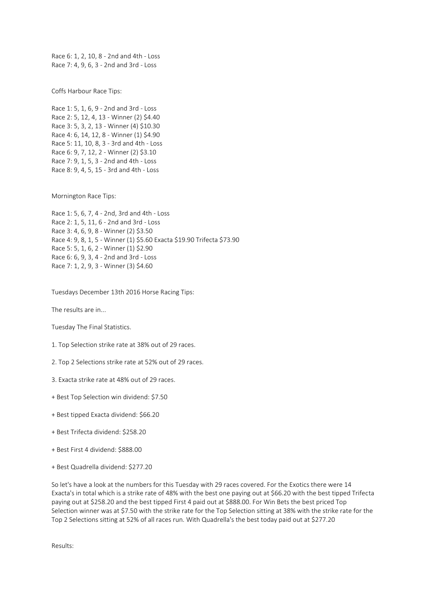Race 6: 1, 2, 10, 8 - 2nd and 4th - Loss Race 7: 4, 9, 6, 3 - 2nd and 3rd - Loss

Coffs Harbour Race Tips:

Race 1: 5, 1, 6, 9 - 2nd and 3rd - Loss Race 2: 5, 12, 4, 13 - Winner (2) \$4.40 Race 3: 5, 3, 2, 13 - Winner (4) \$10.30 Race 4: 6, 14, 12, 8 - Winner (1) \$4.90 Race 5: 11, 10, 8, 3 - 3rd and 4th - Loss Race 6: 9, 7, 12, 2 - Winner (2) \$3.10 Race 7: 9, 1, 5, 3 - 2nd and 4th - Loss Race 8: 9, 4, 5, 15 - 3rd and 4th - Loss

Mornington Race Tips:

```
Race 1: 5, 6, 7, 4 - 2nd, 3rd and 4th - Loss
Race 2: 1, 5, 11, 6 - 2nd and 3rd - Loss
Race 3: 4, 6, 9, 8 - Winner (2) $3.50
Race 4: 9, 8, 1, 5 - Winner (1) $5.60 Exacta $19.90 Trifecta $73.90
Race 5: 5, 1, 6, 2 - Winner (1) $2.90
Race 6: 6, 9, 3, 4 - 2nd and 3rd - Loss
Race 7: 1, 2, 9, 3 - Winner (3) $4.60
```
Tuesdays December 13th 2016 Horse Racing Tips:

The results are in...

Tuesday The Final Statistics.

- 1. Top Selection strike rate at 38% out of 29 races.
- 2. Top 2 Selections strike rate at 52% out of 29 races.
- 3. Exacta strike rate at 48% out of 29 races.
- + Best Top Selection win dividend: \$7.50
- + Best tipped Exacta dividend: \$66.20
- + Best Trifecta dividend: \$258.20
- + Best First 4 dividend: \$888.00
- + Best Quadrella dividend: \$277.20

So let's have a look at the numbers for this Tuesday with 29 races covered. For the Exotics there were 14 Exacta's in total which is a strike rate of 48% with the best one paying out at \$66.20 with the best tipped Trifecta paying out at \$258.20 and the best tipped First 4 paid out at \$888.00. For Win Bets the best priced Top Selection winner was at \$7.50 with the strike rate for the Top Selection sitting at 38% with the strike rate for the Top 2 Selections sitting at 52% of all races run. With Quadrella's the best today paid out at \$277.20

Results: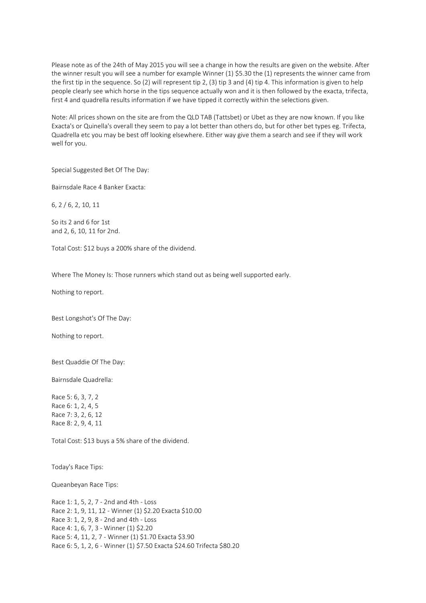Please note as of the 24th of May 2015 you will see a change in how the results are given on the website. After the winner result you will see a number for example Winner (1) \$5.30 the (1) represents the winner came from the first tip in the sequence. So (2) will represent tip 2, (3) tip 3 and (4) tip 4. This information is given to help people clearly see which horse in the tips sequence actually won and it is then followed by the exacta, trifecta, first 4 and quadrella results information if we have tipped it correctly within the selections given.

Note: All prices shown on the site are from the QLD TAB (Tattsbet) or Ubet as they are now known. If you like Exacta's or Quinella's overall they seem to pay a lot better than others do, but for other bet types eg. Trifecta, Quadrella etc you may be best off looking elsewhere. Either way give them a search and see if they will work well for you.

Special Suggested Bet Of The Day:

Bairnsdale Race 4 Banker Exacta:

6, 2 / 6, 2, 10, 11

So its 2 and 6 for 1st and 2, 6, 10, 11 for 2nd.

Total Cost: \$12 buys a 200% share of the dividend.

Where The Money Is: Those runners which stand out as being well supported early.

Nothing to report.

Best Longshot's Of The Day:

Nothing to report.

Best Quaddie Of The Day:

Bairnsdale Quadrella:

Race 5: 6, 3, 7, 2 Race 6: 1, 2, 4, 5 Race 7: 3, 2, 6, 12 Race 8: 2, 9, 4, 11

Total Cost: \$13 buys a 5% share of the dividend.

Today's Race Tips:

Queanbeyan Race Tips:

Race 1: 1, 5, 2, 7 - 2nd and 4th - Loss Race 2: 1, 9, 11, 12 - Winner (1) \$2.20 Exacta \$10.00 Race 3: 1, 2, 9, 8 - 2nd and 4th - Loss Race 4: 1, 6, 7, 3 - Winner (1) \$2.20 Race 5: 4, 11, 2, 7 - Winner (1) \$1.70 Exacta \$3.90 Race 6: 5, 1, 2, 6 - Winner (1) \$7.50 Exacta \$24.60 Trifecta \$80.20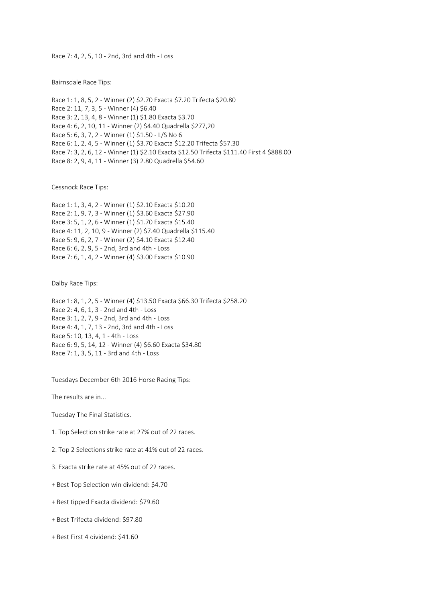Race 7: 4, 2, 5, 10 - 2nd, 3rd and 4th - Loss

Bairnsdale Race Tips:

Race 1: 1, 8, 5, 2 - Winner (2) \$2.70 Exacta \$7.20 Trifecta \$20.80 Race 2: 11, 7, 3, 5 - Winner (4) \$6.40 Race 3: 2, 13, 4, 8 - Winner (1) \$1.80 Exacta \$3.70 Race 4: 6, 2, 10, 11 - Winner (2) \$4.40 Quadrella \$277,20 Race 5: 6, 3, 7, 2 - Winner (1) \$1.50 - L/S No 6 Race 6: 1, 2, 4, 5 - Winner (1) \$3.70 Exacta \$12.20 Trifecta \$57.30 Race 7: 3, 2, 6, 12 - Winner (1) \$2.10 Exacta \$12.50 Trifecta \$111.40 First 4 \$888.00 Race 8: 2, 9, 4, 11 - Winner (3) 2.80 Quadrella \$54.60

Cessnock Race Tips:

Race 1: 1, 3, 4, 2 - Winner (1) \$2.10 Exacta \$10.20 Race 2: 1, 9, 7, 3 - Winner (1) \$3.60 Exacta \$27.90 Race 3: 5, 1, 2, 6 - Winner (1) \$1.70 Exacta \$15.40 Race 4: 11, 2, 10, 9 - Winner (2) \$7.40 Quadrella \$115.40 Race 5: 9, 6, 2, 7 - Winner (2) \$4.10 Exacta \$12.40 Race 6: 6, 2, 9, 5 - 2nd, 3rd and 4th - Loss Race 7: 6, 1, 4, 2 - Winner (4) \$3.00 Exacta \$10.90

Dalby Race Tips:

Race 1: 8, 1, 2, 5 - Winner (4) \$13.50 Exacta \$66.30 Trifecta \$258.20 Race 2: 4, 6, 1, 3 - 2nd and 4th - Loss Race 3: 1, 2, 7, 9 - 2nd, 3rd and 4th - Loss Race 4: 4, 1, 7, 13 - 2nd, 3rd and 4th - Loss Race 5: 10, 13, 4, 1 - 4th - Loss Race 6: 9, 5, 14, 12 - Winner (4) \$6.60 Exacta \$34.80 Race 7: 1, 3, 5, 11 - 3rd and 4th - Loss

Tuesdays December 6th 2016 Horse Racing Tips:

The results are in...

Tuesday The Final Statistics.

1. Top Selection strike rate at 27% out of 22 races.

2. Top 2 Selections strike rate at 41% out of 22 races.

3. Exacta strike rate at 45% out of 22 races.

+ Best Top Selection win dividend: \$4.70

- + Best tipped Exacta dividend: \$79.60
- + Best Trifecta dividend: \$97.80
- + Best First 4 dividend: \$41.60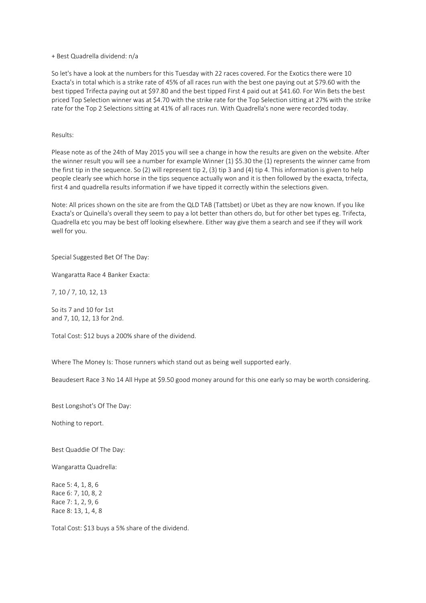### + Best Quadrella dividend: n/a

So let's have a look at the numbers for this Tuesday with 22 races covered. For the Exotics there were 10 Exacta's in total which is a strike rate of 45% of all races run with the best one paying out at \$79.60 with the best tipped Trifecta paying out at \$97.80 and the best tipped First 4 paid out at \$41.60. For Win Bets the best priced Top Selection winner was at \$4.70 with the strike rate for the Top Selection sitting at 27% with the strike rate for the Top 2 Selections sitting at 41% of all races run. With Quadrella's none were recorded today.

## Results:

Please note as of the 24th of May 2015 you will see a change in how the results are given on the website. After the winner result you will see a number for example Winner (1) \$5.30 the (1) represents the winner came from the first tip in the sequence. So (2) will represent tip 2, (3) tip 3 and (4) tip 4. This information is given to help people clearly see which horse in the tips sequence actually won and it is then followed by the exacta, trifecta, first 4 and quadrella results information if we have tipped it correctly within the selections given.

Note: All prices shown on the site are from the QLD TAB (Tattsbet) or Ubet as they are now known. If you like Exacta's or Quinella's overall they seem to pay a lot better than others do, but for other bet types eg. Trifecta, Quadrella etc you may be best off looking elsewhere. Either way give them a search and see if they will work well for you.

Special Suggested Bet Of The Day:

Wangaratta Race 4 Banker Exacta:

7, 10 / 7, 10, 12, 13

So its 7 and 10 for 1st and 7, 10, 12, 13 for 2nd.

Total Cost: \$12 buys a 200% share of the dividend.

Where The Money Is: Those runners which stand out as being well supported early.

Beaudesert Race 3 No 14 All Hype at \$9.50 good money around for this one early so may be worth considering.

Best Longshot's Of The Day:

Nothing to report.

Best Quaddie Of The Day:

Wangaratta Quadrella:

Race 5: 4, 1, 8, 6 Race 6: 7, 10, 8, 2 Race 7: 1, 2, 9, 6 Race 8: 13, 1, 4, 8

Total Cost: \$13 buys a 5% share of the dividend.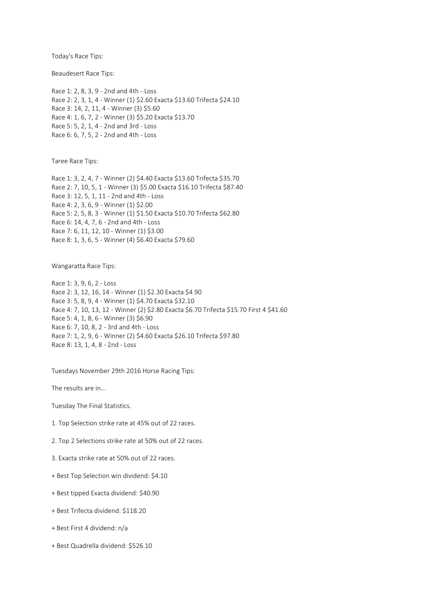Today's Race Tips:

Beaudesert Race Tips:

Race 1: 2, 8, 3, 9 - 2nd and 4th - Loss Race 2: 2, 3, 1, 4 - Winner (1) \$2.60 Exacta \$13.60 Trifecta \$24.10 Race 3: 14, 2, 11, 4 - Winner (3) \$5.60 Race 4: 1, 6, 7, 2 - Winner (3) \$5.20 Exacta \$13.70 Race 5: 5, 2, 1, 4 - 2nd and 3rd - Loss Race 6: 6, 7, 5, 2 - 2nd and 4th - Loss

Taree Race Tips:

Race 1: 3, 2, 4, 7 - Winner (2) \$4.40 Exacta \$13.60 Trifecta \$35.70 Race 2: 7, 10, 5, 1 - Winner (3) \$5.00 Exacta \$16.10 Trifecta \$87.40 Race 3: 12, 5, 1, 11 - 2nd and 4th - Loss Race 4: 2, 3, 6, 9 - Winner (1) \$2.00 Race 5: 2, 5, 8, 3 - Winner (1) \$1.50 Exacta \$10.70 Trifecta \$62.80 Race 6: 14, 4, 7, 6 - 2nd and 4th - Loss Race 7: 6, 11, 12, 10 - Winner (1) \$3.00 Race 8: 1, 3, 6, 5 - Winner (4) \$6.40 Exacta \$79.60

Wangaratta Race Tips:

Race 1: 3, 9, 6, 2 - Loss Race 2: 3, 12, 16, 14 - Winner (1) \$2.30 Exacta \$4.90 Race 3: 5, 8, 9, 4 - Winner (1) \$4.70 Exacta \$32.10 Race 4: 7, 10, 13, 12 - Winner (2) \$2.80 Exacta \$6.70 Trifecta \$15.70 First 4 \$41.60 Race 5: 4, 1, 8, 6 - Winner (3) \$6.90 Race 6: 7, 10, 8, 2 - 3rd and 4th - Loss Race 7: 1, 2, 9, 6 - Winner (2) \$4.60 Exacta \$26.10 Trifecta \$97.80 Race 8: 13, 1, 4, 8 - 2nd - Loss

Tuesdays November 29th 2016 Horse Racing Tips:

The results are in...

Tuesday The Final Statistics.

- 1. Top Selection strike rate at 45% out of 22 races.
- 2. Top 2 Selections strike rate at 50% out of 22 races.
- 3. Exacta strike rate at 50% out of 22 races.
- + Best Top Selection win dividend: \$4.10
- + Best tipped Exacta dividend: \$40.90
- + Best Trifecta dividend: \$118.20
- + Best First 4 dividend: n/a
- + Best Quadrella dividend: \$526.10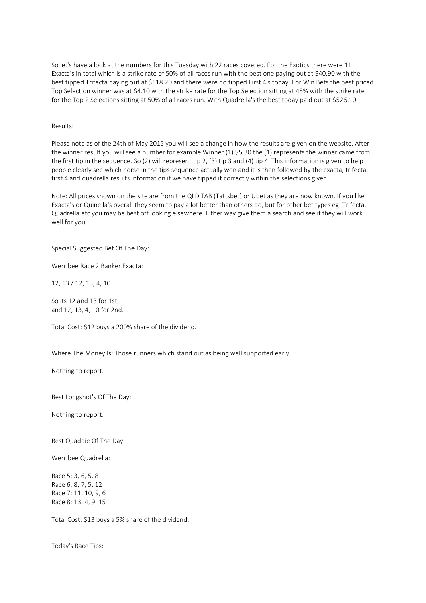So let's have a look at the numbers for this Tuesday with 22 races covered. For the Exotics there were 11 Exacta's in total which is a strike rate of 50% of all races run with the best one paying out at \$40.90 with the best tipped Trifecta paying out at \$118.20 and there were no tipped First 4's today. For Win Bets the best priced Top Selection winner was at \$4.10 with the strike rate for the Top Selection sitting at 45% with the strike rate for the Top 2 Selections sitting at 50% of all races run. With Quadrella's the best today paid out at \$526.10

# Results:

Please note as of the 24th of May 2015 you will see a change in how the results are given on the website. After the winner result you will see a number for example Winner (1) \$5.30 the (1) represents the winner came from the first tip in the sequence. So (2) will represent tip 2, (3) tip 3 and (4) tip 4. This information is given to help people clearly see which horse in the tips sequence actually won and it is then followed by the exacta, trifecta, first 4 and quadrella results information if we have tipped it correctly within the selections given.

Note: All prices shown on the site are from the QLD TAB (Tattsbet) or Ubet as they are now known. If you like Exacta's or Quinella's overall they seem to pay a lot better than others do, but for other bet types eg. Trifecta, Quadrella etc you may be best off looking elsewhere. Either way give them a search and see if they will work well for you.

Special Suggested Bet Of The Day:

Werribee Race 2 Banker Exacta:

12, 13 / 12, 13, 4, 10

So its 12 and 13 for 1st and 12, 13, 4, 10 for 2nd.

Total Cost: \$12 buys a 200% share of the dividend.

Where The Money Is: Those runners which stand out as being well supported early.

Nothing to report.

Best Longshot's Of The Day:

Nothing to report.

Best Quaddie Of The Day:

Werribee Quadrella:

Race 5: 3, 6, 5, 8 Race 6: 8, 7, 5, 12 Race 7: 11, 10, 9, 6 Race 8: 13, 4, 9, 15

Total Cost: \$13 buys a 5% share of the dividend.

Today's Race Tips: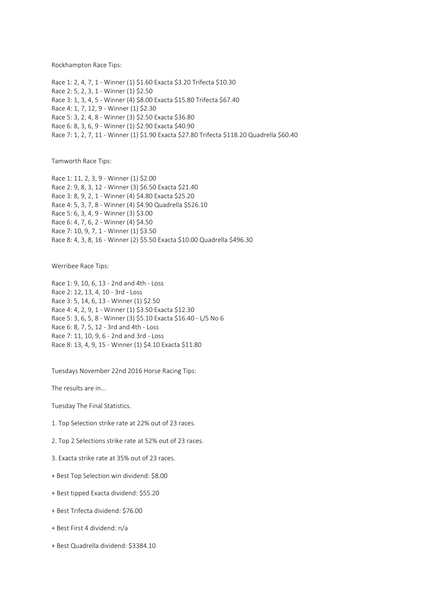Rockhampton Race Tips:

Race 1: 2, 4, 7, 1 - Winner (1) \$1.60 Exacta \$3.20 Trifecta \$10.30 Race 2: 5, 2, 3, 1 - Winner (1) \$2.50 Race 3: 1, 3, 4, 5 - Winner (4) \$8.00 Exacta \$15.80 Trifecta \$67.40 Race 4: 1, 7, 12, 9 - Winner (1) \$2.30 Race 5: 3, 2, 4, 8 - Winner (3) \$2.50 Exacta \$36.80 Race 6: 8, 3, 6, 9 - Winner (1) \$2.90 Exacta \$40.90 Race 7: 1, 2, 7, 11 - Winner (1) \$1.90 Exacta \$27.80 Trifecta \$118.20 Quadrella \$60.40

Tamworth Race Tips:

Race 1: 11, 2, 3, 9 - Winner (1) \$2.00 Race 2: 9, 8, 3, 12 - Winner (3) \$6.50 Exacta \$21.40 Race 3: 8, 9, 2, 1 - Winner (4) \$4.80 Exacta \$25.20 Race 4: 5, 3, 7, 8 - Winner (4) \$4.90 Quadrella \$526.10 Race 5: 6, 3, 4, 9 - Winner (3) \$3.00 Race 6: 4, 7, 6, 2 - Winner (4) \$4.50 Race 7: 10, 9, 7, 1 - Winner (1) \$3.50 Race 8: 4, 3, 8, 16 - Winner (2) \$5.50 Exacta \$10.00 Quadrella \$496.30

Werribee Race Tips:

Race 1: 9, 10, 6, 13 - 2nd and 4th - Loss Race 2: 12, 13, 4, 10 - 3rd - Loss Race 3: 5, 14, 6, 13 - Winner (1) \$2.50 Race 4: 4, 2, 9, 1 - Winner (1) \$3.50 Exacta \$12.30 Race 5: 3, 6, 5, 8 - Winner (3) \$5.10 Exacta \$16.40 - L/S No 6 Race 6: 8, 7, 5, 12 - 3rd and 4th - Loss Race 7: 11, 10, 9, 6 - 2nd and 3rd - Loss Race 8: 13, 4, 9, 15 - Winner (1) \$4.10 Exacta \$11.80

Tuesdays November 22nd 2016 Horse Racing Tips:

The results are in...

Tuesday The Final Statistics.

- 1. Top Selection strike rate at 22% out of 23 races.
- 2. Top 2 Selections strike rate at 52% out of 23 races.
- 3. Exacta strike rate at 35% out of 23 races.
- + Best Top Selection win dividend: \$8.00
- + Best tipped Exacta dividend: \$55.20
- + Best Trifecta dividend: \$76.00
- + Best First 4 dividend: n/a
- + Best Quadrella dividend: \$3384.10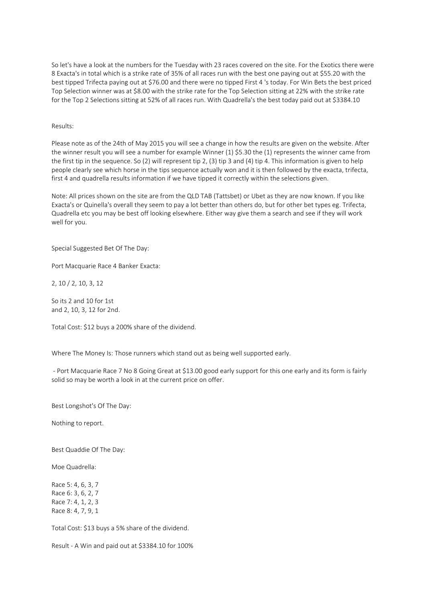So let's have a look at the numbers for the Tuesday with 23 races covered on the site. For the Exotics there were 8 Exacta's in total which is a strike rate of 35% of all races run with the best one paying out at \$55.20 with the best tipped Trifecta paying out at \$76.00 and there were no tipped First 4 's today. For Win Bets the best priced Top Selection winner was at \$8.00 with the strike rate for the Top Selection sitting at 22% with the strike rate for the Top 2 Selections sitting at 52% of all races run. With Quadrella's the best today paid out at \$3384.10

Results:

Please note as of the 24th of May 2015 you will see a change in how the results are given on the website. After the winner result you will see a number for example Winner (1) \$5.30 the (1) represents the winner came from the first tip in the sequence. So (2) will represent tip 2, (3) tip 3 and (4) tip 4. This information is given to help people clearly see which horse in the tips sequence actually won and it is then followed by the exacta, trifecta, first 4 and quadrella results information if we have tipped it correctly within the selections given.

Note: All prices shown on the site are from the QLD TAB (Tattsbet) or Ubet as they are now known. If you like Exacta's or Quinella's overall they seem to pay a lot better than others do, but for other bet types eg. Trifecta, Quadrella etc you may be best off looking elsewhere. Either way give them a search and see if they will work well for you.

Special Suggested Bet Of The Day:

Port Macquarie Race 4 Banker Exacta:

2, 10 / 2, 10, 3, 12

So its 2 and 10 for 1st and 2, 10, 3, 12 for 2nd.

Total Cost: \$12 buys a 200% share of the dividend.

Where The Money Is: Those runners which stand out as being well supported early.

- Port Macquarie Race 7 No 8 Going Great at \$13.00 good early support for this one early and its form is fairly solid so may be worth a look in at the current price on offer.

Best Longshot's Of The Day:

Nothing to report.

Best Quaddie Of The Day:

Moe Quadrella:

Race 5: 4, 6, 3, 7 Race 6: 3, 6, 2, 7 Race 7: 4, 1, 2, 3 Race 8: 4, 7, 9, 1

Total Cost: \$13 buys a 5% share of the dividend.

Result - A Win and paid out at \$3384.10 for 100%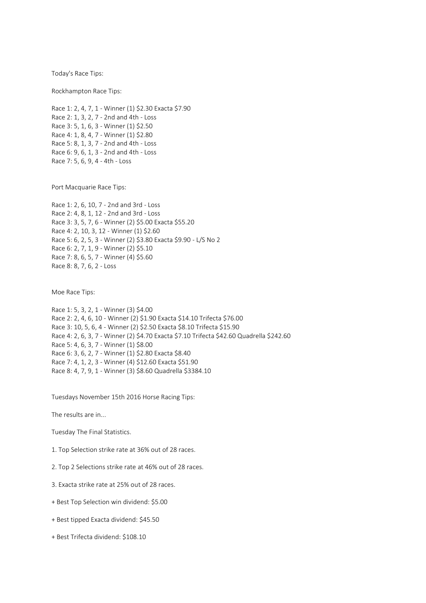Today's Race Tips:

Rockhampton Race Tips:

Race 1: 2, 4, 7, 1 - Winner (1) \$2.30 Exacta \$7.90 Race 2: 1, 3, 2, 7 - 2nd and 4th - Loss Race 3: 5, 1, 6, 3 - Winner (1) \$2.50 Race 4: 1, 8, 4, 7 - Winner (1) \$2.80 Race 5: 8, 1, 3, 7 - 2nd and 4th - Loss Race 6: 9, 6, 1, 3 - 2nd and 4th - Loss Race 7: 5, 6, 9, 4 - 4th - Loss

Port Macquarie Race Tips:

Race 1: 2, 6, 10, 7 - 2nd and 3rd - Loss Race 2: 4, 8, 1, 12 - 2nd and 3rd - Loss Race 3: 3, 5, 7, 6 - Winner (2) \$5.00 Exacta \$55.20 Race 4: 2, 10, 3, 12 - Winner (1) \$2.60 Race 5: 6, 2, 5, 3 - Winner (2) \$3.80 Exacta \$9.90 - L/S No 2 Race 6: 2, 7, 1, 9 - Winner (2) \$5.10 Race 7: 8, 6, 5, 7 - Winner (4) \$5.60 Race 8: 8, 7, 6, 2 - Loss

Moe Race Tips:

Race 1: 5, 3, 2, 1 - Winner (3) \$4.00 Race 2: 2, 4, 6, 10 - Winner (2) \$1.90 Exacta \$14.10 Trifecta \$76.00 Race 3: 10, 5, 6, 4 - Winner (2) \$2.50 Exacta \$8.10 Trifecta \$15.90 Race 4: 2, 6, 3, 7 - Winner (2) \$4.70 Exacta \$7.10 Trifecta \$42.60 Quadrella \$242.60 Race 5: 4, 6, 3, 7 - Winner (1) \$8.00 Race 6: 3, 6, 2, 7 - Winner (1) \$2.80 Exacta \$8.40 Race 7: 4, 1, 2, 3 - Winner (4) \$12.60 Exacta \$51.90 Race 8: 4, 7, 9, 1 - Winner (3) \$8.60 Quadrella \$3384.10

Tuesdays November 15th 2016 Horse Racing Tips:

The results are in...

Tuesday The Final Statistics.

1. Top Selection strike rate at 36% out of 28 races.

2. Top 2 Selections strike rate at 46% out of 28 races.

3. Exacta strike rate at 25% out of 28 races.

- + Best Top Selection win dividend: \$5.00
- + Best tipped Exacta dividend: \$45.50
- + Best Trifecta dividend: \$108.10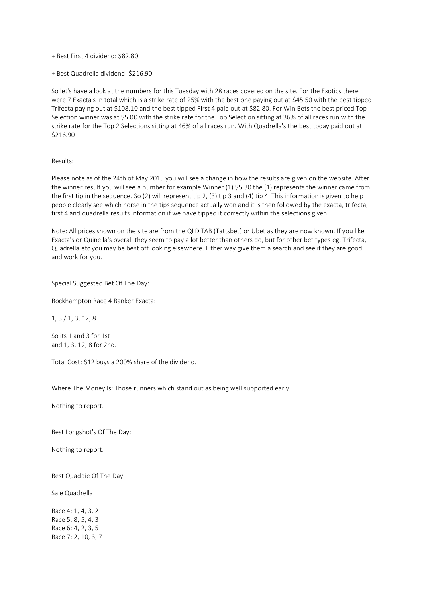+ Best First 4 dividend: \$82.80

+ Best Quadrella dividend: \$216.90

So let's have a look at the numbers for this Tuesday with 28 races covered on the site. For the Exotics there were 7 Exacta's in total which is a strike rate of 25% with the best one paying out at \$45.50 with the best tipped Trifecta paying out at \$108.10 and the best tipped First 4 paid out at \$82.80. For Win Bets the best priced Top Selection winner was at \$5.00 with the strike rate for the Top Selection sitting at 36% of all races run with the strike rate for the Top 2 Selections sitting at 46% of all races run. With Quadrella's the best today paid out at \$216.90

#### Results:

Please note as of the 24th of May 2015 you will see a change in how the results are given on the website. After the winner result you will see a number for example Winner (1) \$5.30 the (1) represents the winner came from the first tip in the sequence. So (2) will represent tip 2, (3) tip 3 and (4) tip 4. This information is given to help people clearly see which horse in the tips sequence actually won and it is then followed by the exacta, trifecta, first 4 and quadrella results information if we have tipped it correctly within the selections given.

Note: All prices shown on the site are from the QLD TAB (Tattsbet) or Ubet as they are now known. If you like Exacta's or Quinella's overall they seem to pay a lot better than others do, but for other bet types eg. Trifecta, Quadrella etc you may be best off looking elsewhere. Either way give them a search and see if they are good and work for you.

Special Suggested Bet Of The Day:

Rockhampton Race 4 Banker Exacta:

1, 3 / 1, 3, 12, 8

So its 1 and 3 for 1st and 1, 3, 12, 8 for 2nd.

Total Cost: \$12 buys a 200% share of the dividend.

Where The Money Is: Those runners which stand out as being well supported early.

Nothing to report.

Best Longshot's Of The Day:

Nothing to report.

Best Quaddie Of The Day:

Sale Quadrella:

Race 4: 1, 4, 3, 2 Race 5: 8, 5, 4, 3 Race 6: 4, 2, 3, 5 Race 7: 2, 10, 3, 7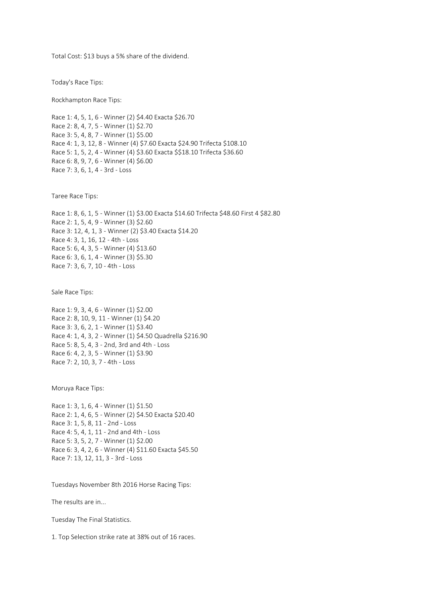Total Cost: \$13 buys a 5% share of the dividend.

Today's Race Tips:

Rockhampton Race Tips:

Race 1: 4, 5, 1, 6 - Winner (2) \$4.40 Exacta \$26.70 Race 2: 8, 4, 7, 5 - Winner (1) \$2.70 Race 3: 5, 4, 8, 7 - Winner (1) \$5.00 Race 4: 1, 3, 12, 8 - Winner (4) \$7.60 Exacta \$24.90 Trifecta \$108.10 Race 5: 1, 5, 2, 4 - Winner (4) \$3.60 Exacta \$\$18.10 Trifecta \$36.60 Race 6: 8, 9, 7, 6 - Winner (4) \$6.00 Race 7: 3, 6, 1, 4 - 3rd - Loss

Taree Race Tips:

Race 1: 8, 6, 1, 5 - Winner (1) \$3.00 Exacta \$14.60 Trifecta \$48.60 First 4 \$82.80 Race 2: 1, 5, 4, 9 - Winner (3) \$2.60 Race 3: 12, 4, 1, 3 - Winner (2) \$3.40 Exacta \$14.20 Race 4: 3, 1, 16, 12 - 4th - Loss Race 5: 6, 4, 3, 5 - Winner (4) \$13.60 Race 6: 3, 6, 1, 4 - Winner (3) \$5.30 Race 7: 3, 6, 7, 10 - 4th - Loss

Sale Race Tips:

Race 1: 9, 3, 4, 6 - Winner (1) \$2.00 Race 2: 8, 10, 9, 11 - Winner (1) \$4.20 Race 3: 3, 6, 2, 1 - Winner (1) \$3.40 Race 4: 1, 4, 3, 2 - Winner (1) \$4.50 Quadrella \$216.90 Race 5: 8, 5, 4, 3 - 2nd, 3rd and 4th - Loss Race 6: 4, 2, 3, 5 - Winner (1) \$3.90 Race 7: 2, 10, 3, 7 - 4th - Loss

Moruya Race Tips:

Race 1: 3, 1, 6, 4 - Winner (1) \$1.50 Race 2: 1, 4, 6, 5 - Winner (2) \$4.50 Exacta \$20.40 Race 3: 1, 5, 8, 11 - 2nd - Loss Race 4: 5, 4, 1, 11 - 2nd and 4th - Loss Race 5: 3, 5, 2, 7 - Winner (1) \$2.00 Race 6: 3, 4, 2, 6 - Winner (4) \$11.60 Exacta \$45.50 Race 7: 13, 12, 11, 3 - 3rd - Loss

Tuesdays November 8th 2016 Horse Racing Tips:

The results are in...

Tuesday The Final Statistics.

1. Top Selection strike rate at 38% out of 16 races.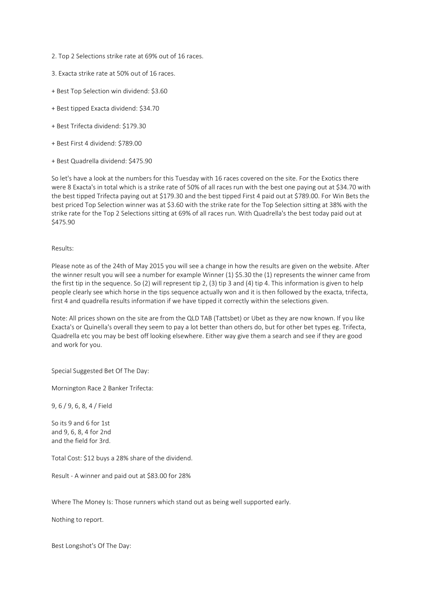- 2. Top 2 Selections strike rate at 69% out of 16 races.
- 3. Exacta strike rate at 50% out of 16 races.
- + Best Top Selection win dividend: \$3.60
- + Best tipped Exacta dividend: \$34.70
- + Best Trifecta dividend: \$179.30
- + Best First 4 dividend: \$789.00
- + Best Quadrella dividend: \$475.90

So let's have a look at the numbers for this Tuesday with 16 races covered on the site. For the Exotics there were 8 Exacta's in total which is a strike rate of 50% of all races run with the best one paying out at \$34.70 with the best tipped Trifecta paying out at \$179.30 and the best tipped First 4 paid out at \$789.00. For Win Bets the best priced Top Selection winner was at \$3.60 with the strike rate for the Top Selection sitting at 38% with the strike rate for the Top 2 Selections sitting at 69% of all races run. With Quadrella's the best today paid out at \$475.90

#### Results:

Please note as of the 24th of May 2015 you will see a change in how the results are given on the website. After the winner result you will see a number for example Winner (1) \$5.30 the (1) represents the winner came from the first tip in the sequence. So (2) will represent tip 2, (3) tip 3 and (4) tip 4. This information is given to help people clearly see which horse in the tips sequence actually won and it is then followed by the exacta, trifecta, first 4 and quadrella results information if we have tipped it correctly within the selections given.

Note: All prices shown on the site are from the QLD TAB (Tattsbet) or Ubet as they are now known. If you like Exacta's or Quinella's overall they seem to pay a lot better than others do, but for other bet types eg. Trifecta, Quadrella etc you may be best off looking elsewhere. Either way give them a search and see if they are good and work for you.

Special Suggested Bet Of The Day:

Mornington Race 2 Banker Trifecta:

9, 6 / 9, 6, 8, 4 / Field

So its 9 and 6 for 1st and 9, 6, 8, 4 for 2nd and the field for 3rd.

Total Cost: \$12 buys a 28% share of the dividend.

Result - A winner and paid out at \$83.00 for 28%

Where The Money Is: Those runners which stand out as being well supported early.

Nothing to report.

Best Longshot's Of The Day: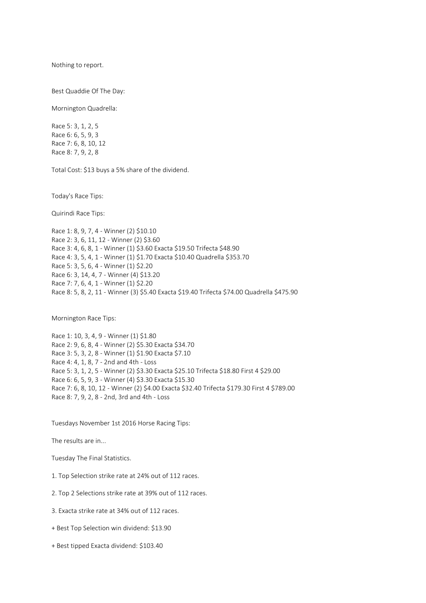Nothing to report.

Best Quaddie Of The Day:

Mornington Quadrella:

Race 5: 3, 1, 2, 5 Race 6: 6, 5, 9, 3 Race 7: 6, 8, 10, 12 Race 8: 7, 9, 2, 8

Total Cost: \$13 buys a 5% share of the dividend.

Today's Race Tips:

Quirindi Race Tips:

Race 1: 8, 9, 7, 4 - Winner (2) \$10.10 Race 2: 3, 6, 11, 12 - Winner (2) \$3.60 Race 3: 4, 6, 8, 1 - Winner (1) \$3.60 Exacta \$19.50 Trifecta \$48.90 Race 4: 3, 5, 4, 1 - Winner (1) \$1.70 Exacta \$10.40 Quadrella \$353.70 Race 5: 3, 5, 6, 4 - Winner (1) \$2.20 Race 6: 3, 14, 4, 7 - Winner (4) \$13.20 Race 7: 7, 6, 4, 1 - Winner (1) \$2.20 Race 8: 5, 8, 2, 11 - Winner (3) \$5.40 Exacta \$19.40 Trifecta \$74.00 Quadrella \$475.90

Mornington Race Tips:

Race 1: 10, 3, 4, 9 - Winner (1) \$1.80 Race 2: 9, 6, 8, 4 - Winner (2) \$5.30 Exacta \$34.70 Race 3: 5, 3, 2, 8 - Winner (1) \$1.90 Exacta \$7.10 Race 4: 4, 1, 8, 7 - 2nd and 4th - Loss Race 5: 3, 1, 2, 5 - Winner (2) \$3.30 Exacta \$25.10 Trifecta \$18.80 First 4 \$29.00 Race 6: 6, 5, 9, 3 - Winner (4) \$3.30 Exacta \$15.30 Race 7: 6, 8, 10, 12 - Winner (2) \$4.00 Exacta \$32.40 Trifecta \$179.30 First 4 \$789.00 Race 8: 7, 9, 2, 8 - 2nd, 3rd and 4th - Loss

Tuesdays November 1st 2016 Horse Racing Tips:

The results are in...

Tuesday The Final Statistics.

1. Top Selection strike rate at 24% out of 112 races.

2. Top 2 Selections strike rate at 39% out of 112 races.

3. Exacta strike rate at 34% out of 112 races.

+ Best Top Selection win dividend: \$13.90

+ Best tipped Exacta dividend: \$103.40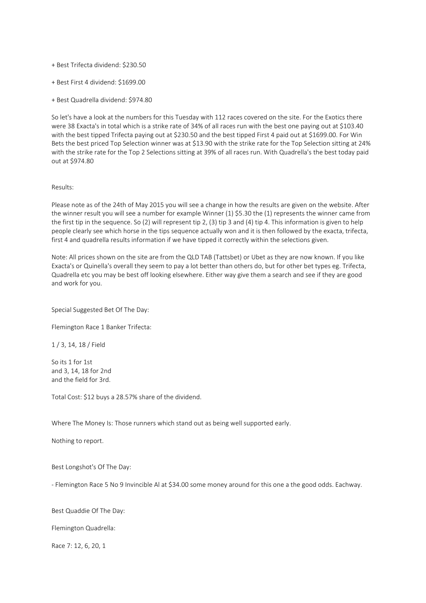- + Best Trifecta dividend: \$230.50
- + Best First 4 dividend: \$1699.00
- + Best Quadrella dividend: \$974.80

So let's have a look at the numbers for this Tuesday with 112 races covered on the site. For the Exotics there were 38 Exacta's in total which is a strike rate of 34% of all races run with the best one paying out at \$103.40 with the best tipped Trifecta paying out at \$230.50 and the best tipped First 4 paid out at \$1699.00. For Win Bets the best priced Top Selection winner was at \$13.90 with the strike rate for the Top Selection sitting at 24% with the strike rate for the Top 2 Selections sitting at 39% of all races run. With Quadrella's the best today paid out at \$974.80

## Results:

Please note as of the 24th of May 2015 you will see a change in how the results are given on the website. After the winner result you will see a number for example Winner (1) \$5.30 the (1) represents the winner came from the first tip in the sequence. So (2) will represent tip 2, (3) tip 3 and (4) tip 4. This information is given to help people clearly see which horse in the tips sequence actually won and it is then followed by the exacta, trifecta, first 4 and quadrella results information if we have tipped it correctly within the selections given.

Note: All prices shown on the site are from the QLD TAB (Tattsbet) or Ubet as they are now known. If you like Exacta's or Quinella's overall they seem to pay a lot better than others do, but for other bet types eg. Trifecta, Quadrella etc you may be best off looking elsewhere. Either way give them a search and see if they are good and work for you.

Special Suggested Bet Of The Day:

Flemington Race 1 Banker Trifecta:

1 / 3, 14, 18 / Field

So its 1 for 1st and 3, 14, 18 for 2nd and the field for 3rd.

Total Cost: \$12 buys a 28.57% share of the dividend.

Where The Money Is: Those runners which stand out as being well supported early.

Nothing to report.

Best Longshot's Of The Day:

- Flemington Race 5 No 9 Invincible Al at \$34.00 some money around for this one a the good odds. Eachway.

Best Quaddie Of The Day:

Flemington Quadrella:

Race 7: 12, 6, 20, 1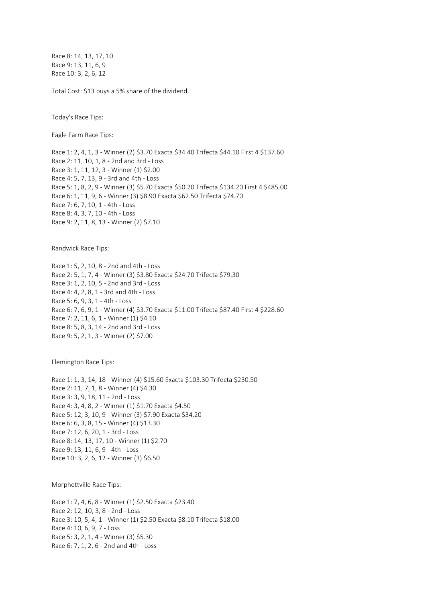Race 8: 14, 13, 17, 10 Race 9: 13, 11, 6, 9 Race 10: 3, 2, 6, 12

Total Cost: \$13 buys a 5% share of the dividend.

Today's Race Tips:

Eagle Farm Race Tips:

Race 1: 2, 4, 1, 3 - Winner (2) \$3.70 Exacta \$34.40 Trifecta \$44.10 First 4 \$137.60 Race 2: 11, 10, 1, 8 - 2nd and 3rd - Loss Race 3: 1, 11, 12, 3 - Winner (1) \$2.00 Race 4: 5, 7, 13, 9 - 3rd and 4th - Loss Race 5: 1, 8, 2, 9 - Winner (3) \$5.70 Exacta \$50.20 Trifecta \$134.20 First 4 \$485.00 Race 6: 1, 11, 9, 6 - Winner (3) \$8.90 Exacta \$62.50 Trifecta \$74.70 Race 7: 6, 7, 10, 1 - 4th - Loss Race 8: 4, 3, 7, 10 - 4th - Loss Race 9: 2, 11, 8, 13 - Winner (2) \$7.10

Randwick Race Tips:

Race 1: 5, 2, 10, 8 - 2nd and 4th - Loss Race 2: 5, 1, 7, 4 - Winner (3) \$3.80 Exacta \$24.70 Trifecta \$79.30 Race 3: 1, 2, 10, 5 - 2nd and 3rd - Loss Race 4: 4, 2, 8, 1 - 3rd and 4th - Loss Race 5: 6, 9, 3, 1 - 4th - Loss Race 6: 7, 6, 9, 1 - Winner (4) \$3.70 Exacta \$11.00 Trifecta \$87.40 First 4 \$228.60 Race 7: 2, 11, 6, 1 - Winner (1) \$4.10 Race 8: 5, 8, 3, 14 - 2nd and 3rd - Loss Race 9: 5, 2, 1, 3 - Winner (2) \$7.00

Flemington Race Tips:

Race 1: 1, 3, 14, 18 - Winner (4) \$15.60 Exacta \$103.30 Trifecta \$230.50 Race 2: 11, 7, 1, 8 - Winner (4) \$4.30 Race 3: 3, 9, 18, 11 - 2nd - Loss Race 4: 3, 4, 8, 2 - Winner (1) \$1.70 Exacta \$4.50 Race 5: 12, 3, 10, 9 - Winner (3) \$7.90 Exacta \$34.20 Race 6: 6, 3, 8, 15 - Winner (4) \$13.30 Race 7: 12, 6, 20, 1 - 3rd - Loss Race 8: 14, 13, 17, 10 - Winner (1) \$2.70 Race 9: 13, 11, 6, 9 - 4th - Loss Race 10: 3, 2, 6, 12 - Winner (3) \$6.50

Morphettville Race Tips:

Race 1: 7, 4, 6, 8 - Winner (1) \$2.50 Exacta \$23.40 Race 2: 12, 10, 3, 8 - 2nd - Loss Race 3: 10, 5, 4, 1 - Winner (1) \$2.50 Exacta \$8.10 Trifecta \$18.00 Race 4: 10, 6, 9, 7 - Loss Race 5: 3, 2, 1, 4 - Winner (3) \$5.30 Race 6: 7, 1, 2, 6 - 2nd and 4th - Loss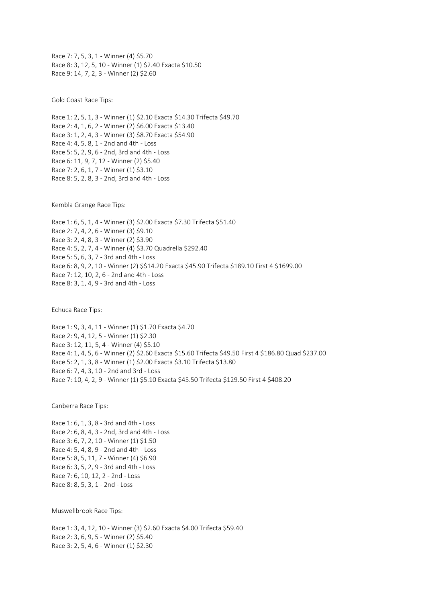Race 7: 7, 5, 3, 1 - Winner (4) \$5.70 Race 8: 3, 12, 5, 10 - Winner (1) \$2.40 Exacta \$10.50 Race 9: 14, 7, 2, 3 - Winner (2) \$2.60

Gold Coast Race Tips:

Race 1: 2, 5, 1, 3 - Winner (1) \$2.10 Exacta \$14.30 Trifecta \$49.70 Race 2: 4, 1, 6, 2 - Winner (2) \$6.00 Exacta \$13.40 Race 3: 1, 2, 4, 3 - Winner (3) \$8.70 Exacta \$54.90 Race 4: 4, 5, 8, 1 - 2nd and 4th - Loss Race 5: 5, 2, 9, 6 - 2nd, 3rd and 4th - Loss Race 6: 11, 9, 7, 12 - Winner (2) \$5.40 Race 7: 2, 6, 1, 7 - Winner (1) \$3.10 Race 8: 5, 2, 8, 3 - 2nd, 3rd and 4th - Loss

Kembla Grange Race Tips:

Race 1: 6, 5, 1, 4 - Winner (3) \$2.00 Exacta \$7.30 Trifecta \$51.40 Race 2: 7, 4, 2, 6 - Winner (3) \$9.10 Race 3: 2, 4, 8, 3 - Winner (2) \$3.90 Race 4: 5, 2, 7, 4 - Winner (4) \$3.70 Quadrella \$292.40 Race 5: 5, 6, 3, 7 - 3rd and 4th - Loss Race 6: 8, 9, 2, 10 - Winner (2) \$\$14.20 Exacta \$45.90 Trifecta \$189.10 First 4 \$1699.00 Race 7: 12, 10, 2, 6 - 2nd and 4th - Loss Race 8: 3, 1, 4, 9 - 3rd and 4th - Loss

Echuca Race Tips:

Race 1: 9, 3, 4, 11 - Winner (1) \$1.70 Exacta \$4.70 Race 2: 9, 4, 12, 5 - Winner (1) \$2.30 Race 3: 12, 11, 5, 4 - Winner (4) \$5.10 Race 4: 1, 4, 5, 6 - Winner (2) \$2.60 Exacta \$15.60 Trifecta \$49.50 First 4 \$186.80 Quad \$237.00 Race 5: 2, 1, 3, 8 - Winner (1) \$2.00 Exacta \$3.10 Trifecta \$13.80 Race 6: 7, 4, 3, 10 - 2nd and 3rd - Loss Race 7: 10, 4, 2, 9 - Winner (1) \$5.10 Exacta \$45.50 Trifecta \$129.50 First 4 \$408.20

Canberra Race Tips:

Race 1: 6, 1, 3, 8 - 3rd and 4th - Loss Race 2: 6, 8, 4, 3 - 2nd, 3rd and 4th - Loss Race 3: 6, 7, 2, 10 - Winner (1) \$1.50 Race 4: 5, 4, 8, 9 - 2nd and 4th - Loss Race 5: 8, 5, 11, 7 - Winner (4) \$6.90 Race 6: 3, 5, 2, 9 - 3rd and 4th - Loss Race 7: 6, 10, 12, 2 - 2nd - Loss Race 8: 8, 5, 3, 1 - 2nd - Loss

Muswellbrook Race Tips:

Race 1: 3, 4, 12, 10 - Winner (3) \$2.60 Exacta \$4.00 Trifecta \$59.40 Race 2: 3, 6, 9, 5 - Winner (2) \$5.40 Race 3: 2, 5, 4, 6 - Winner (1) \$2.30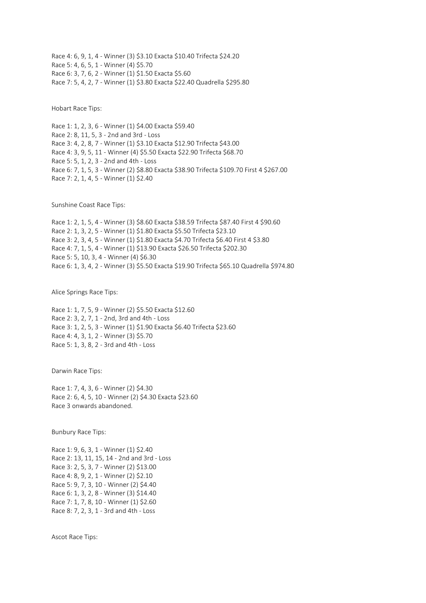Race 4: 6, 9, 1, 4 - Winner (3) \$3.10 Exacta \$10.40 Trifecta \$24.20 Race 5: 4, 6, 5, 1 - Winner (4) \$5.70 Race 6: 3, 7, 6, 2 - Winner (1) \$1.50 Exacta \$5.60 Race 7: 5, 4, 2, 7 - Winner (1) \$3.80 Exacta \$22.40 Quadrella \$295.80

Hobart Race Tips:

Race 1: 1, 2, 3, 6 - Winner (1) \$4.00 Exacta \$59.40 Race 2: 8, 11, 5, 3 - 2nd and 3rd - Loss Race 3: 4, 2, 8, 7 - Winner (1) \$3.10 Exacta \$12.90 Trifecta \$43.00 Race 4: 3, 9, 5, 11 - Winner (4) \$5.50 Exacta \$22.90 Trifecta \$68.70 Race 5: 5, 1, 2, 3 - 2nd and 4th - Loss Race 6: 7, 1, 5, 3 - Winner (2) \$8.80 Exacta \$38.90 Trifecta \$109.70 First 4 \$267.00 Race 7: 2, 1, 4, 5 - Winner (1) \$2.40

Sunshine Coast Race Tips:

Race 1: 2, 1, 5, 4 - Winner (3) \$8.60 Exacta \$38.59 Trifecta \$87.40 First 4 \$90.60 Race 2: 1, 3, 2, 5 - Winner (1) \$1.80 Exacta \$5.50 Trifecta \$23.10 Race 3: 2, 3, 4, 5 - Winner (1) \$1.80 Exacta \$4.70 Trifecta \$6.40 First 4 \$3.80 Race 4: 7, 1, 5, 4 - Winner (1) \$13.90 Exacta \$26.50 Trifecta \$202.30 Race 5: 5, 10, 3, 4 - Winner (4) \$6.30 Race 6: 1, 3, 4, 2 - Winner (3) \$5.50 Exacta \$19.90 Trifecta \$65.10 Quadrella \$974.80

Alice Springs Race Tips:

Race 1: 1, 7, 5, 9 - Winner (2) \$5.50 Exacta \$12.60 Race 2: 3, 2, 7, 1 - 2nd, 3rd and 4th - Loss Race 3: 1, 2, 5, 3 - Winner (1) \$1.90 Exacta \$6.40 Trifecta \$23.60 Race 4: 4, 3, 1, 2 - Winner (3) \$5.70 Race 5: 1, 3, 8, 2 - 3rd and 4th - Loss

Darwin Race Tips:

Race 1: 7, 4, 3, 6 - Winner (2) \$4.30 Race 2: 6, 4, 5, 10 - Winner (2) \$4.30 Exacta \$23.60 Race 3 onwards abandoned.

Bunbury Race Tips:

Race 1: 9, 6, 3, 1 - Winner (1) \$2.40 Race 2: 13, 11, 15, 14 - 2nd and 3rd - Loss Race 3: 2, 5, 3, 7 - Winner (2) \$13.00 Race 4: 8, 9, 2, 1 - Winner (2) \$2.10 Race 5: 9, 7, 3, 10 - Winner (2) \$4.40 Race 6: 1, 3, 2, 8 - Winner (3) \$14.40 Race 7: 1, 7, 8, 10 - Winner (1) \$2.60 Race 8: 7, 2, 3, 1 - 3rd and 4th - Loss

Ascot Race Tips: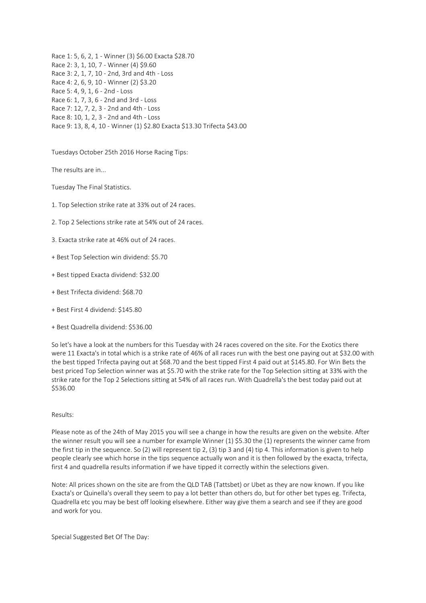Race 1: 5, 6, 2, 1 - Winner (3) \$6.00 Exacta \$28.70 Race 2: 3, 1, 10, 7 - Winner (4) \$9.60 Race 3: 2, 1, 7, 10 - 2nd, 3rd and 4th - Loss Race 4: 2, 6, 9, 10 - Winner (2) \$3.20 Race 5: 4, 9, 1, 6 - 2nd - Loss Race 6: 1, 7, 3, 6 - 2nd and 3rd - Loss Race 7: 12, 7, 2, 3 - 2nd and 4th - Loss Race 8: 10, 1, 2, 3 - 2nd and 4th - Loss Race 9: 13, 8, 4, 10 - Winner (1) \$2.80 Exacta \$13.30 Trifecta \$43.00

Tuesdays October 25th 2016 Horse Racing Tips:

The results are in...

Tuesday The Final Statistics.

- 1. Top Selection strike rate at 33% out of 24 races.
- 2. Top 2 Selections strike rate at 54% out of 24 races.
- 3. Exacta strike rate at 46% out of 24 races.
- + Best Top Selection win dividend: \$5.70
- + Best tipped Exacta dividend: \$32.00
- + Best Trifecta dividend: \$68.70
- + Best First 4 dividend: \$145.80
- + Best Quadrella dividend: \$536.00

So let's have a look at the numbers for this Tuesday with 24 races covered on the site. For the Exotics there were 11 Exacta's in total which is a strike rate of 46% of all races run with the best one paying out at \$32.00 with the best tipped Trifecta paying out at \$68.70 and the best tipped First 4 paid out at \$145.80. For Win Bets the best priced Top Selection winner was at \$5.70 with the strike rate for the Top Selection sitting at 33% with the strike rate for the Top 2 Selections sitting at 54% of all races run. With Quadrella's the best today paid out at \$536.00

# Results:

Please note as of the 24th of May 2015 you will see a change in how the results are given on the website. After the winner result you will see a number for example Winner (1) \$5.30 the (1) represents the winner came from the first tip in the sequence. So (2) will represent tip 2, (3) tip 3 and (4) tip 4. This information is given to help people clearly see which horse in the tips sequence actually won and it is then followed by the exacta, trifecta, first 4 and quadrella results information if we have tipped it correctly within the selections given.

Note: All prices shown on the site are from the QLD TAB (Tattsbet) or Ubet as they are now known. If you like Exacta's or Quinella's overall they seem to pay a lot better than others do, but for other bet types eg. Trifecta, Quadrella etc you may be best off looking elsewhere. Either way give them a search and see if they are good and work for you.

Special Suggested Bet Of The Day: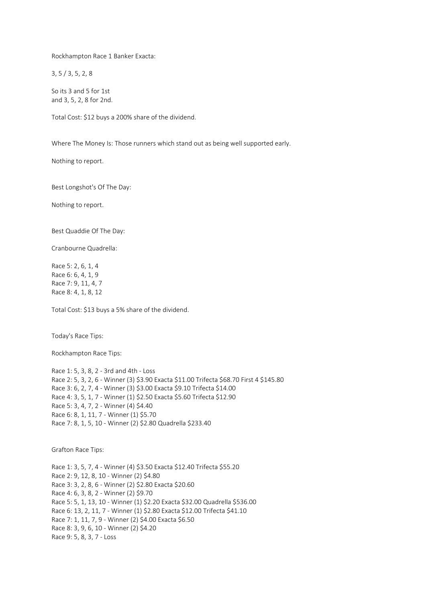Rockhampton Race 1 Banker Exacta:

3, 5 / 3, 5, 2, 8

So its 3 and 5 for 1st and 3, 5, 2, 8 for 2nd.

Total Cost: \$12 buys a 200% share of the dividend.

Where The Money Is: Those runners which stand out as being well supported early.

Nothing to report.

Best Longshot's Of The Day:

Nothing to report.

Best Quaddie Of The Day:

Cranbourne Quadrella:

Race 5: 2, 6, 1, 4 Race 6: 6, 4, 1, 9 Race 7: 9, 11, 4, 7 Race 8: 4, 1, 8, 12

Total Cost: \$13 buys a 5% share of the dividend.

Today's Race Tips:

Rockhampton Race Tips:

Race 1: 5, 3, 8, 2 - 3rd and 4th - Loss Race 2: 5, 3, 2, 6 - Winner (3) \$3.90 Exacta \$11.00 Trifecta \$68.70 First 4 \$145.80 Race 3: 6, 2, 7, 4 - Winner (3) \$3.00 Exacta \$9.10 Trifecta \$14.00 Race 4: 3, 5, 1, 7 - Winner (1) \$2.50 Exacta \$5.60 Trifecta \$12.90 Race 5: 3, 4, 7, 2 - Winner (4) \$4.40 Race 6: 8, 1, 11, 7 - Winner (1) \$5.70 Race 7: 8, 1, 5, 10 - Winner (2) \$2.80 Quadrella \$233.40

Grafton Race Tips:

Race 1: 3, 5, 7, 4 - Winner (4) \$3.50 Exacta \$12.40 Trifecta \$55.20 Race 2: 9, 12, 8, 10 - Winner (2) \$4.80 Race 3: 3, 2, 8, 6 - Winner (2) \$2.80 Exacta \$20.60 Race 4: 6, 3, 8, 2 - Winner (2) \$9.70 Race 5: 5, 1, 13, 10 - Winner (1) \$2.20 Exacta \$32.00 Quadrella \$536.00 Race 6: 13, 2, 11, 7 - Winner (1) \$2.80 Exacta \$12.00 Trifecta \$41.10 Race 7: 1, 11, 7, 9 - Winner (2) \$4.00 Exacta \$6.50 Race 8: 3, 9, 6, 10 - Winner (2) \$4.20 Race 9: 5, 8, 3, 7 - Loss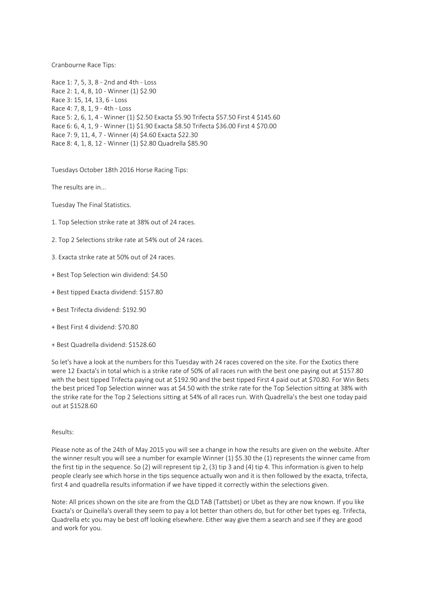Cranbourne Race Tips:

Race 1: 7, 5, 3, 8 - 2nd and 4th - Loss Race 2: 1, 4, 8, 10 - Winner (1) \$2.90 Race 3: 15, 14, 13, 6 - Loss Race 4: 7, 8, 1, 9 - 4th - Loss Race 5: 2, 6, 1, 4 - Winner (1) \$2.50 Exacta \$5.90 Trifecta \$57.50 First 4 \$145.60 Race 6: 6, 4, 1, 9 - Winner (1) \$1.90 Exacta \$8.50 Trifecta \$36.00 First 4 \$70.00 Race 7: 9, 11, 4, 7 - Winner (4) \$4.60 Exacta \$22.30 Race 8: 4, 1, 8, 12 - Winner (1) \$2.80 Quadrella \$85.90

Tuesdays October 18th 2016 Horse Racing Tips:

The results are in...

Tuesday The Final Statistics.

- 1. Top Selection strike rate at 38% out of 24 races.
- 2. Top 2 Selections strike rate at 54% out of 24 races.
- 3. Exacta strike rate at 50% out of 24 races.
- + Best Top Selection win dividend: \$4.50
- + Best tipped Exacta dividend: \$157.80
- + Best Trifecta dividend: \$192.90
- + Best First 4 dividend: \$70.80
- + Best Quadrella dividend: \$1528.60

So let's have a look at the numbers for this Tuesday with 24 races covered on the site. For the Exotics there were 12 Exacta's in total which is a strike rate of 50% of all races run with the best one paying out at \$157.80 with the best tipped Trifecta paying out at \$192.90 and the best tipped First 4 paid out at \$70.80. For Win Bets the best priced Top Selection winner was at \$4.50 with the strike rate for the Top Selection sitting at 38% with the strike rate for the Top 2 Selections sitting at 54% of all races run. With Quadrella's the best one today paid out at \$1528.60

#### Results:

Please note as of the 24th of May 2015 you will see a change in how the results are given on the website. After the winner result you will see a number for example Winner (1) \$5.30 the (1) represents the winner came from the first tip in the sequence. So (2) will represent tip 2, (3) tip 3 and (4) tip 4. This information is given to help people clearly see which horse in the tips sequence actually won and it is then followed by the exacta, trifecta, first 4 and quadrella results information if we have tipped it correctly within the selections given.

Note: All prices shown on the site are from the QLD TAB (Tattsbet) or Ubet as they are now known. If you like Exacta's or Quinella's overall they seem to pay a lot better than others do, but for other bet types eg. Trifecta, Quadrella etc you may be best off looking elsewhere. Either way give them a search and see if they are good and work for you.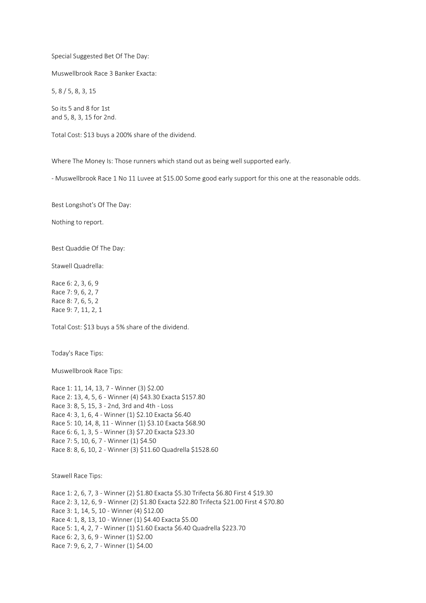Special Suggested Bet Of The Day:

Muswellbrook Race 3 Banker Exacta:

5, 8 / 5, 8, 3, 15

So its 5 and 8 for 1st and 5, 8, 3, 15 for 2nd.

Total Cost: \$13 buys a 200% share of the dividend.

Where The Money Is: Those runners which stand out as being well supported early.

- Muswellbrook Race 1 No 11 Luvee at \$15.00 Some good early support for this one at the reasonable odds.

Best Longshot's Of The Day:

Nothing to report.

Best Quaddie Of The Day:

Stawell Quadrella:

Race 6: 2, 3, 6, 9 Race 7: 9, 6, 2, 7 Race 8: 7, 6, 5, 2 Race 9: 7, 11, 2, 1

Total Cost: \$13 buys a 5% share of the dividend.

Today's Race Tips:

Muswellbrook Race Tips:

Race 1: 11, 14, 13, 7 - Winner (3) \$2.00 Race 2: 13, 4, 5, 6 - Winner (4) \$43.30 Exacta \$157.80 Race 3: 8, 5, 15, 3 - 2nd, 3rd and 4th - Loss Race 4: 3, 1, 6, 4 - Winner (1) \$2.10 Exacta \$6.40 Race 5: 10, 14, 8, 11 - Winner (1) \$3.10 Exacta \$68.90 Race 6: 6, 1, 3, 5 - Winner (3) \$7.20 Exacta \$23.30 Race 7: 5, 10, 6, 7 - Winner (1) \$4.50 Race 8: 8, 6, 10, 2 - Winner (3) \$11.60 Quadrella \$1528.60

Stawell Race Tips:

Race 1: 2, 6, 7, 3 - Winner (2) \$1.80 Exacta \$5.30 Trifecta \$6.80 First 4 \$19.30 Race 2: 3, 12, 6, 9 - Winner (2) \$1.80 Exacta \$22.80 Trifecta \$21.00 First 4 \$70.80 Race 3: 1, 14, 5, 10 - Winner (4) \$12.00 Race 4: 1, 8, 13, 10 - Winner (1) \$4.40 Exacta \$5.00 Race 5: 1, 4, 2, 7 - Winner (1) \$1.60 Exacta \$6.40 Quadrella \$223.70 Race 6: 2, 3, 6, 9 - Winner (1) \$2.00 Race 7: 9, 6, 2, 7 - Winner (1) \$4.00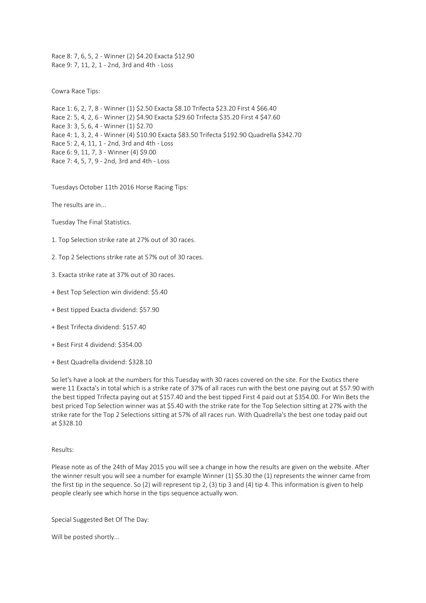Race 8: 7, 6, 5, 2 - Winner (2) \$4.20 Exacta \$12.90 Race 9: 7, 11, 2, 1 - 2nd, 3rd and 4th - Loss

Cowra Race Tips:

Race 1: 6, 2, 7, 8 - Winner (1) \$2.50 Exacta \$8.10 Trifecta \$23.20 First 4 \$66.40 Race 2: 5, 4, 2, 6 - Winner (2) \$4.90 Exacta \$29.60 Trifecta \$35.20 First 4 \$47.60 Race 3: 3, 5, 6, 4 - Winner (1) \$2.70 Race 4: 1, 3, 2, 4 - Winner (4) \$10.90 Exacta \$83.50 Trifecta \$192.90 Quadrella \$342.70 Race 5: 2, 4, 11, 1 - 2nd, 3rd and 4th - Loss Race 6: 9, 11, 7, 3 - Winner (4) \$9.00 Race 7: 4, 5, 7, 9 - 2nd, 3rd and 4th - Loss

Tuesdays October 11th 2016 Horse Racing Tips:

The results are in...

Tuesday The Final Statistics.

- 1. Top Selection strike rate at 27% out of 30 races.
- 2. Top 2 Selections strike rate at 57% out of 30 races.
- 3. Exacta strike rate at 37% out of 30 races.
- + Best Top Selection win dividend: \$5.40
- + Best tipped Exacta dividend: \$57.90
- + Best Trifecta dividend: \$157.40
- + Best First 4 dividend: \$354.00
- + Best Quadrella dividend: \$328.10

So let's have a look at the numbers for this Tuesday with 30 races covered on the site. For the Exotics there were 11 Exacta's in total which is a strike rate of 37% of all races run with the best one paying out at \$57.90 with the best tipped Trifecta paying out at \$157.40 and the best tipped First 4 paid out at \$354.00. For Win Bets the best priced Top Selection winner was at \$5.40 with the strike rate for the Top Selection sitting at 27% with the strike rate for the Top 2 Selections sitting at 57% of all races run. With Quadrella's the best one today paid out at \$328.10

#### Results:

Please note as of the 24th of May 2015 you will see a change in how the results are given on the website. After the winner result you will see a number for example Winner (1) \$5.30 the (1) represents the winner came from the first tip in the sequence. So (2) will represent tip 2, (3) tip 3 and (4) tip 4. This information is given to help people clearly see which horse in the tips sequence actually won.

Special Suggested Bet Of The Day:

Will be posted shortly...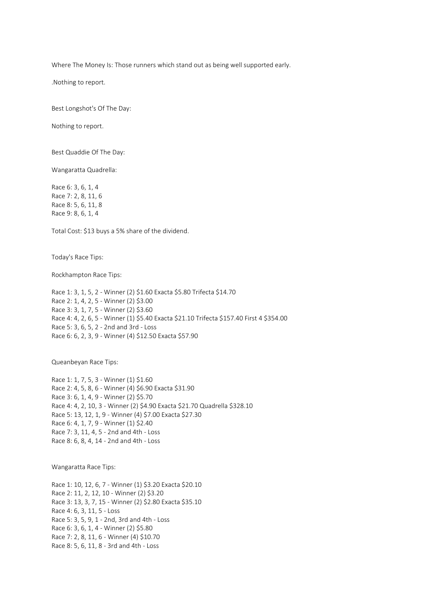Where The Money Is: Those runners which stand out as being well supported early.

.Nothing to report.

Best Longshot's Of The Day:

Nothing to report.

Best Quaddie Of The Day:

Wangaratta Quadrella:

Race 6: 3, 6, 1, 4 Race 7: 2, 8, 11, 6 Race 8: 5, 6, 11, 8 Race 9: 8, 6, 1, 4

Total Cost: \$13 buys a 5% share of the dividend.

Today's Race Tips:

Rockhampton Race Tips:

Race 1: 3, 1, 5, 2 - Winner (2) \$1.60 Exacta \$5.80 Trifecta \$14.70 Race 2: 1, 4, 2, 5 - Winner (2) \$3.00 Race 3: 3, 1, 7, 5 - Winner (2) \$3.60 Race 4: 4, 2, 6, 5 - Winner (1) \$5.40 Exacta \$21.10 Trifecta \$157.40 First 4 \$354.00 Race 5: 3, 6, 5, 2 - 2nd and 3rd - Loss Race 6: 6, 2, 3, 9 - Winner (4) \$12.50 Exacta \$57.90

Queanbeyan Race Tips:

Race 1: 1, 7, 5, 3 - Winner (1) \$1.60 Race 2: 4, 5, 8, 6 - Winner (4) \$6.90 Exacta \$31.90 Race 3: 6, 1, 4, 9 - Winner (2) \$5.70 Race 4: 4, 2, 10, 3 - Winner (2) \$4.90 Exacta \$21.70 Quadrella \$328.10 Race 5: 13, 12, 1, 9 - Winner (4) \$7.00 Exacta \$27.30 Race 6: 4, 1, 7, 9 - Winner (1) \$2.40 Race 7: 3, 11, 4, 5 - 2nd and 4th - Loss Race 8: 6, 8, 4, 14 - 2nd and 4th - Loss

Wangaratta Race Tips:

Race 1: 10, 12, 6, 7 - Winner (1) \$3.20 Exacta \$20.10 Race 2: 11, 2, 12, 10 - Winner (2) \$3.20 Race 3: 13, 3, 7, 15 - Winner (2) \$2.80 Exacta \$35.10 Race 4: 6, 3, 11, 5 - Loss Race 5: 3, 5, 9, 1 - 2nd, 3rd and 4th - Loss Race 6: 3, 6, 1, 4 - Winner (2) \$5.80 Race 7: 2, 8, 11, 6 - Winner (4) \$10.70 Race 8: 5, 6, 11, 8 - 3rd and 4th - Loss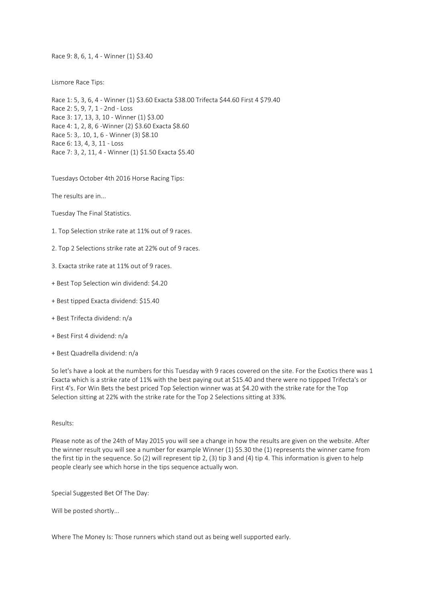Race 9: 8, 6, 1, 4 - Winner (1) \$3.40

Lismore Race Tips:

Race 1: 5, 3, 6, 4 - Winner (1) \$3.60 Exacta \$38.00 Trifecta \$44.60 First 4 \$79.40 Race 2: 5, 9, 7, 1 - 2nd - Loss Race 3: 17, 13, 3, 10 - Winner (1) \$3.00 Race 4: 1, 2, 8, 6 -Winner (2) \$3.60 Exacta \$8.60 Race 5: 3,. 10, 1, 6 - Winner (3) \$8.10 Race 6: 13, 4, 3, 11 - Loss Race 7: 3, 2, 11, 4 - Winner (1) \$1.50 Exacta \$5.40

Tuesdays October 4th 2016 Horse Racing Tips:

The results are in...

Tuesday The Final Statistics.

1. Top Selection strike rate at 11% out of 9 races.

2. Top 2 Selections strike rate at 22% out of 9 races.

3. Exacta strike rate at 11% out of 9 races.

+ Best Top Selection win dividend: \$4.20

+ Best tipped Exacta dividend: \$15.40

+ Best Trifecta dividend: n/a

+ Best First 4 dividend: n/a

+ Best Quadrella dividend: n/a

So let's have a look at the numbers for this Tuesday with 9 races covered on the site. For the Exotics there was 1 Exacta which is a strike rate of 11% with the best paying out at \$15.40 and there were no tippped Trifecta's or First 4's. For Win Bets the best priced Top Selection winner was at \$4.20 with the strike rate for the Top Selection sitting at 22% with the strike rate for the Top 2 Selections sitting at 33%.

#### Results:

Please note as of the 24th of May 2015 you will see a change in how the results are given on the website. After the winner result you will see a number for example Winner (1) \$5.30 the (1) represents the winner came from the first tip in the sequence. So (2) will represent tip 2, (3) tip 3 and (4) tip 4. This information is given to help people clearly see which horse in the tips sequence actually won.

Special Suggested Bet Of The Day:

Will be posted shortly...

Where The Money Is: Those runners which stand out as being well supported early.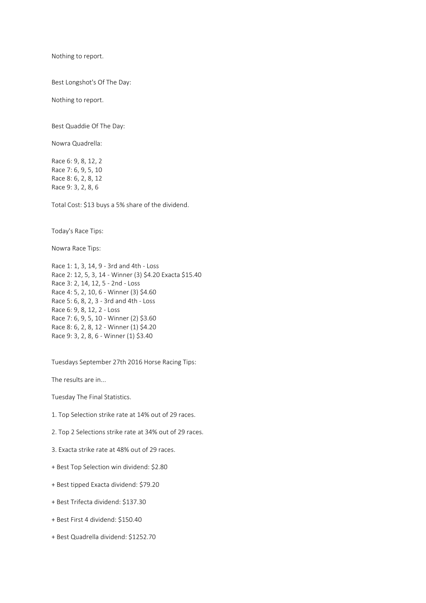Nothing to report.

Best Longshot's Of The Day:

Nothing to report.

Best Quaddie Of The Day:

Nowra Quadrella:

Race 6: 9, 8, 12, 2 Race 7: 6, 9, 5, 10 Race 8: 6, 2, 8, 12 Race 9: 3, 2, 8, 6

Total Cost: \$13 buys a 5% share of the dividend.

Today's Race Tips:

Nowra Race Tips:

Race 1: 1, 3, 14, 9 - 3rd and 4th - Loss Race 2: 12, 5, 3, 14 - Winner (3) \$4.20 Exacta \$15.40 Race 3: 2, 14, 12, 5 - 2nd - Loss Race 4: 5, 2, 10, 6 - Winner (3) \$4.60 Race 5: 6, 8, 2, 3 - 3rd and 4th - Loss Race 6: 9, 8, 12, 2 - Loss Race 7: 6, 9, 5, 10 - Winner (2) \$3.60 Race 8: 6, 2, 8, 12 - Winner (1) \$4.20 Race 9: 3, 2, 8, 6 - Winner (1) \$3.40

Tuesdays September 27th 2016 Horse Racing Tips:

The results are in...

Tuesday The Final Statistics.

- 1. Top Selection strike rate at 14% out of 29 races.
- 2. Top 2 Selections strike rate at 34% out of 29 races.
- 3. Exacta strike rate at 48% out of 29 races.
- + Best Top Selection win dividend: \$2.80
- + Best tipped Exacta dividend: \$79.20
- + Best Trifecta dividend: \$137.30
- + Best First 4 dividend: \$150.40
- + Best Quadrella dividend: \$1252.70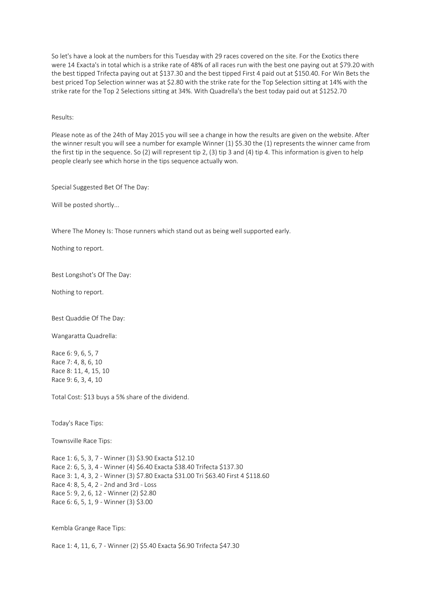So let's have a look at the numbers for this Tuesday with 29 races covered on the site. For the Exotics there were 14 Exacta's in total which is a strike rate of 48% of all races run with the best one paying out at \$79.20 with the best tipped Trifecta paying out at \$137.30 and the best tipped First 4 paid out at \$150.40. For Win Bets the best priced Top Selection winner was at \$2.80 with the strike rate for the Top Selection sitting at 14% with the strike rate for the Top 2 Selections sitting at 34%. With Quadrella's the best today paid out at \$1252.70

Results:

Please note as of the 24th of May 2015 you will see a change in how the results are given on the website. After the winner result you will see a number for example Winner (1) \$5.30 the (1) represents the winner came from the first tip in the sequence. So (2) will represent tip 2, (3) tip 3 and (4) tip 4. This information is given to help people clearly see which horse in the tips sequence actually won.

Special Suggested Bet Of The Day:

Will be posted shortly...

Where The Money Is: Those runners which stand out as being well supported early.

Nothing to report.

Best Longshot's Of The Day:

Nothing to report.

Best Quaddie Of The Day:

Wangaratta Quadrella:

Race 6: 9, 6, 5, 7 Race 7: 4, 8, 6, 10 Race 8: 11, 4, 15, 10 Race 9: 6, 3, 4, 10

Total Cost: \$13 buys a 5% share of the dividend.

Today's Race Tips:

Townsville Race Tips:

Race 1: 6, 5, 3, 7 - Winner (3) \$3.90 Exacta \$12.10 Race 2: 6, 5, 3, 4 - Winner (4) \$6.40 Exacta \$38.40 Trifecta \$137.30 Race 3: 1, 4, 3, 2 - Winner (3) \$7.80 Exacta \$31.00 Tri \$63.40 First 4 \$118.60 Race 4: 8, 5, 4, 2 - 2nd and 3rd - Loss Race 5: 9, 2, 6, 12 - Winner (2) \$2.80 Race 6: 6, 5, 1, 9 - Winner (3) \$3.00

Kembla Grange Race Tips:

Race 1: 4, 11, 6, 7 - Winner (2) \$5.40 Exacta \$6.90 Trifecta \$47.30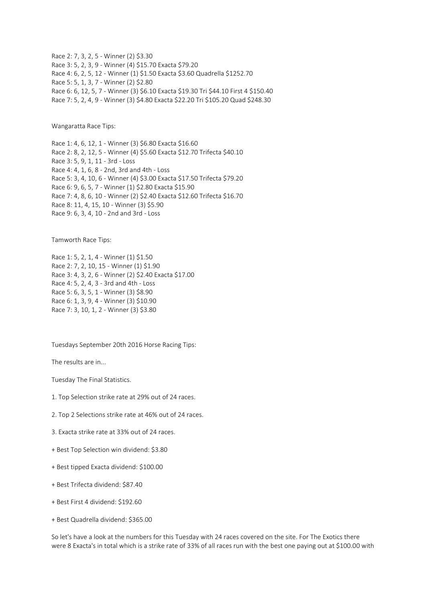Race 2: 7, 3, 2, 5 - Winner (2) \$3.30 Race 3: 5, 2, 3, 9 - Winner (4) \$15.70 Exacta \$79.20 Race 4: 6, 2, 5, 12 - Winner (1) \$1.50 Exacta \$3.60 Quadrella \$1252.70 Race 5: 5, 1, 3, 7 - Winner (2) \$2.80 Race 6: 6, 12, 5, 7 - Winner (3) \$6.10 Exacta \$19.30 Tri \$44.10 First 4 \$150.40 Race 7: 5, 2, 4, 9 - Winner (3) \$4.80 Exacta \$22.20 Tri \$105.20 Quad \$248.30

Wangaratta Race Tips:

Race 1: 4, 6, 12, 1 - Winner (3) \$6.80 Exacta \$16.60 Race 2: 8, 2, 12, 5 - Winner (4) \$5.60 Exacta \$12.70 Trifecta \$40.10 Race 3: 5, 9, 1, 11 - 3rd - Loss Race 4: 4, 1, 6, 8 - 2nd, 3rd and 4th - Loss Race 5: 3, 4, 10, 6 - Winner (4) \$3.00 Exacta \$17.50 Trifecta \$79.20 Race 6: 9, 6, 5, 7 - Winner (1) \$2.80 Exacta \$15.90 Race 7: 4, 8, 6, 10 - Winner (2) \$2.40 Exacta \$12.60 Trifecta \$16.70 Race 8: 11, 4, 15, 10 - Winner (3) \$5.90 Race 9: 6, 3, 4, 10 - 2nd and 3rd - Loss

Tamworth Race Tips:

Race 1: 5, 2, 1, 4 - Winner (1) \$1.50 Race 2: 7, 2, 10, 15 - Winner (1) \$1.90 Race 3: 4, 3, 2, 6 - Winner (2) \$2.40 Exacta \$17.00 Race 4: 5, 2, 4, 3 - 3rd and 4th - Loss Race 5: 6, 3, 5, 1 - Winner (3) \$8.90 Race 6: 1, 3, 9, 4 - Winner (3) \$10.90 Race 7: 3, 10, 1, 2 - Winner (3) \$3.80

Tuesdays September 20th 2016 Horse Racing Tips:

The results are in...

Tuesday The Final Statistics.

1. Top Selection strike rate at 29% out of 24 races.

2. Top 2 Selections strike rate at 46% out of 24 races.

3. Exacta strike rate at 33% out of 24 races.

+ Best Top Selection win dividend: \$3.80

+ Best tipped Exacta dividend: \$100.00

+ Best Trifecta dividend: \$87.40

+ Best First 4 dividend: \$192.60

+ Best Quadrella dividend: \$365.00

So let's have a look at the numbers for this Tuesday with 24 races covered on the site. For The Exotics there were 8 Exacta's in total which is a strike rate of 33% of all races run with the best one paying out at \$100.00 with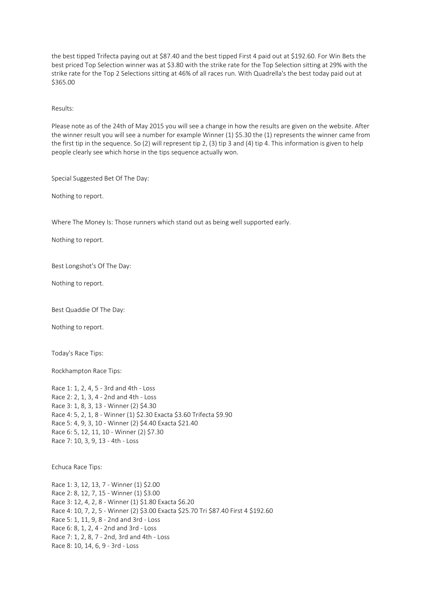the best tipped Trifecta paying out at \$87.40 and the best tipped First 4 paid out at \$192.60. For Win Bets the best priced Top Selection winner was at \$3.80 with the strike rate for the Top Selection sitting at 29% with the strike rate for the Top 2 Selections sitting at 46% of all races run. With Quadrella's the best today paid out at \$365.00

### Results:

Please note as of the 24th of May 2015 you will see a change in how the results are given on the website. After the winner result you will see a number for example Winner (1) \$5.30 the (1) represents the winner came from the first tip in the sequence. So (2) will represent tip 2, (3) tip 3 and (4) tip 4. This information is given to help people clearly see which horse in the tips sequence actually won.

Special Suggested Bet Of The Day:

Nothing to report.

Where The Money Is: Those runners which stand out as being well supported early.

Nothing to report.

Best Longshot's Of The Day:

Nothing to report.

Best Quaddie Of The Day:

Nothing to report.

Today's Race Tips:

Rockhampton Race Tips:

Race 1: 1, 2, 4, 5 - 3rd and 4th - Loss Race 2: 2, 1, 3, 4 - 2nd and 4th - Loss Race 3: 1, 8, 3, 13 - Winner (2) \$4.30 Race 4: 5, 2, 1, 8 - Winner (1) \$2.30 Exacta \$3.60 Trifecta \$9.90 Race 5: 4, 9, 3, 10 - Winner (2) \$4.40 Exacta \$21.40 Race 6: 5, 12, 11, 10 - Winner (2) \$7.30 Race 7: 10, 3, 9, 13 - 4th - Loss

Echuca Race Tips:

Race 1: 3, 12, 13, 7 - Winner (1) \$2.00 Race 2: 8, 12, 7, 15 - Winner (1) \$3.00 Race 3: 12, 4, 2, 8 - Winner (1) \$1.80 Exacta \$6.20 Race 4: 10, 7, 2, 5 - Winner (2) \$3.00 Exacta \$25.70 Tri \$87.40 First 4 \$192.60 Race 5: 1, 11, 9, 8 - 2nd and 3rd - Loss Race 6: 8, 1, 2, 4 - 2nd and 3rd - Loss Race 7: 1, 2, 8, 7 - 2nd, 3rd and 4th - Loss Race 8: 10, 14, 6, 9 - 3rd - Loss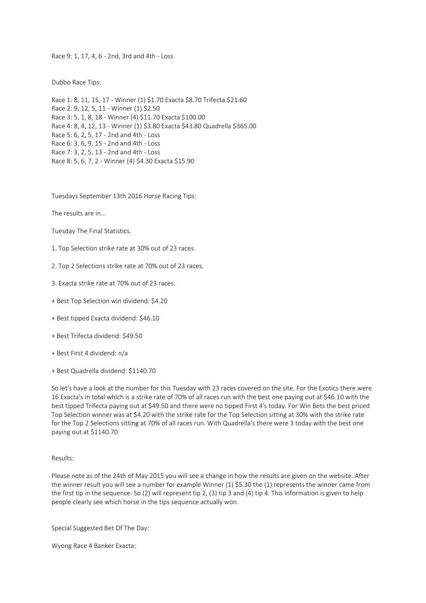Race 9: 1, 17, 4, 6 - 2nd, 3rd and 4th - Loss

Dubbo Race Tips:

Race 1: 8, 11, 15, 17 - Winner (1) \$1.70 Exacta \$8.70 Trifecta \$21.60 Race 2: 9, 12, 5, 11 - Winner (1) \$2.50 Race 3: 5, 1, 8, 18 - Winner (4) \$11.70 Exacta \$100.00 Race 4: 8, 4, 12, 13 - Winner (1) \$3.80 Exacta \$43.80 Quadrella \$365.00 Race 5: 6, 2, 5, 17 - 2nd and 4th - Loss Race 6: 3, 6, 9, 15 - 2nd and 4th - Loss Race 7: 3, 2, 5, 13 - 2nd and 4th - Loss Race 8: 5, 6, 7, 2 - Winner (4) \$4.30 Exacta \$15.90

Tuesdays September 13th 2016 Horse Racing Tips:

The results are in...

Tuesday The Final Statistics.

1. Top Selection strike rate at 30% out of 23 races.

2. Top 2 Selections strike rate at 70% out of 23 races.

3. Exacta strike rate at 70% out of 23 races.

+ Best Top Selection win dividend: \$4.20

+ Best tipped Exacta dividend: \$46.10

+ Best Trifecta dividend: \$49.50

+ Best First 4 dividend: n/a

+ Best Quadrella dividend: \$1140.70

So let's have a look at the number for this Tuesday with 23 races covered on the site. For the Exotics there were 16 Exacta's in total which is a strike rate of 70% of all races run with the best one paying out at \$46.10 with the best tipped Trifecta paying out at \$49.50 and there were no tipped First 4's today. For Win Bets the best priced Top Selection winner was at \$4.20 with the strike rate for the Top Selection sitting at 30% with the strike rate for the Top 2 Selections sitting at 70% of all races run. With Quadrella's there were 3 today with the best one paying out at \$1140.70

Results:

Please note as of the 24th of May 2015 you will see a change in how the results are given on the website. After the winner result you will see a number for example Winner (1) \$5.30 the (1) represents the winner came from the first tip in the sequence. So (2) will represent tip 2, (3) tip 3 and (4) tip 4. This information is given to help people clearly see which horse in the tips sequence actually won.

Special Suggested Bet Of The Day:

Wyong Race 4 Banker Exacta: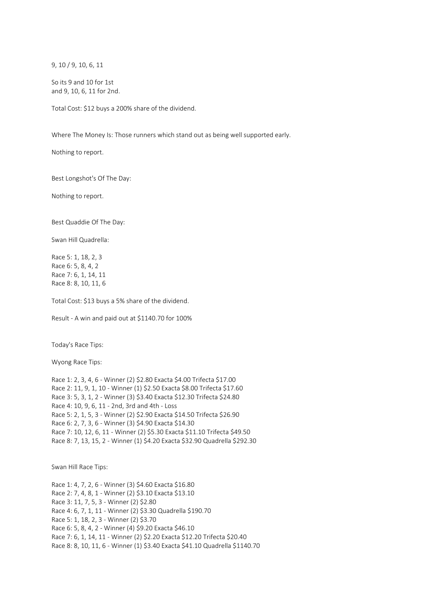9, 10 / 9, 10, 6, 11

So its 9 and 10 for 1st and 9, 10, 6, 11 for 2nd.

Total Cost: \$12 buys a 200% share of the dividend.

Where The Money Is: Those runners which stand out as being well supported early.

Nothing to report.

Best Longshot's Of The Day:

Nothing to report.

Best Quaddie Of The Day:

Swan Hill Quadrella:

Race 5: 1, 18, 2, 3 Race 6: 5, 8, 4, 2 Race 7: 6, 1, 14, 11 Race 8: 8, 10, 11, 6

Total Cost: \$13 buys a 5% share of the dividend.

Result - A win and paid out at \$1140.70 for 100%

Today's Race Tips:

Wyong Race Tips:

Race 1: 2, 3, 4, 6 - Winner (2) \$2.80 Exacta \$4.00 Trifecta \$17.00 Race 2: 11, 9, 1, 10 - Winner (1) \$2.50 Exacta \$8.00 Trifecta \$17.60 Race 3: 5, 3, 1, 2 - Winner (3) \$3.40 Exacta \$12.30 Trifecta \$24.80 Race 4: 10, 9, 6, 11 - 2nd, 3rd and 4th - Loss Race 5: 2, 1, 5, 3 - Winner (2) \$2.90 Exacta \$14.50 Trifecta \$26.90 Race 6: 2, 7, 3, 6 - Winner (3) \$4.90 Exacta \$14.30 Race 7: 10, 12, 6, 11 - Winner (2) \$5.30 Exacta \$11.10 Trifecta \$49.50 Race 8: 7, 13, 15, 2 - Winner (1) \$4.20 Exacta \$32.90 Quadrella \$292.30

Swan Hill Race Tips:

Race 1: 4, 7, 2, 6 - Winner (3) \$4.60 Exacta \$16.80 Race 2: 7, 4, 8, 1 - Winner (2) \$3.10 Exacta \$13.10 Race 3: 11, 7, 5, 3 - Winner (2) \$2.80 Race 4: 6, 7, 1, 11 - Winner (2) \$3.30 Quadrella \$190.70 Race 5: 1, 18, 2, 3 - Winner (2) \$3.70 Race 6: 5, 8, 4, 2 - Winner (4) \$9.20 Exacta \$46.10 Race 7: 6, 1, 14, 11 - Winner (2) \$2.20 Exacta \$12.20 Trifecta \$20.40 Race 8: 8, 10, 11, 6 - Winner (1) \$3.40 Exacta \$41.10 Quadrella \$1140.70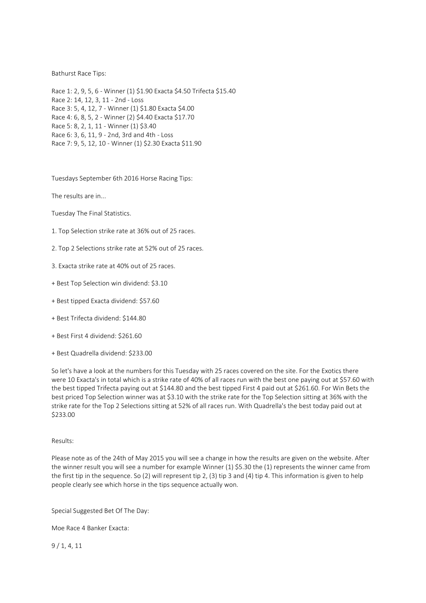### Bathurst Race Tips:

Race 1: 2, 9, 5, 6 - Winner (1) \$1.90 Exacta \$4.50 Trifecta \$15.40 Race 2: 14, 12, 3, 11 - 2nd - Loss Race 3: 5, 4, 12, 7 - Winner (1) \$1.80 Exacta \$4.00 Race 4: 6, 8, 5, 2 - Winner (2) \$4.40 Exacta \$17.70 Race 5: 8, 2, 1, 11 - Winner (1) \$3.40 Race 6: 3, 6, 11, 9 - 2nd, 3rd and 4th - Loss Race 7: 9, 5, 12, 10 - Winner (1) \$2.30 Exacta \$11.90

Tuesdays September 6th 2016 Horse Racing Tips:

The results are in...

Tuesday The Final Statistics.

- 1. Top Selection strike rate at 36% out of 25 races.
- 2. Top 2 Selections strike rate at 52% out of 25 races.
- 3. Exacta strike rate at 40% out of 25 races.
- + Best Top Selection win dividend: \$3.10
- + Best tipped Exacta dividend: \$57.60
- + Best Trifecta dividend: \$144.80
- + Best First 4 dividend: \$261.60
- + Best Quadrella dividend: \$233.00

So let's have a look at the numbers for this Tuesday with 25 races covered on the site. For the Exotics there were 10 Exacta's in total which is a strike rate of 40% of all races run with the best one paying out at \$57.60 with the best tipped Trifecta paying out at \$144.80 and the best tipped First 4 paid out at \$261.60. For Win Bets the best priced Top Selection winner was at \$3.10 with the strike rate for the Top Selection sitting at 36% with the strike rate for the Top 2 Selections sitting at 52% of all races run. With Quadrella's the best today paid out at \$233.00

#### Results:

Please note as of the 24th of May 2015 you will see a change in how the results are given on the website. After the winner result you will see a number for example Winner (1) \$5.30 the (1) represents the winner came from the first tip in the sequence. So (2) will represent tip 2, (3) tip 3 and (4) tip 4. This information is given to help people clearly see which horse in the tips sequence actually won.

#### Special Suggested Bet Of The Day:

Moe Race 4 Banker Exacta:

9 / 1, 4, 11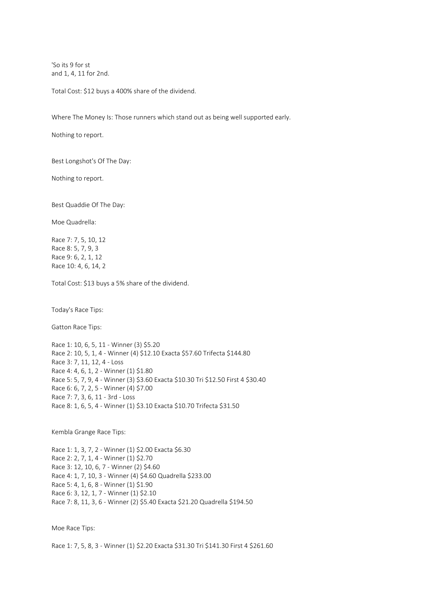'So its 9 for st and 1, 4, 11 for 2nd.

Total Cost: \$12 buys a 400% share of the dividend.

Where The Money Is: Those runners which stand out as being well supported early.

Nothing to report.

Best Longshot's Of The Day:

Nothing to report.

Best Quaddie Of The Day:

Moe Quadrella:

Race 7: 7, 5, 10, 12 Race 8: 5, 7, 9, 3 Race 9: 6, 2, 1, 12 Race 10: 4, 6, 14, 2

Total Cost: \$13 buys a 5% share of the dividend.

Today's Race Tips:

Gatton Race Tips:

Race 1: 10, 6, 5, 11 - Winner (3) \$5.20 Race 2: 10, 5, 1, 4 - Winner (4) \$12.10 Exacta \$57.60 Trifecta \$144.80 Race 3: 7, 11, 12, 4 - Loss Race 4: 4, 6, 1, 2 - Winner (1) \$1.80 Race 5: 5, 7, 9, 4 - Winner (3) \$3.60 Exacta \$10.30 Tri \$12.50 First 4 \$30.40 Race 6: 6, 7, 2, 5 - Winner (4) \$7.00 Race 7: 7, 3, 6, 11 - 3rd - Loss Race 8: 1, 6, 5, 4 - Winner (1) \$3.10 Exacta \$10.70 Trifecta \$31.50

Kembla Grange Race Tips:

Race 1: 1, 3, 7, 2 - Winner (1) \$2.00 Exacta \$6.30 Race 2: 2, 7, 1, 4 - Winner (1) \$2.70 Race 3: 12, 10, 6, 7 - Winner (2) \$4.60 Race 4: 1, 7, 10, 3 - Winner (4) \$4.60 Quadrella \$233.00 Race 5: 4, 1, 6, 8 - Winner (1) \$1.90 Race 6: 3, 12, 1, 7 - Winner (1) \$2.10 Race 7: 8, 11, 3, 6 - Winner (2) \$5.40 Exacta \$21.20 Quadrella \$194.50

Moe Race Tips:

Race 1: 7, 5, 8, 3 - Winner (1) \$2.20 Exacta \$31.30 Tri \$141.30 First 4 \$261.60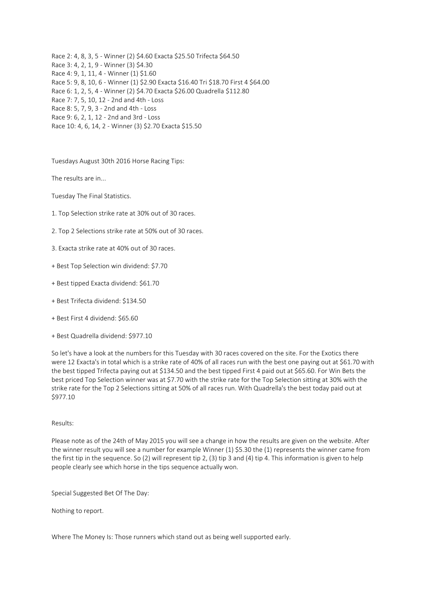Race 2: 4, 8, 3, 5 - Winner (2) \$4.60 Exacta \$25.50 Trifecta \$64.50 Race 3: 4, 2, 1, 9 - Winner (3) \$4.30 Race 4: 9, 1, 11, 4 - Winner (1) \$1.60 Race 5: 9, 8, 10, 6 - Winner (1) \$2.90 Exacta \$16.40 Tri \$18.70 First 4 \$64.00 Race 6: 1, 2, 5, 4 - Winner (2) \$4.70 Exacta \$26.00 Quadrella \$112.80 Race 7: 7, 5, 10, 12 - 2nd and 4th - Loss Race 8: 5, 7, 9, 3 - 2nd and 4th - Loss Race 9: 6, 2, 1, 12 - 2nd and 3rd - Loss Race 10: 4, 6, 14, 2 - Winner (3) \$2.70 Exacta \$15.50

Tuesdays August 30th 2016 Horse Racing Tips:

The results are in...

Tuesday The Final Statistics.

- 1. Top Selection strike rate at 30% out of 30 races.
- 2. Top 2 Selections strike rate at 50% out of 30 races.
- 3. Exacta strike rate at 40% out of 30 races.
- + Best Top Selection win dividend: \$7.70
- + Best tipped Exacta dividend: \$61.70
- + Best Trifecta dividend: \$134.50
- + Best First 4 dividend: \$65.60
- + Best Quadrella dividend: \$977.10

So let's have a look at the numbers for this Tuesday with 30 races covered on the site. For the Exotics there were 12 Exacta's in total which is a strike rate of 40% of all races run with the best one paying out at \$61.70 with the best tipped Trifecta paying out at \$134.50 and the best tipped First 4 paid out at \$65.60. For Win Bets the best priced Top Selection winner was at \$7.70 with the strike rate for the Top Selection sitting at 30% with the strike rate for the Top 2 Selections sitting at 50% of all races run. With Quadrella's the best today paid out at \$977.10

#### Results:

Please note as of the 24th of May 2015 you will see a change in how the results are given on the website. After the winner result you will see a number for example Winner (1) \$5.30 the (1) represents the winner came from the first tip in the sequence. So (2) will represent tip 2, (3) tip 3 and (4) tip 4. This information is given to help people clearly see which horse in the tips sequence actually won.

Special Suggested Bet Of The Day:

Nothing to report.

Where The Money Is: Those runners which stand out as being well supported early.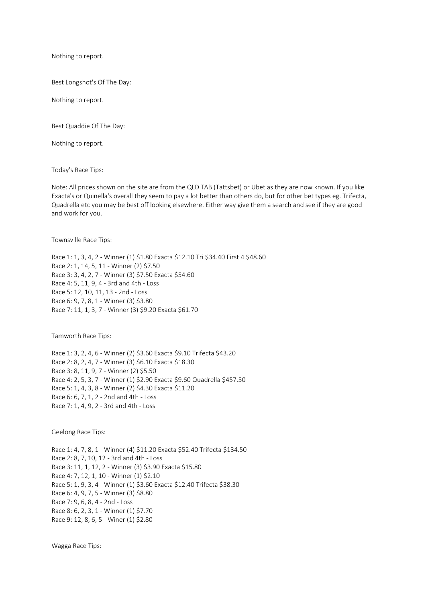Nothing to report.

Best Longshot's Of The Day:

Nothing to report.

Best Quaddie Of The Day:

Nothing to report.

Today's Race Tips:

Note: All prices shown on the site are from the QLD TAB (Tattsbet) or Ubet as they are now known. If you like Exacta's or Quinella's overall they seem to pay a lot better than others do, but for other bet types eg. Trifecta, Quadrella etc you may be best off looking elsewhere. Either way give them a search and see if they are good and work for you.

Townsville Race Tips:

Race 1: 1, 3, 4, 2 - Winner (1) \$1.80 Exacta \$12.10 Tri \$34.40 First 4 \$48.60 Race 2: 1, 14, 5, 11 - Winner (2) \$7.50 Race 3: 3, 4, 2, 7 - Winner (3) \$7.50 Exacta \$54.60 Race 4: 5, 11, 9, 4 - 3rd and 4th - Loss Race 5: 12, 10, 11, 13 - 2nd - Loss Race 6: 9, 7, 8, 1 - Winner (3) \$3.80 Race 7: 11, 1, 3, 7 - Winner (3) \$9.20 Exacta \$61.70

Tamworth Race Tips:

Race 1: 3, 2, 4, 6 - Winner (2) \$3.60 Exacta \$9.10 Trifecta \$43.20 Race 2: 8, 2, 4, 7 - Winner (3) \$6.10 Exacta \$18.30 Race 3: 8, 11, 9, 7 - Winner (2) \$5.50 Race 4: 2, 5, 3, 7 - Winner (1) \$2.90 Exacta \$9.60 Quadrella \$457.50 Race 5: 1, 4, 3, 8 - Winner (2) \$4.30 Exacta \$11.20 Race 6: 6, 7, 1, 2 - 2nd and 4th - Loss Race 7: 1, 4, 9, 2 - 3rd and 4th - Loss

Geelong Race Tips:

Race 1: 4, 7, 8, 1 - Winner (4) \$11.20 Exacta \$52.40 Trifecta \$134.50 Race 2: 8, 7, 10, 12 - 3rd and 4th - Loss Race 3: 11, 1, 12, 2 - Winner (3) \$3.90 Exacta \$15.80 Race 4: 7, 12, 1, 10 - Winner (1) \$2.10 Race 5: 1, 9, 3, 4 - Winner (1) \$3.60 Exacta \$12.40 Trifecta \$38.30 Race 6: 4, 9, 7, 5 - Winner (3) \$8.80 Race 7: 9, 6, 8, 4 - 2nd - Loss Race 8: 6, 2, 3, 1 - Winner (1) \$7.70 Race 9: 12, 8, 6, 5 - Winer (1) \$2.80

Wagga Race Tips: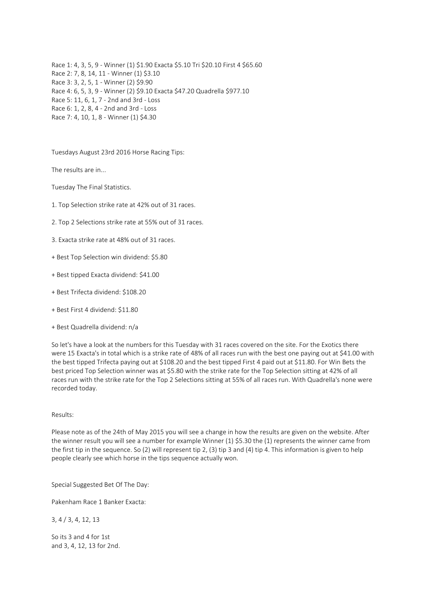Race 1: 4, 3, 5, 9 - Winner (1) \$1.90 Exacta \$5.10 Tri \$20.10 First 4 \$65.60 Race 2: 7, 8, 14, 11 - Winner (1) \$3.10 Race 3: 3, 2, 5, 1 - Winner (2) \$9.90 Race 4: 6, 5, 3, 9 - Winner (2) \$9.10 Exacta \$47.20 Quadrella \$977.10 Race 5: 11, 6, 1, 7 - 2nd and 3rd - Loss Race 6: 1, 2, 8, 4 - 2nd and 3rd - Loss Race 7: 4, 10, 1, 8 - Winner (1) \$4.30

Tuesdays August 23rd 2016 Horse Racing Tips:

The results are in...

Tuesday The Final Statistics.

- 1. Top Selection strike rate at 42% out of 31 races.
- 2. Top 2 Selections strike rate at 55% out of 31 races.
- 3. Exacta strike rate at 48% out of 31 races.
- + Best Top Selection win dividend: \$5.80
- + Best tipped Exacta dividend: \$41.00
- + Best Trifecta dividend: \$108.20
- + Best First 4 dividend: \$11.80
- + Best Quadrella dividend: n/a

So let's have a look at the numbers for this Tuesday with 31 races covered on the site. For the Exotics there were 15 Exacta's in total which is a strike rate of 48% of all races run with the best one paying out at \$41.00 with the best tipped Trifecta paying out at \$108.20 and the best tipped First 4 paid out at \$11.80. For Win Bets the best priced Top Selection winner was at \$5.80 with the strike rate for the Top Selection sitting at 42% of all races run with the strike rate for the Top 2 Selections sitting at 55% of all races run. With Quadrella's none were recorded today.

## Results:

Please note as of the 24th of May 2015 you will see a change in how the results are given on the website. After the winner result you will see a number for example Winner (1) \$5.30 the (1) represents the winner came from the first tip in the sequence. So (2) will represent tip 2, (3) tip 3 and (4) tip 4. This information is given to help people clearly see which horse in the tips sequence actually won.

Special Suggested Bet Of The Day:

Pakenham Race 1 Banker Exacta:

3, 4 / 3, 4, 12, 13

So its 3 and 4 for 1st and 3, 4, 12, 13 for 2nd.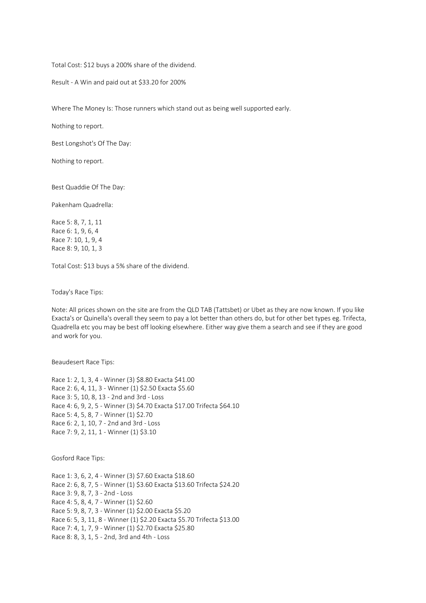Total Cost: \$12 buys a 200% share of the dividend.

Result - A Win and paid out at \$33.20 for 200%

Where The Money Is: Those runners which stand out as being well supported early.

Nothing to report.

Best Longshot's Of The Day:

Nothing to report.

Best Quaddie Of The Day:

Pakenham Quadrella:

Race 5: 8, 7, 1, 11 Race 6: 1, 9, 6, 4 Race 7: 10, 1, 9, 4 Race 8: 9, 10, 1, 3

Total Cost: \$13 buys a 5% share of the dividend.

Today's Race Tips:

Note: All prices shown on the site are from the QLD TAB (Tattsbet) or Ubet as they are now known. If you like Exacta's or Quinella's overall they seem to pay a lot better than others do, but for other bet types eg. Trifecta, Quadrella etc you may be best off looking elsewhere. Either way give them a search and see if they are good and work for you.

Beaudesert Race Tips:

Race 1: 2, 1, 3, 4 - Winner (3) \$8.80 Exacta \$41.00 Race 2: 6, 4, 11, 3 - Winner (1) \$2.50 Exacta \$5.60 Race 3: 5, 10, 8, 13 - 2nd and 3rd - Loss Race 4: 6, 9, 2, 5 - Winner (3) \$4.70 Exacta \$17.00 Trifecta \$64.10 Race 5: 4, 5, 8, 7 - Winner (1) \$2.70 Race 6: 2, 1, 10, 7 - 2nd and 3rd - Loss Race 7: 9, 2, 11, 1 - Winner (1) \$3.10

Gosford Race Tips:

Race 1: 3, 6, 2, 4 - Winner (3) \$7.60 Exacta \$18.60 Race 2: 6, 8, 7, 5 - Winner (1) \$3.60 Exacta \$13.60 Trifecta \$24.20 Race 3: 9, 8, 7, 3 - 2nd - Loss Race 4: 5, 8, 4, 7 - Winner (1) \$2.60 Race 5: 9, 8, 7, 3 - Winner (1) \$2.00 Exacta \$5.20 Race 6: 5, 3, 11, 8 - Winner (1) \$2.20 Exacta \$5.70 Trifecta \$13.00 Race 7: 4, 1, 7, 9 - Winner (1) \$2.70 Exacta \$25.80 Race 8: 8, 3, 1, 5 - 2nd, 3rd and 4th - Loss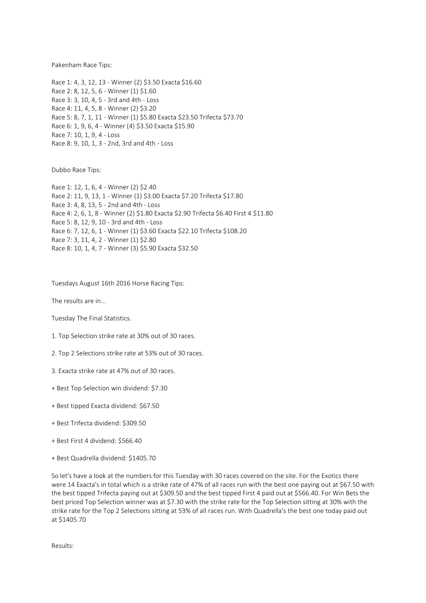Pakenham Race Tips:

Race 1: 4, 3, 12, 13 - Winner (2) \$3.50 Exacta \$16.60 Race 2: 8, 12, 5, 6 - Winner (1) \$1.60 Race 3: 3, 10, 4, 5 - 3rd and 4th - Loss Race 4: 11, 4, 5, 8 - Winner (2) \$3.20 Race 5: 8, 7, 1, 11 - Winner (1) \$5.80 Exacta \$23.50 Trifecta \$73.70 Race 6: 1, 9, 6, 4 - Winner (4) \$3.50 Exacta \$15.90 Race 7: 10, 1, 9, 4 - Loss Race 8: 9, 10, 1, 3 - 2nd, 3rd and 4th - Loss

Dubbo Race Tips:

Race 1: 12, 1, 6, 4 - Winner (2) \$2.40 Race 2: 11, 9, 13, 1 - Winner (1) \$3.00 Exacta \$7.20 Trifecta \$17.80 Race 3: 4, 8, 13, 5 - 2nd and 4th - Loss Race 4: 2, 6, 1, 8 - Winner (2) \$1.80 Exacta \$2.90 Trifecta \$6.40 First 4 \$11.80 Race 5: 8, 12, 9, 10 - 3rd and 4th - Loss Race 6: 7, 12, 6, 1 - Winner (1) \$3.60 Exacta \$22.10 Trifecta \$108.20 Race 7: 3, 11, 4, 2 - Winner (1) \$2.80 Race 8: 10, 1, 4, 7 - Winner (3) \$5.90 Exacta \$32.50

Tuesdays August 16th 2016 Horse Racing Tips:

The results are in...

Tuesday The Final Statistics.

1. Top Selection strike rate at 30% out of 30 races.

2. Top 2 Selections strike rate at 53% out of 30 races.

3. Exacta strike rate at 47% out of 30 races.

+ Best Top Selection win dividend: \$7.30

+ Best tipped Exacta dividend: \$67.50

+ Best Trifecta dividend: \$309.50

+ Best First 4 dividend: \$566.40

+ Best Quadrella dividend: \$1405.70

So let's have a look at the numbers for this Tuesday with 30 races covered on the site. For the Exotics there were 14 Exacta's in total which is a strike rate of 47% of all races run with the best one paying out at \$67.50 with the best tipped Trifecta paying out at \$309.50 and the best tipped First 4 paid out at \$566.40. For Win Bets the best priced Top Selection winner was at \$7.30 with the strike rate for the Top Selection sitting at 30% with the strike rate for the Top 2 Selections sitting at 53% of all races run. With Quadrella's the best one today paid out at \$1405.70

Results: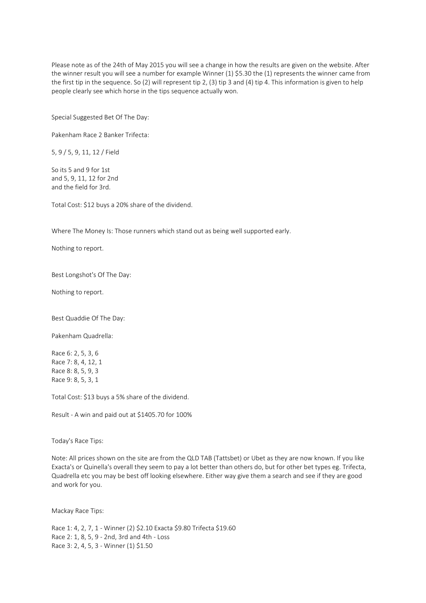Please note as of the 24th of May 2015 you will see a change in how the results are given on the website. After the winner result you will see a number for example Winner (1) \$5.30 the (1) represents the winner came from the first tip in the sequence. So (2) will represent tip 2, (3) tip 3 and (4) tip 4. This information is given to help people clearly see which horse in the tips sequence actually won.

Special Suggested Bet Of The Day:

Pakenham Race 2 Banker Trifecta:

5, 9 / 5, 9, 11, 12 / Field

So its 5 and 9 for 1st and 5, 9, 11, 12 for 2nd and the field for 3rd.

Total Cost: \$12 buys a 20% share of the dividend.

Where The Money Is: Those runners which stand out as being well supported early.

Nothing to report.

Best Longshot's Of The Day:

Nothing to report.

Best Quaddie Of The Day:

Pakenham Quadrella:

Race 6: 2, 5, 3, 6 Race 7: 8, 4, 12, 1 Race 8: 8, 5, 9, 3 Race 9: 8, 5, 3, 1

Total Cost: \$13 buys a 5% share of the dividend.

Result - A win and paid out at \$1405.70 for 100%

Today's Race Tips:

Note: All prices shown on the site are from the QLD TAB (Tattsbet) or Ubet as they are now known. If you like Exacta's or Quinella's overall they seem to pay a lot better than others do, but for other bet types eg. Trifecta, Quadrella etc you may be best off looking elsewhere. Either way give them a search and see if they are good and work for you.

Mackay Race Tips:

Race 1: 4, 2, 7, 1 - Winner (2) \$2.10 Exacta \$9.80 Trifecta \$19.60 Race 2: 1, 8, 5, 9 - 2nd, 3rd and 4th - Loss Race 3: 2, 4, 5, 3 - Winner (1) \$1.50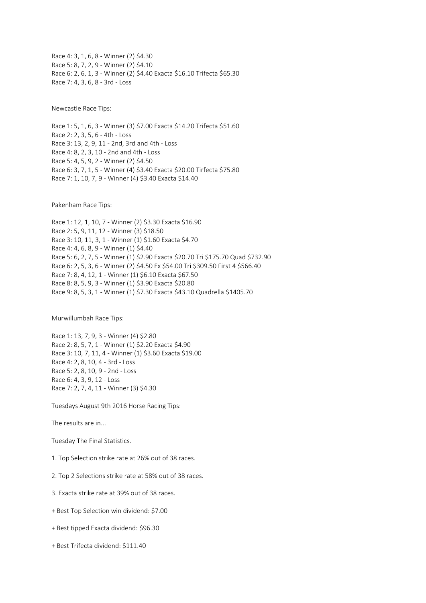Race 4: 3, 1, 6, 8 - Winner (2) \$4.30 Race 5: 8, 7, 2, 9 - Winner (2) \$4.10 Race 6: 2, 6, 1, 3 - Winner (2) \$4.40 Exacta \$16.10 Trifecta \$65.30 Race 7: 4, 3, 6, 8 - 3rd - Loss

Newcastle Race Tips:

Race 1: 5, 1, 6, 3 - Winner (3) \$7.00 Exacta \$14.20 Trifecta \$51.60 Race 2: 2, 3, 5, 6 - 4th - Loss Race 3: 13, 2, 9, 11 - 2nd, 3rd and 4th - Loss Race 4: 8, 2, 3, 10 - 2nd and 4th - Loss Race 5: 4, 5, 9, 2 - Winner (2) \$4.50 Race 6: 3, 7, 1, 5 - Winner (4) \$3.40 Exacta \$20.00 Tirfecta \$75.80 Race 7: 1, 10, 7, 9 - Winner (4) \$3.40 Exacta \$14.40

Pakenham Race Tips:

Race 1: 12, 1, 10, 7 - Winner (2) \$3.30 Exacta \$16.90 Race 2: 5, 9, 11, 12 - Winner (3) \$18.50 Race 3: 10, 11, 3, 1 - Winner (1) \$1.60 Exacta \$4.70 Race 4: 4, 6, 8, 9 - Winner (1) \$4.40 Race 5: 6, 2, 7, 5 - Winner (1) \$2.90 Exacta \$20.70 Tri \$175.70 Quad \$732.90 Race 6: 2, 5, 3, 6 - Winner (2) \$4.50 Ex \$54.00 Tri \$309.50 First 4 \$566.40 Race 7: 8, 4, 12, 1 - Winner (1) \$6.10 Exacta \$67.50 Race 8: 8, 5, 9, 3 - Winner (1) \$3.90 Exacta \$20.80 Race 9: 8, 5, 3, 1 - Winner (1) \$7.30 Exacta \$43.10 Quadrella \$1405.70

Murwillumbah Race Tips:

Race 1: 13, 7, 9, 3 - Winner (4) \$2.80 Race 2: 8, 5, 7, 1 - Winner (1) \$2.20 Exacta \$4.90 Race 3: 10, 7, 11, 4 - Winner (1) \$3.60 Exacta \$19.00 Race 4: 2, 8, 10, 4 - 3rd - Loss Race 5: 2, 8, 10, 9 - 2nd - Loss Race 6: 4, 3, 9, 12 - Loss Race 7: 2, 7, 4, 11 - Winner (3) \$4.30

Tuesdays August 9th 2016 Horse Racing Tips:

The results are in...

Tuesday The Final Statistics.

1. Top Selection strike rate at 26% out of 38 races.

2. Top 2 Selections strike rate at 58% out of 38 races.

3. Exacta strike rate at 39% out of 38 races.

+ Best Top Selection win dividend: \$7.00

+ Best tipped Exacta dividend: \$96.30

+ Best Trifecta dividend: \$111.40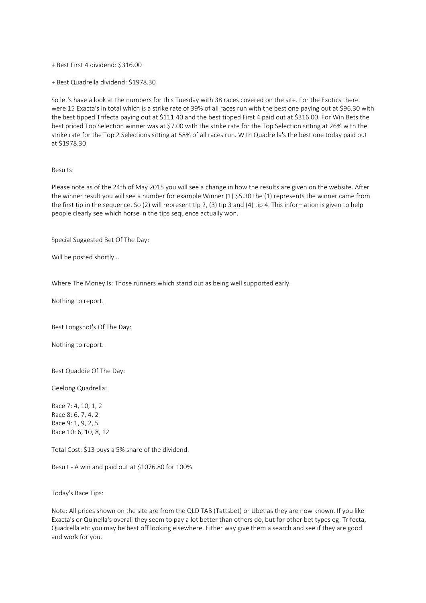## + Best First 4 dividend: \$316.00

+ Best Quadrella dividend: \$1978.30

So let's have a look at the numbers for this Tuesday with 38 races covered on the site. For the Exotics there were 15 Exacta's in total which is a strike rate of 39% of all races run with the best one paying out at \$96.30 with the best tipped Trifecta paying out at \$111.40 and the best tipped First 4 paid out at \$316.00. For Win Bets the best priced Top Selection winner was at \$7.00 with the strike rate for the Top Selection sitting at 26% with the strike rate for the Top 2 Selections sitting at 58% of all races run. With Quadrella's the best one today paid out at \$1978.30

# Results:

Please note as of the 24th of May 2015 you will see a change in how the results are given on the website. After the winner result you will see a number for example Winner (1) \$5.30 the (1) represents the winner came from the first tip in the sequence. So (2) will represent tip 2, (3) tip 3 and (4) tip 4. This information is given to help people clearly see which horse in the tips sequence actually won.

Special Suggested Bet Of The Day:

Will be posted shortly...

Where The Money Is: Those runners which stand out as being well supported early.

Nothing to report.

Best Longshot's Of The Day:

Nothing to report.

Best Quaddie Of The Day:

Geelong Quadrella:

Race 7: 4, 10, 1, 2 Race 8: 6, 7, 4, 2 Race 9: 1, 9, 2, 5 Race 10: 6, 10, 8, 12

Total Cost: \$13 buys a 5% share of the dividend.

Result - A win and paid out at \$1076.80 for 100%

Today's Race Tips:

Note: All prices shown on the site are from the QLD TAB (Tattsbet) or Ubet as they are now known. If you like Exacta's or Quinella's overall they seem to pay a lot better than others do, but for other bet types eg. Trifecta, Quadrella etc you may be best off looking elsewhere. Either way give them a search and see if they are good and work for you.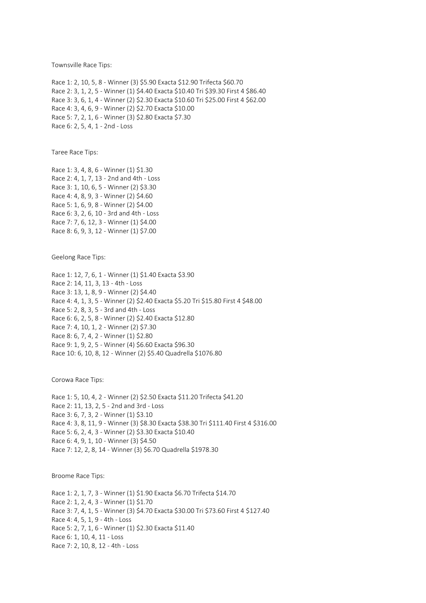Townsville Race Tips:

Race 1: 2, 10, 5, 8 - Winner (3) \$5.90 Exacta \$12.90 Trifecta \$60.70 Race 2: 3, 1, 2, 5 - Winner (1) \$4.40 Exacta \$10.40 Tri \$39.30 First 4 \$86.40 Race 3: 3, 6, 1, 4 - Winner (2) \$2.30 Exacta \$10.60 Tri \$25.00 First 4 \$62.00 Race 4: 3, 4, 6, 9 - Winner (2) \$2.70 Exacta \$10.00 Race 5: 7, 2, 1, 6 - Winner (3) \$2.80 Exacta \$7.30 Race 6: 2, 5, 4, 1 - 2nd - Loss

Taree Race Tips:

Race 1: 3, 4, 8, 6 - Winner (1) \$1.30 Race 2: 4, 1, 7, 13 - 2nd and 4th - Loss Race 3: 1, 10, 6, 5 - Winner (2) \$3.30 Race 4: 4, 8, 9, 3 - Winner (2) \$4.60 Race 5: 1, 6, 9, 8 - Winner (2) \$4.00 Race 6: 3, 2, 6, 10 - 3rd and 4th - Loss Race 7: 7, 6, 12, 3 - Winner (1) \$4.00 Race 8: 6, 9, 3, 12 - Winner (1) \$7.00

Geelong Race Tips:

Race 1: 12, 7, 6, 1 - Winner (1) \$1.40 Exacta \$3.90 Race 2: 14, 11, 3, 13 - 4th - Loss Race 3: 13, 1, 8, 9 - Winner (2) \$4.40 Race 4: 4, 1, 3, 5 - Winner (2) \$2.40 Exacta \$5.20 Tri \$15.80 First 4 \$48.00 Race 5: 2, 8, 3, 5 - 3rd and 4th - Loss Race 6: 6, 2, 5, 8 - Winner (2) \$2.40 Exacta \$12.80 Race 7: 4, 10, 1, 2 - Winner (2) \$7.30 Race 8: 6, 7, 4, 2 - Winner (1) \$2.80 Race 9: 1, 9, 2, 5 - Winner (4) \$6.60 Exacta \$96.30 Race 10: 6, 10, 8, 12 - Winner (2) \$5.40 Quadrella \$1076.80

Corowa Race Tips:

Race 1: 5, 10, 4, 2 - Winner (2) \$2.50 Exacta \$11.20 Trifecta \$41.20 Race 2: 11, 13, 2, 5 - 2nd and 3rd - Loss Race 3: 6, 7, 3, 2 - Winner (1) \$3.10 Race 4: 3, 8, 11, 9 - Winner (3) \$8.30 Exacta \$38.30 Tri \$111.40 First 4 \$316.00 Race 5: 6, 2, 4, 3 - Winner (2) \$3.30 Exacta \$10.40 Race 6: 4, 9, 1, 10 - Winner (3) \$4.50 Race 7: 12, 2, 8, 14 - Winner (3) \$6.70 Quadrella \$1978.30

Broome Race Tips:

Race 1: 2, 1, 7, 3 - Winner (1) \$1.90 Exacta \$6.70 Trifecta \$14.70 Race 2: 1, 2, 4, 3 - Winner (1) \$1.70 Race 3: 7, 4, 1, 5 - Winner (3) \$4.70 Exacta \$30.00 Tri \$73.60 First 4 \$127.40 Race 4: 4, 5, 1, 9 - 4th - Loss Race 5: 2, 7, 1, 6 - Winner (1) \$2.30 Exacta \$11.40 Race 6: 1, 10, 4, 11 - Loss Race 7: 2, 10, 8, 12 - 4th - Loss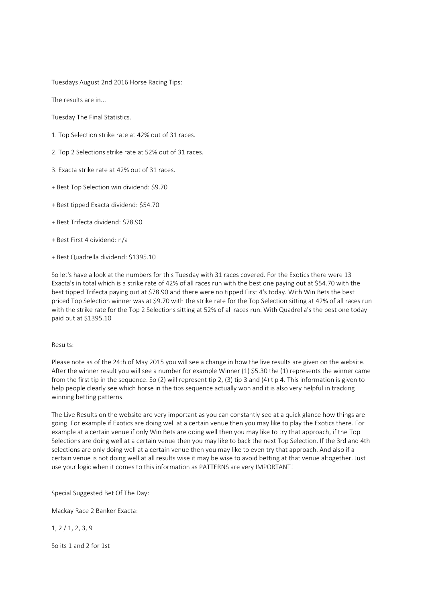Tuesdays August 2nd 2016 Horse Racing Tips:

The results are in...

Tuesday The Final Statistics.

- 1. Top Selection strike rate at 42% out of 31 races.
- 2. Top 2 Selections strike rate at 52% out of 31 races.
- 3. Exacta strike rate at 42% out of 31 races.
- + Best Top Selection win dividend: \$9.70
- + Best tipped Exacta dividend: \$54.70
- + Best Trifecta dividend: \$78.90
- + Best First 4 dividend: n/a
- + Best Quadrella dividend: \$1395.10

So let's have a look at the numbers for this Tuesday with 31 races covered. For the Exotics there were 13 Exacta's in total which is a strike rate of 42% of all races run with the best one paying out at \$54.70 with the best tipped Trifecta paying out at \$78.90 and there were no tipped First 4's today. With Win Bets the best priced Top Selection winner was at \$9.70 with the strike rate for the Top Selection sitting at 42% of all races run with the strike rate for the Top 2 Selections sitting at 52% of all races run. With Quadrella's the best one today paid out at \$1395.10

## Results:

Please note as of the 24th of May 2015 you will see a change in how the live results are given on the website. After the winner result you will see a number for example Winner (1) \$5.30 the (1) represents the winner came from the first tip in the sequence. So (2) will represent tip 2, (3) tip 3 and (4) tip 4. This information is given to help people clearly see which horse in the tips sequence actually won and it is also very helpful in tracking winning betting patterns.

The Live Results on the website are very important as you can constantly see at a quick glance how things are going. For example if Exotics are doing well at a certain venue then you may like to play the Exotics there. For example at a certain venue if only Win Bets are doing well then you may like to try that approach, if the Top Selections are doing well at a certain venue then you may like to back the next Top Selection. If the 3rd and 4th selections are only doing well at a certain venue then you may like to even try that approach. And also if a certain venue is not doing well at all results wise it may be wise to avoid betting at that venue altogether. Just use your logic when it comes to this information as PATTERNS are very IMPORTANT!

Special Suggested Bet Of The Day:

Mackay Race 2 Banker Exacta:

1, 2 / 1, 2, 3, 9

So its 1 and 2 for 1st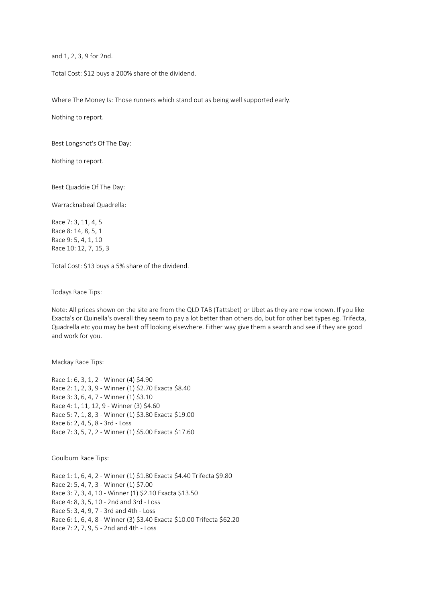and 1, 2, 3, 9 for 2nd.

Total Cost: \$12 buys a 200% share of the dividend.

Where The Money Is: Those runners which stand out as being well supported early.

Nothing to report.

Best Longshot's Of The Day:

Nothing to report.

Best Quaddie Of The Day:

Warracknabeal Quadrella:

Race 7: 3, 11, 4, 5 Race 8: 14, 8, 5, 1 Race 9: 5, 4, 1, 10 Race 10: 12, 7, 15, 3

Total Cost: \$13 buys a 5% share of the dividend.

Todays Race Tips:

Note: All prices shown on the site are from the QLD TAB (Tattsbet) or Ubet as they are now known. If you like Exacta's or Quinella's overall they seem to pay a lot better than others do, but for other bet types eg. Trifecta, Quadrella etc you may be best off looking elsewhere. Either way give them a search and see if they are good and work for you.

Mackay Race Tips:

Race 1: 6, 3, 1, 2 - Winner (4) \$4.90 Race 2: 1, 2, 3, 9 - Winner (1) \$2.70 Exacta \$8.40 Race 3: 3, 6, 4, 7 - Winner (1) \$3.10 Race 4: 1, 11, 12, 9 - Winner (3) \$4.60 Race 5: 7, 1, 8, 3 - Winner (1) \$3.80 Exacta \$19.00 Race 6: 2, 4, 5, 8 - 3rd - Loss Race 7: 3, 5, 7, 2 - Winner (1) \$5.00 Exacta \$17.60

Goulburn Race Tips:

Race 1: 1, 6, 4, 2 - Winner (1) \$1.80 Exacta \$4.40 Trifecta \$9.80 Race 2: 5, 4, 7, 3 - Winner (1) \$7.00 Race 3: 7, 3, 4, 10 - Winner (1) \$2.10 Exacta \$13.50 Race 4: 8, 3, 5, 10 - 2nd and 3rd - Loss Race 5: 3, 4, 9, 7 - 3rd and 4th - Loss Race 6: 1, 6, 4, 8 - Winner (3) \$3.40 Exacta \$10.00 Trifecta \$62.20 Race 7: 2, 7, 9, 5 - 2nd and 4th - Loss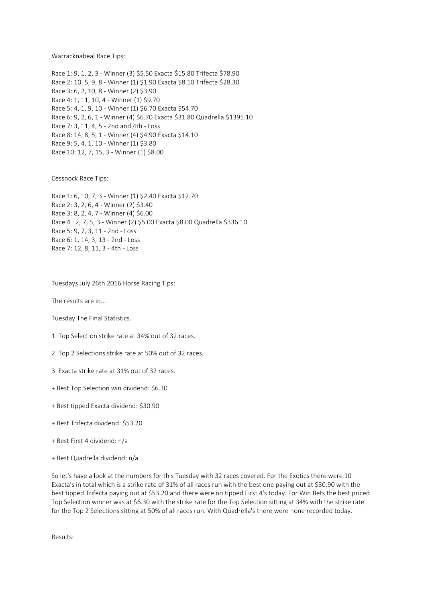Warracknabeal Race Tips:

Race 1: 9, 1, 2, 3 - Winner (3) \$5.50 Exacta \$15.80 Trifecta \$78.90 Race 2: 10, 5, 9, 8 - Winner (1) \$1.90 Exacta \$8.10 Trifecta \$28.30 Race 3: 6, 2, 10, 8 - Winner (2) \$3.90 Race 4: 1, 11, 10, 4 - Winner (1) \$9.70 Race 5: 4, 1, 9, 10 - Winner (1) \$6.70 Exacta \$54.70 Race 6: 9, 2, 6, 1 - Winner (4) \$6.70 Exacta \$31.80 Quadrella \$1395.10 Race 7: 3, 11, 4, 5 - 2nd and 4th - Loss Race 8: 14, 8, 5, 1 - Winner (4) \$4.90 Exacta \$14.10 Race 9: 5, 4, 1, 10 - Winner (1) \$3.80 Race 10: 12, 7, 15, 3 - Winner (1) \$8.00

Cessnock Race Tips:

Race 1: 6, 10, 7, 3 - Winner (1) \$2.40 Exacta \$12.70 Race 2: 3, 2, 6, 4 - Winner (2) \$3.40 Race 3: 8, 2, 4, 7 - Winner (4) \$6.00 Race 4 : 2, 7, 5, 3 - Winner (2) \$5.00 Exacta \$8.00 Quadrella \$336.10 Race 5: 9, 7, 3, 11 - 2nd - Loss Race 6: 1, 14, 3, 13 - 2nd - Loss Race 7: 12, 8, 11, 3 - 4th - Loss

Tuesdays July 26th 2016 Horse Racing Tips:

The results are in...

Tuesday The Final Statistics.

- 1. Top Selection strike rate at 34% out of 32 races.
- 2. Top 2 Selections strike rate at 50% out of 32 races.
- 3. Exacta strike rate at 31% out of 32 races.
- + Best Top Selection win dividend: \$6.30
- + Best tipped Exacta dividend: \$30.90
- + Best Trifecta dividend: \$53.20
- + Best First 4 dividend: n/a
- + Best Quadrella dividend: n/a

So let's have a look at the numbers for this Tuesday with 32 races covered. For the Exotics there were 10 Exacta's in total which is a strike rate of 31% of all races run with the best one paying out at \$30.90 with the best tipped Trifecta paying out at \$53.20 and there were no tipped First 4's today. For Win Bets the best priced Top Selection winner was at \$6.30 with the strike rate for the Top Selection sitting at 34% with the strike rate for the Top 2 Selections sitting at 50% of all races run. With Quadrella's there were none recorded today.

Results: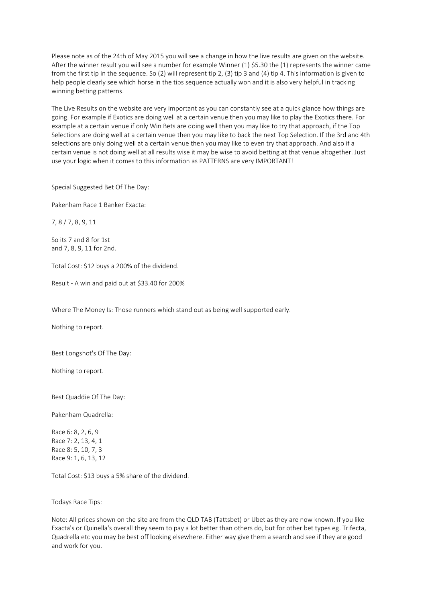Please note as of the 24th of May 2015 you will see a change in how the live results are given on the website. After the winner result you will see a number for example Winner (1) \$5.30 the (1) represents the winner came from the first tip in the sequence. So (2) will represent tip 2, (3) tip 3 and (4) tip 4. This information is given to help people clearly see which horse in the tips sequence actually won and it is also very helpful in tracking winning betting patterns.

The Live Results on the website are very important as you can constantly see at a quick glance how things are going. For example if Exotics are doing well at a certain venue then you may like to play the Exotics there. For example at a certain venue if only Win Bets are doing well then you may like to try that approach, if the Top Selections are doing well at a certain venue then you may like to back the next Top Selection. If the 3rd and 4th selections are only doing well at a certain venue then you may like to even try that approach. And also if a certain venue is not doing well at all results wise it may be wise to avoid betting at that venue altogether. Just use your logic when it comes to this information as PATTERNS are very IMPORTANT!

Special Suggested Bet Of The Day:

Pakenham Race 1 Banker Exacta:

7, 8 / 7, 8, 9, 11

So its 7 and 8 for 1st and 7, 8, 9, 11 for 2nd.

Total Cost: \$12 buys a 200% of the dividend.

Result - A win and paid out at \$33.40 for 200%

Where The Money Is: Those runners which stand out as being well supported early.

Nothing to report.

Best Longshot's Of The Day:

Nothing to report.

Best Quaddie Of The Day:

Pakenham Quadrella:

Race 6: 8, 2, 6, 9 Race 7: 2, 13, 4, 1 Race 8: 5, 10, 7, 3 Race 9: 1, 6, 13, 12

Total Cost: \$13 buys a 5% share of the dividend.

Todays Race Tips:

Note: All prices shown on the site are from the QLD TAB (Tattsbet) or Ubet as they are now known. If you like Exacta's or Quinella's overall they seem to pay a lot better than others do, but for other bet types eg. Trifecta, Quadrella etc you may be best off looking elsewhere. Either way give them a search and see if they are good and work for you.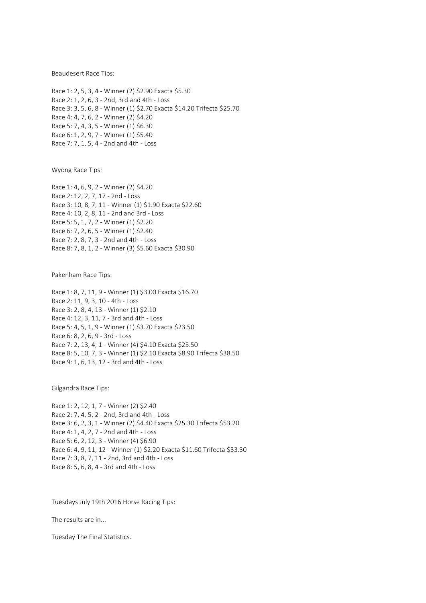Beaudesert Race Tips:

Race 1: 2, 5, 3, 4 - Winner (2) \$2.90 Exacta \$5.30 Race 2: 1, 2, 6, 3 - 2nd, 3rd and 4th - Loss Race 3: 3, 5, 6, 8 - Winner (1) \$2.70 Exacta \$14.20 Trifecta \$25.70 Race 4: 4, 7, 6, 2 - Winner (2) \$4.20 Race 5: 7, 4, 3, 5 - Winner (1) \$6.30 Race 6: 1, 2, 9, 7 - Winner (1) \$5.40 Race 7: 7, 1, 5, 4 - 2nd and 4th - Loss

Wyong Race Tips:

Race 1: 4, 6, 9, 2 - Winner (2) \$4.20 Race 2: 12, 2, 7, 17 - 2nd - Loss Race 3: 10, 8, 7, 11 - Winner (1) \$1.90 Exacta \$22.60 Race 4: 10, 2, 8, 11 - 2nd and 3rd - Loss Race 5: 5, 1, 7, 2 - Winner (1) \$2.20 Race 6: 7, 2, 6, 5 - Winner (1) \$2.40 Race 7: 2, 8, 7, 3 - 2nd and 4th - Loss Race 8: 7, 8, 1, 2 - Winner (3) \$5.60 Exacta \$30.90

Pakenham Race Tips:

Race 1: 8, 7, 11, 9 - Winner (1) \$3.00 Exacta \$16.70 Race 2: 11, 9, 3, 10 - 4th - Loss Race 3: 2, 8, 4, 13 - Winner (1) \$2.10 Race 4: 12, 3, 11, 7 - 3rd and 4th - Loss Race 5: 4, 5, 1, 9 - Winner (1) \$3.70 Exacta \$23.50 Race 6: 8, 2, 6, 9 - 3rd - Loss Race 7: 2, 13, 4, 1 - Winner (4) \$4.10 Exacta \$25.50 Race 8: 5, 10, 7, 3 - Winner (1) \$2.10 Exacta \$8.90 Trifecta \$38.50 Race 9: 1, 6, 13, 12 - 3rd and 4th - Loss

Gilgandra Race Tips:

Race 1: 2, 12, 1, 7 - Winner (2) \$2.40 Race 2: 7, 4, 5, 2 - 2nd, 3rd and 4th - Loss Race 3: 6, 2, 3, 1 - Winner (2) \$4.40 Exacta \$25.30 Trifecta \$53.20 Race 4: 1, 4, 2, 7 - 2nd and 4th - Loss Race 5: 6, 2, 12, 3 - Winner (4) \$6.90 Race 6: 4, 9, 11, 12 - Winner (1) \$2.20 Exacta \$11.60 Trifecta \$33.30 Race 7: 3, 8, 7, 11 - 2nd, 3rd and 4th - Loss Race 8: 5, 6, 8, 4 - 3rd and 4th - Loss

Tuesdays July 19th 2016 Horse Racing Tips:

The results are in...

Tuesday The Final Statistics.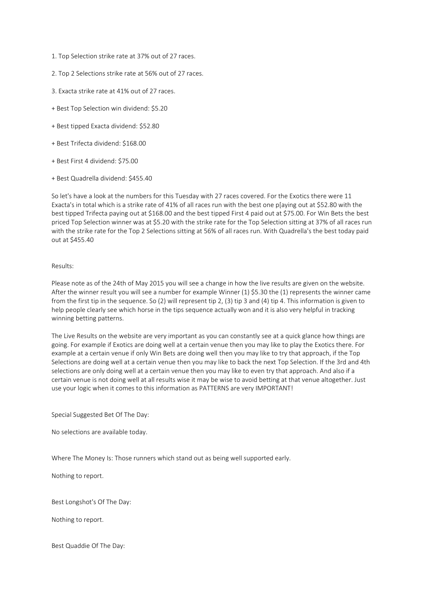- 1. Top Selection strike rate at 37% out of 27 races.
- 2. Top 2 Selections strike rate at 56% out of 27 races.
- 3. Exacta strike rate at 41% out of 27 races.
- + Best Top Selection win dividend: \$5.20
- + Best tipped Exacta dividend: \$52.80
- + Best Trifecta dividend: \$168.00
- + Best First 4 dividend: \$75.00
- + Best Quadrella dividend: \$455.40

So let's have a look at the numbers for this Tuesday with 27 races covered. For the Exotics there were 11 Exacta's in total which is a strike rate of 41% of all races run with the best one p[aying out at \$52.80 with the best tipped Trifecta paying out at \$168.00 and the best tipped First 4 paid out at \$75.00. For Win Bets the best priced Top Selection winner was at \$5.20 with the strike rate for the Top Selection sitting at 37% of all races run with the strike rate for the Top 2 Selections sitting at 56% of all races run. With Quadrella's the best today paid out at \$455.40

## Results:

Please note as of the 24th of May 2015 you will see a change in how the live results are given on the website. After the winner result you will see a number for example Winner (1) \$5.30 the (1) represents the winner came from the first tip in the sequence. So (2) will represent tip 2, (3) tip 3 and (4) tip 4. This information is given to help people clearly see which horse in the tips sequence actually won and it is also very helpful in tracking winning betting patterns.

The Live Results on the website are very important as you can constantly see at a quick glance how things are going. For example if Exotics are doing well at a certain venue then you may like to play the Exotics there. For example at a certain venue if only Win Bets are doing well then you may like to try that approach, if the Top Selections are doing well at a certain venue then you may like to back the next Top Selection. If the 3rd and 4th selections are only doing well at a certain venue then you may like to even try that approach. And also if a certain venue is not doing well at all results wise it may be wise to avoid betting at that venue altogether. Just use your logic when it comes to this information as PATTERNS are very IMPORTANT!

Special Suggested Bet Of The Day:

No selections are available today.

Where The Money Is: Those runners which stand out as being well supported early.

Nothing to report.

Best Longshot's Of The Day:

Nothing to report.

Best Quaddie Of The Day: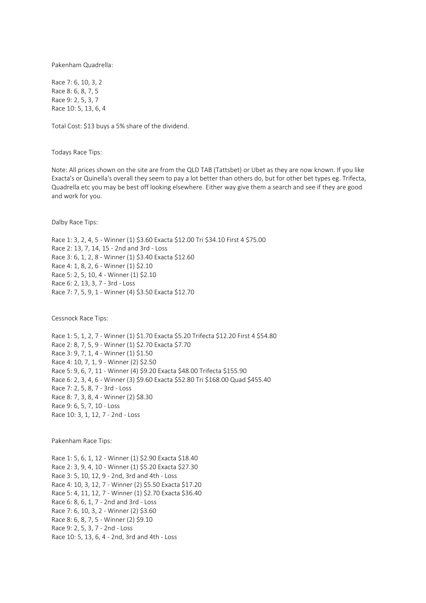Pakenham Quadrella:

Race 7: 6, 10, 3, 2 Race 8: 6, 8, 7, 5 Race 9: 2, 5, 3, 7 Race 10: 5, 13, 6, 4

Total Cost: \$13 buys a 5% share of the dividend.

Todays Race Tips:

Note: All prices shown on the site are from the QLD TAB (Tattsbet) or Ubet as they are now known. If you like Exacta's or Quinella's overall they seem to pay a lot better than others do, but for other bet types eg. Trifecta, Quadrella etc you may be best off looking elsewhere. Either way give them a search and see if they are good and work for you.

Dalby Race Tips:

Race 1: 3, 2, 4, 5 - Winner (1) \$3.60 Exacta \$12.00 Tri \$34.10 First 4 \$75.00 Race 2: 13, 7, 14, 15 - 2nd and 3rd - Loss Race 3: 6, 1, 2, 8 - Winner (1) \$3.40 Exacta \$12.60 Race 4: 1, 8, 2, 6 - Winner (1) \$2.10 Race 5: 2, 5, 10, 4 - Winner (1) \$2.10 Race 6: 2, 13, 3, 7 - 3rd - Loss Race 7: 7, 5, 9, 1 - Winner (4) \$3.50 Exacta \$12.70

Cessnock Race Tips:

Race 1: 5, 1, 2, 7 - Winner (1) \$1.70 Exacta \$5.20 Trifecta \$12.20 First 4 \$54.80 Race 2: 8, 7, 5, 9 - Winner (1) \$2.70 Exacta \$7.70 Race 3: 9, 7, 1, 4 - Winner (1) \$1.50 Race 4: 10, 7, 1, 9 - Winner (2) \$2.50 Race 5: 9, 6, 7, 11 - Winner (4) \$9.20 Exacta \$48.00 Trifecta \$155.90 Race 6: 2, 3, 4, 6 - Winner (3) \$9.60 Exacta \$52.80 Tri \$168.00 Quad \$455.40 Race 7: 2, 5, 8, 7 - 3rd - Loss Race 8: 7, 3, 8, 4 - Winner (2) \$8.30 Race 9: 6, 5, 7, 10 - Loss Race 10: 3, 1, 12, 7 - 2nd - Loss

Pakenham Race Tips:

Race 1: 5, 6, 1, 12 - Winner (1) \$2.90 Exacta \$18.40 Race 2: 3, 9, 4, 10 - Winner (1) \$5.20 Exacta \$27.30 Race 3: 5, 10, 12, 9 - 2nd, 3rd and 4th - Loss Race 4: 10, 3, 12, 7 - Winner (2) \$5.50 Exacta \$17.20 Race 5: 4, 11, 12, 7 - Winner (1) \$2.70 Exacta \$36.40 Race 6: 8, 6, 1, 7 - 2nd and 3rd - Loss Race 7: 6, 10, 3, 2 - Winner (2) \$3.60 Race 8: 6, 8, 7, 5 - Winner (2) \$9.10 Race 9: 2, 5, 3, 7 - 2nd - Loss Race 10: 5, 13, 6, 4 - 2nd, 3rd and 4th - Loss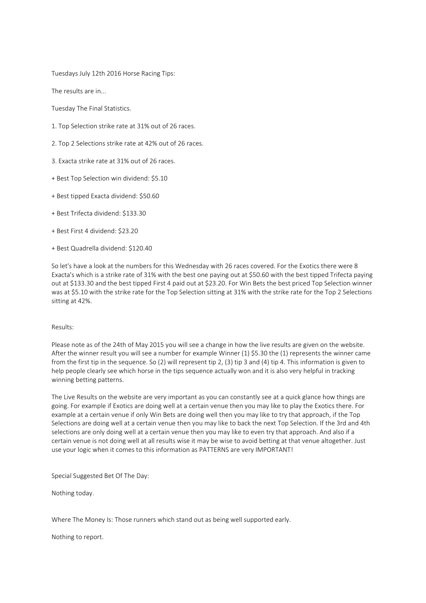Tuesdays July 12th 2016 Horse Racing Tips:

The results are in...

Tuesday The Final Statistics.

- 1. Top Selection strike rate at 31% out of 26 races.
- 2. Top 2 Selections strike rate at 42% out of 26 races.
- 3. Exacta strike rate at 31% out of 26 races.
- + Best Top Selection win dividend: \$5.10
- + Best tipped Exacta dividend: \$50.60
- + Best Trifecta dividend: \$133.30
- + Best First 4 dividend: \$23.20
- + Best Quadrella dividend: \$120.40

So let's have a look at the numbers for this Wednesday with 26 races covered. For the Exotics there were 8 Exacta's which is a strike rate of 31% with the best one paying out at \$50.60 with the best tipped Trifecta paying out at \$133.30 and the best tipped First 4 paid out at \$23.20. For Win Bets the best priced Top Selection winner was at \$5.10 with the strike rate for the Top Selection sitting at 31% with the strike rate for the Top 2 Selections sitting at 42%.

### Results:

Please note as of the 24th of May 2015 you will see a change in how the live results are given on the website. After the winner result you will see a number for example Winner (1) \$5.30 the (1) represents the winner came from the first tip in the sequence. So (2) will represent tip 2, (3) tip 3 and (4) tip 4. This information is given to help people clearly see which horse in the tips sequence actually won and it is also very helpful in tracking winning betting patterns.

The Live Results on the website are very important as you can constantly see at a quick glance how things are going. For example if Exotics are doing well at a certain venue then you may like to play the Exotics there. For example at a certain venue if only Win Bets are doing well then you may like to try that approach, if the Top Selections are doing well at a certain venue then you may like to back the next Top Selection. If the 3rd and 4th selections are only doing well at a certain venue then you may like to even try that approach. And also if a certain venue is not doing well at all results wise it may be wise to avoid betting at that venue altogether. Just use your logic when it comes to this information as PATTERNS are very IMPORTANT!

Special Suggested Bet Of The Day:

Nothing today.

Where The Money Is: Those runners which stand out as being well supported early.

Nothing to report.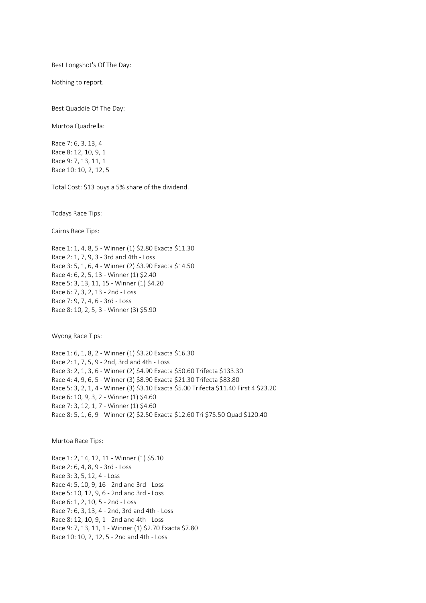Best Longshot's Of The Day:

Nothing to report.

Best Quaddie Of The Day:

Murtoa Quadrella:

Race 7: 6, 3, 13, 4 Race 8: 12, 10, 9, 1 Race 9: 7, 13, 11, 1 Race 10: 10, 2, 12, 5

Total Cost: \$13 buys a 5% share of the dividend.

Todays Race Tips:

Cairns Race Tips:

Race 1: 1, 4, 8, 5 - Winner (1) \$2.80 Exacta \$11.30 Race 2: 1, 7, 9, 3 - 3rd and 4th - Loss Race 3: 5, 1, 6, 4 - Winner (2) \$3.90 Exacta \$14.50 Race 4: 6, 2, 5, 13 - Winner (1) \$2.40 Race 5: 3, 13, 11, 15 - Winner (1) \$4.20 Race 6: 7, 3, 2, 13 - 2nd - Loss Race 7: 9, 7, 4, 6 - 3rd - Loss Race 8: 10, 2, 5, 3 - Winner (3) \$5.90

Wyong Race Tips:

Race 1: 6, 1, 8, 2 - Winner (1) \$3.20 Exacta \$16.30 Race 2: 1, 7, 5, 9 - 2nd, 3rd and 4th - Loss Race 3: 2, 1, 3, 6 - Winner (2) \$4.90 Exacta \$50.60 Trifecta \$133.30 Race 4: 4, 9, 6, 5 - Winner (3) \$8.90 Exacta \$21.30 Trifecta \$83.80 Race 5: 3, 2, 1, 4 - Winner (3) \$3.10 Exacta \$5.00 Trifecta \$11.40 First 4 \$23.20 Race 6: 10, 9, 3, 2 - Winner (1) \$4.60 Race 7: 3, 12, 1, 7 - Winner (1) \$4.60 Race 8: 5, 1, 6, 9 - Winner (2) \$2.50 Exacta \$12.60 Tri \$75.50 Quad \$120.40

Murtoa Race Tips:

Race 1: 2, 14, 12, 11 - Winner (1) \$5.10 Race 2: 6, 4, 8, 9 - 3rd - Loss Race 3: 3, 5, 12, 4 - Loss Race 4: 5, 10, 9, 16 - 2nd and 3rd - Loss Race 5: 10, 12, 9, 6 - 2nd and 3rd - Loss Race 6: 1, 2, 10, 5 - 2nd - Loss Race 7: 6, 3, 13, 4 - 2nd, 3rd and 4th - Loss Race 8: 12, 10, 9, 1 - 2nd and 4th - Loss Race 9: 7, 13, 11, 1 - Winner (1) \$2.70 Exacta \$7.80 Race 10: 10, 2, 12, 5 - 2nd and 4th - Loss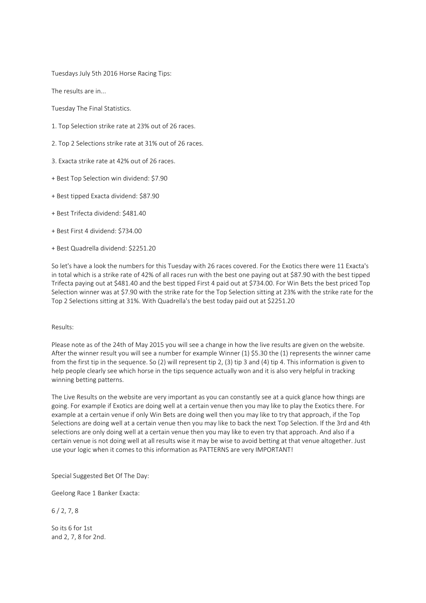Tuesdays July 5th 2016 Horse Racing Tips:

The results are in...

Tuesday The Final Statistics.

- 1. Top Selection strike rate at 23% out of 26 races.
- 2. Top 2 Selections strike rate at 31% out of 26 races.
- 3. Exacta strike rate at 42% out of 26 races.
- + Best Top Selection win dividend: \$7.90
- + Best tipped Exacta dividend: \$87.90
- + Best Trifecta dividend: \$481.40
- + Best First 4 dividend: \$734.00
- + Best Quadrella dividend: \$2251.20

So let's have a look the numbers for this Tuesday with 26 races covered. For the Exotics there were 11 Exacta's in total which is a strike rate of 42% of all races run with the best one paying out at \$87.90 with the best tipped Trifecta paying out at \$481.40 and the best tipped First 4 paid out at \$734.00. For Win Bets the best priced Top Selection winner was at \$7.90 with the strike rate for the Top Selection sitting at 23% with the strike rate for the Top 2 Selections sitting at 31%. With Quadrella's the best today paid out at \$2251.20

### Results:

Please note as of the 24th of May 2015 you will see a change in how the live results are given on the website. After the winner result you will see a number for example Winner (1) \$5.30 the (1) represents the winner came from the first tip in the sequence. So (2) will represent tip 2, (3) tip 3 and (4) tip 4. This information is given to help people clearly see which horse in the tips sequence actually won and it is also very helpful in tracking winning betting patterns.

The Live Results on the website are very important as you can constantly see at a quick glance how things are going. For example if Exotics are doing well at a certain venue then you may like to play the Exotics there. For example at a certain venue if only Win Bets are doing well then you may like to try that approach, if the Top Selections are doing well at a certain venue then you may like to back the next Top Selection. If the 3rd and 4th selections are only doing well at a certain venue then you may like to even try that approach. And also if a certain venue is not doing well at all results wise it may be wise to avoid betting at that venue altogether. Just use your logic when it comes to this information as PATTERNS are very IMPORTANT!

Special Suggested Bet Of The Day:

Geelong Race 1 Banker Exacta:

 $6/2, 7, 8$ 

So its 6 for 1st and 2, 7, 8 for 2nd.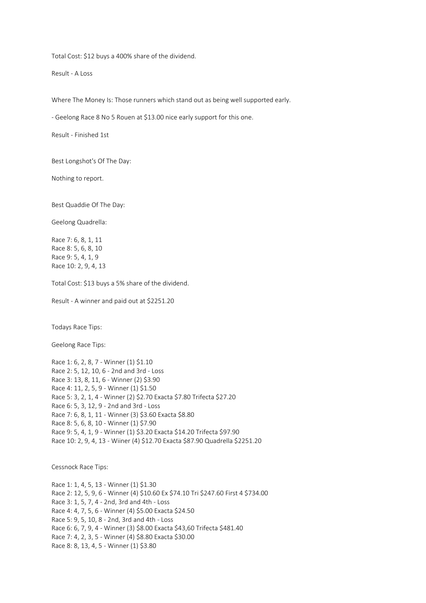Total Cost: \$12 buys a 400% share of the dividend.

Result - A Loss

Where The Money Is: Those runners which stand out as being well supported early.

- Geelong Race 8 No 5 Rouen at \$13.00 nice early support for this one.

Result - Finished 1st

Best Longshot's Of The Day:

Nothing to report.

Best Quaddie Of The Day:

Geelong Quadrella:

Race 7: 6, 8, 1, 11 Race 8: 5, 6, 8, 10 Race 9: 5, 4, 1, 9 Race 10: 2, 9, 4, 13

Total Cost: \$13 buys a 5% share of the dividend.

Result - A winner and paid out at \$2251.20

Todays Race Tips:

Geelong Race Tips:

Race 1: 6, 2, 8, 7 - Winner (1) \$1.10 Race 2: 5, 12, 10, 6 - 2nd and 3rd - Loss Race 3: 13, 8, 11, 6 - Winner (2) \$3.90 Race 4: 11, 2, 5, 9 - Winner (1) \$1.50 Race 5: 3, 2, 1, 4 - Winner (2) \$2.70 Exacta \$7.80 Trifecta \$27.20 Race 6: 5, 3, 12, 9 - 2nd and 3rd - Loss Race 7: 6, 8, 1, 11 - Winner (3) \$3.60 Exacta \$8.80 Race 8: 5, 6, 8, 10 - Winner (1) \$7.90 Race 9: 5, 4, 1, 9 - Winner (1) \$3.20 Exacta \$14.20 Trifecta \$97.90 Race 10: 2, 9, 4, 13 - Wiiner (4) \$12.70 Exacta \$87.90 Quadrella \$2251.20

Cessnock Race Tips:

Race 1: 1, 4, 5, 13 - Winner (1) \$1.30 Race 2: 12, 5, 9, 6 - Winner (4) \$10.60 Ex \$74.10 Tri \$247.60 First 4 \$734.00 Race 3: 1, 5, 7, 4 - 2nd, 3rd and 4th - Loss Race 4: 4, 7, 5, 6 - Winner (4) \$5.00 Exacta \$24.50 Race 5: 9, 5, 10, 8 - 2nd, 3rd and 4th - Loss Race 6: 6, 7, 9, 4 - Winner (3) \$8.00 Exacta \$43,60 Trifecta \$481.40 Race 7: 4, 2, 3, 5 - Winner (4) \$8.80 Exacta \$30.00 Race 8: 8, 13, 4, 5 - Winner (1) \$3.80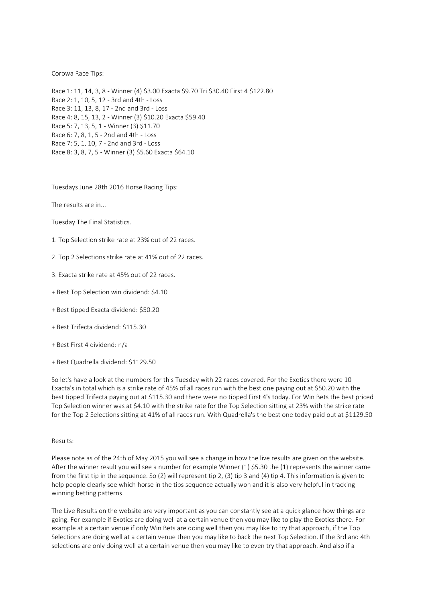## Corowa Race Tips:

Race 1: 11, 14, 3, 8 - Winner (4) \$3.00 Exacta \$9.70 Tri \$30.40 First 4 \$122.80 Race 2: 1, 10, 5, 12 - 3rd and 4th - Loss Race 3: 11, 13, 8, 17 - 2nd and 3rd - Loss Race 4: 8, 15, 13, 2 - Winner (3) \$10.20 Exacta \$59.40 Race 5: 7, 13, 5, 1 - Winner (3) \$11.70 Race 6: 7, 8, 1, 5 - 2nd and 4th - Loss Race 7: 5, 1, 10, 7 - 2nd and 3rd - Loss Race 8: 3, 8, 7, 5 - Winner (3) \$5.60 Exacta \$64.10

Tuesdays June 28th 2016 Horse Racing Tips:

The results are in...

- Tuesday The Final Statistics.
- 1. Top Selection strike rate at 23% out of 22 races.
- 2. Top 2 Selections strike rate at 41% out of 22 races.
- 3. Exacta strike rate at 45% out of 22 races.
- + Best Top Selection win dividend: \$4.10
- + Best tipped Exacta dividend: \$50.20
- + Best Trifecta dividend: \$115.30
- + Best First 4 dividend: n/a
- + Best Quadrella dividend: \$1129.50

So let's have a look at the numbers for this Tuesday with 22 races covered. For the Exotics there were 10 Exacta's in total which is a strike rate of 45% of all races run with the best one paying out at \$50.20 with the best tipped Trifecta paying out at \$115.30 and there were no tipped First 4's today. For Win Bets the best priced Top Selection winner was at \$4.10 with the strike rate for the Top Selection sitting at 23% with the strike rate for the Top 2 Selections sitting at 41% of all races run. With Quadrella's the best one today paid out at \$1129.50

### Results:

Please note as of the 24th of May 2015 you will see a change in how the live results are given on the website. After the winner result you will see a number for example Winner (1) \$5.30 the (1) represents the winner came from the first tip in the sequence. So (2) will represent tip 2, (3) tip 3 and (4) tip 4. This information is given to help people clearly see which horse in the tips sequence actually won and it is also very helpful in tracking winning betting patterns.

The Live Results on the website are very important as you can constantly see at a quick glance how things are going. For example if Exotics are doing well at a certain venue then you may like to play the Exotics there. For example at a certain venue if only Win Bets are doing well then you may like to try that approach, if the Top Selections are doing well at a certain venue then you may like to back the next Top Selection. If the 3rd and 4th selections are only doing well at a certain venue then you may like to even try that approach. And also if a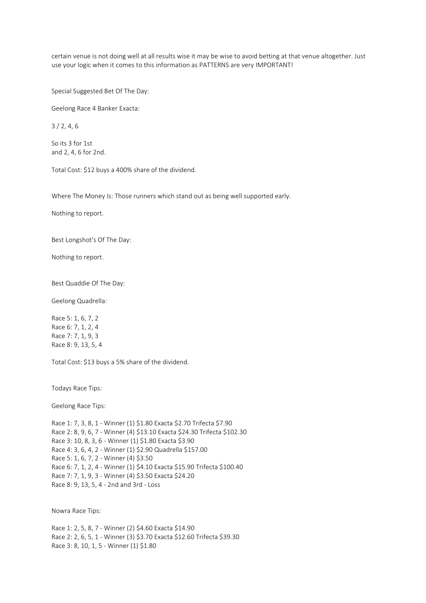certain venue is not doing well at all results wise it may be wise to avoid betting at that venue altogether. Just use your logic when it comes to this information as PATTERNS are very IMPORTANT!

Special Suggested Bet Of The Day:

Geelong Race 4 Banker Exacta:

3 / 2, 4, 6

So its 3 for 1st and 2, 4, 6 for 2nd.

Total Cost: \$12 buys a 400% share of the dividend.

Where The Money Is: Those runners which stand out as being well supported early.

Nothing to report.

Best Longshot's Of The Day:

Nothing to report.

Best Quaddie Of The Day:

Geelong Quadrella:

Race 5: 1, 6, 7, 2 Race 6: 7, 1, 2, 4 Race 7: 7, 1, 9, 3 Race 8: 9, 13, 5, 4

Total Cost: \$13 buys a 5% share of the dividend.

Todays Race Tips:

Geelong Race Tips:

Race 1: 7, 3, 8, 1 - Winner (1) \$1.80 Exacta \$2.70 Trifecta \$7.90 Race 2: 8, 9, 6, 7 - Winner (4) \$13.10 Exacta \$24.30 Trifecta \$102.30 Race 3: 10, 8, 3, 6 - Winner (1) \$1.80 Exacta \$3.90 Race 4: 3, 6, 4, 2 - Winner (1) \$2.90 Quadrella \$157.00 Race 5: 1, 6, 7, 2 - Winner (4) \$3.50 Race 6: 7, 1, 2, 4 - Winner (1) \$4.10 Exacta \$15.90 Trifecta \$100.40 Race 7: 7, 1, 9, 3 - Winner (4) \$3.50 Exacta \$24.20 Race 8: 9, 13, 5, 4 - 2nd and 3rd - Loss

Nowra Race Tips:

Race 1: 2, 5, 8, 7 - Winner (2) \$4.60 Exacta \$14.90 Race 2: 2, 6, 5, 1 - Winner (3) \$3.70 Exacta \$12.60 Trifecta \$39.30 Race 3: 8, 10, 1, 5 - Winner (1) \$1.80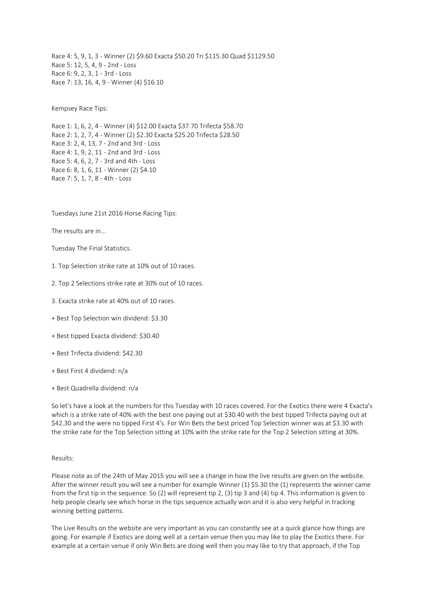Race 4: 5, 9, 1, 3 - Winner (2) \$9.60 Exacta \$50.20 Tri \$115.30 Quad \$1129.50 Race 5: 12, 5, 4, 9 - 2nd - Loss Race 6: 9, 2, 3, 1 - 3rd - Loss Race 7: 13, 16, 4, 9 - Winner (4) \$16.10

Kempsey Race Tips:

Race 1: 1, 6, 2, 4 - Winner (4) \$12.00 Exacta \$37.70 Trifecta \$58.70 Race 2: 1, 2, 7, 4 - Winner (2) \$2.30 Exacta \$25.20 Trifecta \$28.50 Race 3: 2, 4, 13, 7 - 2nd and 3rd - Loss Race 4: 1, 9, 2, 11 - 2nd and 3rd - Loss Race 5: 4, 6, 2, 7 - 3rd and 4th - Loss Race 6: 8, 1, 6, 11 - Winner (2) \$4.10 Race 7: 5, 1, 7, 8 - 4th - Loss

Tuesdays June 21st 2016 Horse Racing Tips:

The results are in...

Tuesday The Final Statistics.

- 1. Top Selection strike rate at 10% out of 10 races.
- 2. Top 2 Selections strike rate at 30% out of 10 races.
- 3. Exacta strike rate at 40% out of 10 races.
- + Best Top Selection win dividend: \$3.30
- + Best tipped Exacta dividend: \$30.40
- + Best Trifecta dividend: \$42.30
- + Best First 4 dividend: n/a
- + Best Quadrella dividend: n/a

So let's have a look at the numbers for this Tuesday with 10 races covered. For the Exotics there were 4 Exacta's which is a strike rate of 40% with the best one paying out at \$30.40 with the best tipped Trifecta paying out at \$42.30 and the were no tipped First 4's. For Win Bets the best priced Top Selection winner was at \$3.30 with the strike rate for the Top Selection sitting at 10% with the strike rate for the Top 2 Selection sitting at 30%.

## Results:

Please note as of the 24th of May 2015 you will see a change in how the live results are given on the website. After the winner result you will see a number for example Winner (1) \$5.30 the (1) represents the winner came from the first tip in the sequence. So (2) will represent tip 2, (3) tip 3 and (4) tip 4. This information is given to help people clearly see which horse in the tips sequence actually won and it is also very helpful in tracking winning betting patterns.

The Live Results on the website are very important as you can constantly see at a quick glance how things are going. For example if Exotics are doing well at a certain venue then you may like to play the Exotics there. For example at a certain venue if only Win Bets are doing well then you may like to try that approach, if the Top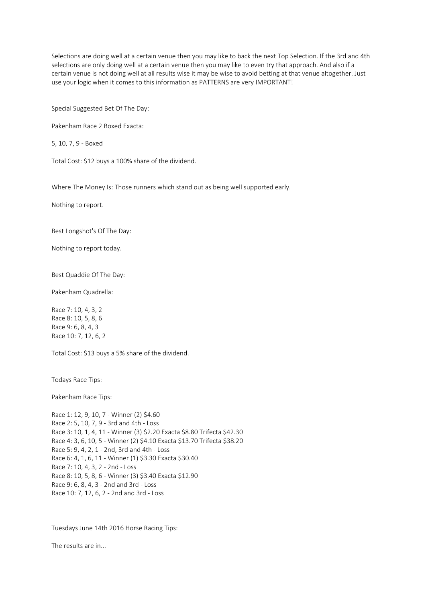Selections are doing well at a certain venue then you may like to back the next Top Selection. If the 3rd and 4th selections are only doing well at a certain venue then you may like to even try that approach. And also if a certain venue is not doing well at all results wise it may be wise to avoid betting at that venue altogether. Just use your logic when it comes to this information as PATTERNS are very IMPORTANT!

Special Suggested Bet Of The Day:

Pakenham Race 2 Boxed Exacta:

5, 10, 7, 9 - Boxed

Total Cost: \$12 buys a 100% share of the dividend.

Where The Money Is: Those runners which stand out as being well supported early.

Nothing to report.

Best Longshot's Of The Day:

Nothing to report today.

Best Quaddie Of The Day:

Pakenham Quadrella:

Race 7: 10, 4, 3, 2 Race 8: 10, 5, 8, 6 Race 9: 6, 8, 4, 3 Race 10: 7, 12, 6, 2

Total Cost: \$13 buys a 5% share of the dividend.

Todays Race Tips:

Pakenham Race Tips:

Race 1: 12, 9, 10, 7 - Winner (2) \$4.60 Race 2: 5, 10, 7, 9 - 3rd and 4th - Loss Race 3: 10, 1, 4, 11 - Winner (3) \$2.20 Exacta \$8.80 Trifecta \$42.30 Race 4: 3, 6, 10, 5 - Winner (2) \$4.10 Exacta \$13.70 Trifecta \$38.20 Race 5: 9, 4, 2, 1 - 2nd, 3rd and 4th - Loss Race 6: 4, 1, 6, 11 - Winner (1) \$3.30 Exacta \$30.40 Race 7: 10, 4, 3, 2 - 2nd - Loss Race 8: 10, 5, 8, 6 - Winner (3) \$3.40 Exacta \$12.90 Race 9: 6, 8, 4, 3 - 2nd and 3rd - Loss Race 10: 7, 12, 6, 2 - 2nd and 3rd - Loss

Tuesdays June 14th 2016 Horse Racing Tips:

The results are in...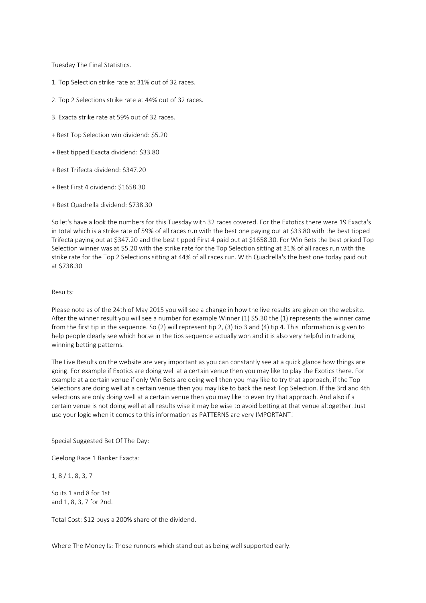Tuesday The Final Statistics.

- 1. Top Selection strike rate at 31% out of 32 races.
- 2. Top 2 Selections strike rate at 44% out of 32 races.
- 3. Exacta strike rate at 59% out of 32 races.
- + Best Top Selection win dividend: \$5.20
- + Best tipped Exacta dividend: \$33.80
- + Best Trifecta dividend: \$347.20
- + Best First 4 dividend: \$1658.30
- + Best Quadrella dividend: \$738.30

So let's have a look the numbers for this Tuesday with 32 races covered. For the Extotics there were 19 Exacta's in total which is a strike rate of 59% of all races run with the best one paying out at \$33.80 with the best tipped Trifecta paying out at \$347.20 and the best tipped First 4 paid out at \$1658.30. For Win Bets the best priced Top Selection winner was at \$5.20 with the strike rate for the Top Selection sitting at 31% of all races run with the strike rate for the Top 2 Selections sitting at 44% of all races run. With Quadrella's the best one today paid out at \$738.30

### Results:

Please note as of the 24th of May 2015 you will see a change in how the live results are given on the website. After the winner result you will see a number for example Winner (1) \$5.30 the (1) represents the winner came from the first tip in the sequence. So (2) will represent tip 2, (3) tip 3 and (4) tip 4. This information is given to help people clearly see which horse in the tips sequence actually won and it is also very helpful in tracking winning betting patterns.

The Live Results on the website are very important as you can constantly see at a quick glance how things are going. For example if Exotics are doing well at a certain venue then you may like to play the Exotics there. For example at a certain venue if only Win Bets are doing well then you may like to try that approach, if the Top Selections are doing well at a certain venue then you may like to back the next Top Selection. If the 3rd and 4th selections are only doing well at a certain venue then you may like to even try that approach. And also if a certain venue is not doing well at all results wise it may be wise to avoid betting at that venue altogether. Just use your logic when it comes to this information as PATTERNS are very IMPORTANT!

Special Suggested Bet Of The Day:

Geelong Race 1 Banker Exacta:

1, 8 / 1, 8, 3, 7

So its 1 and 8 for 1st and 1, 8, 3, 7 for 2nd.

Total Cost: \$12 buys a 200% share of the dividend.

Where The Money Is: Those runners which stand out as being well supported early.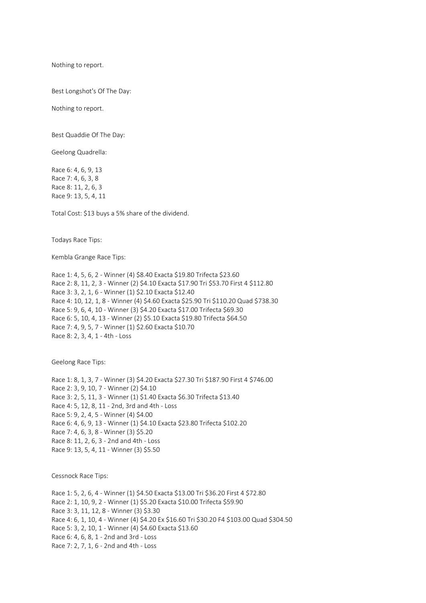Nothing to report.

Best Longshot's Of The Day:

Nothing to report.

Best Quaddie Of The Day:

Geelong Quadrella:

Race 6: 4, 6, 9, 13 Race 7: 4, 6, 3, 8 Race 8: 11, 2, 6, 3 Race 9: 13, 5, 4, 11

Total Cost: \$13 buys a 5% share of the dividend.

Todays Race Tips:

Kembla Grange Race Tips:

Race 1: 4, 5, 6, 2 - Winner (4) \$8.40 Exacta \$19.80 Trifecta \$23.60 Race 2: 8, 11, 2, 3 - Winner (2) \$4.10 Exacta \$17.90 Tri \$53.70 First 4 \$112.80 Race 3: 3, 2, 1, 6 - Winner (1) \$2.10 Exacta \$12.40 Race 4: 10, 12, 1, 8 - Winner (4) \$4.60 Exacta \$25.90 Tri \$110.20 Quad \$738.30 Race 5: 9, 6, 4, 10 - Winner (3) \$4.20 Exacta \$17.00 Trifecta \$69.30 Race 6: 5, 10, 4, 13 - Winner (2) \$5.10 Exacta \$19.80 Trifecta \$64.50 Race 7: 4, 9, 5, 7 - Winner (1) \$2.60 Exacta \$10.70 Race 8: 2, 3, 4, 1 - 4th - Loss

Geelong Race Tips:

Race 1: 8, 1, 3, 7 - Winner (3) \$4.20 Exacta \$27.30 Tri \$187.90 First 4 \$746.00 Race 2: 3, 9, 10, 7 - Winner (2) \$4.10 Race 3: 2, 5, 11, 3 - Winner (1) \$1.40 Exacta \$6.30 Trifecta \$13.40 Race 4: 5, 12, 8, 11 - 2nd, 3rd and 4th - Loss Race 5: 9, 2, 4, 5 - Winner (4) \$4.00 Race 6: 4, 6, 9, 13 - Winner (1) \$4.10 Exacta \$23.80 Trifecta \$102.20 Race 7: 4, 6, 3, 8 - Winner (3) \$5.20 Race 8: 11, 2, 6, 3 - 2nd and 4th - Loss Race 9: 13, 5, 4, 11 - Winner (3) \$5.50

Cessnock Race Tips:

Race 1: 5, 2, 6, 4 - Winner (1) \$4.50 Exacta \$13.00 Tri \$36.20 First 4 \$72.80 Race 2: 1, 10, 9, 2 - Winner (1) \$5.20 Exacta \$10.00 Trifecta \$59.90 Race 3: 3, 11, 12, 8 - Winner (3) \$3.30 Race 4: 6, 1, 10, 4 - Winner (4) \$4.20 Ex \$16.60 Tri \$30.20 F4 \$103.00 Quad \$304.50 Race 5: 3, 2, 10, 1 - Winner (4) \$4.60 Exacta \$13.60 Race 6: 4, 6, 8, 1 - 2nd and 3rd - Loss Race 7: 2, 7, 1, 6 - 2nd and 4th - Loss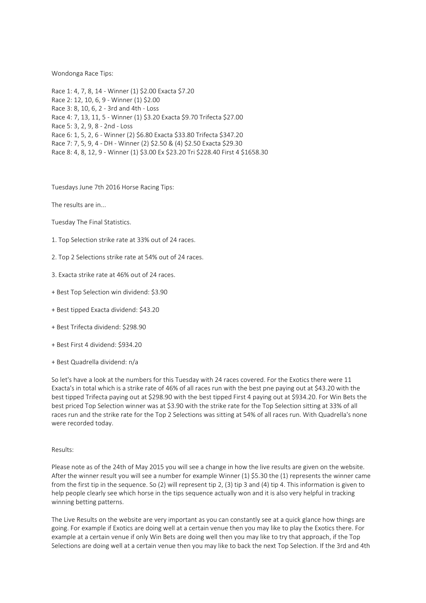## Wondonga Race Tips:

Race 1: 4, 7, 8, 14 - Winner (1) \$2.00 Exacta \$7.20 Race 2: 12, 10, 6, 9 - Winner (1) \$2.00 Race 3: 8, 10, 6, 2 - 3rd and 4th - Loss Race 4: 7, 13, 11, 5 - Winner (1) \$3.20 Exacta \$9.70 Trifecta \$27.00 Race 5: 3, 2, 9, 8 - 2nd - Loss Race 6: 1, 5, 2, 6 - Winner (2) \$6.80 Exacta \$33.80 Trifecta \$347.20 Race 7: 7, 5, 9, 4 - DH - Winner (2) \$2.50 & (4) \$2.50 Exacta \$29.30 Race 8: 4, 8, 12, 9 - Winner (1) \$3.00 Ex \$23.20 Tri \$228.40 First 4 \$1658.30

Tuesdays June 7th 2016 Horse Racing Tips:

The results are in...

- Tuesday The Final Statistics.
- 1. Top Selection strike rate at 33% out of 24 races.
- 2. Top 2 Selections strike rate at 54% out of 24 races.
- 3. Exacta strike rate at 46% out of 24 races.
- + Best Top Selection win dividend: \$3.90
- + Best tipped Exacta dividend: \$43.20
- + Best Trifecta dividend: \$298.90
- + Best First 4 dividend: \$934.20
- + Best Quadrella dividend: n/a

So let's have a look at the numbers for this Tuesday with 24 races covered. For the Exotics there were 11 Exacta's in total which is a strike rate of 46% of all races run with the best pne paying out at \$43.20 with the best tipped Trifecta paying out at \$298.90 with the best tipped First 4 paying out at \$934.20. For Win Bets the best priced Top Selection winner was at \$3.90 with the strike rate for the Top Selection sitting at 33% of all races run and the strike rate for the Top 2 Selections was sitting at 54% of all races run. With Quadrella's none were recorded today.

### Results:

Please note as of the 24th of May 2015 you will see a change in how the live results are given on the website. After the winner result you will see a number for example Winner (1) \$5.30 the (1) represents the winner came from the first tip in the sequence. So (2) will represent tip 2, (3) tip 3 and (4) tip 4. This information is given to help people clearly see which horse in the tips sequence actually won and it is also very helpful in tracking winning betting patterns.

The Live Results on the website are very important as you can constantly see at a quick glance how things are going. For example if Exotics are doing well at a certain venue then you may like to play the Exotics there. For example at a certain venue if only Win Bets are doing well then you may like to try that approach, if the Top Selections are doing well at a certain venue then you may like to back the next Top Selection. If the 3rd and 4th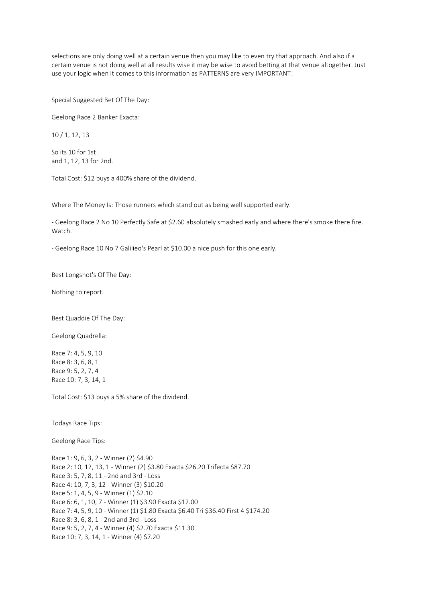selections are only doing well at a certain venue then you may like to even try that approach. And also if a certain venue is not doing well at all results wise it may be wise to avoid betting at that venue altogether. Just use your logic when it comes to this information as PATTERNS are very IMPORTANT!

Special Suggested Bet Of The Day:

Geelong Race 2 Banker Exacta:

10 / 1, 12, 13

So its 10 for 1st and 1, 12, 13 for 2nd.

Total Cost: \$12 buys a 400% share of the dividend.

Where The Money Is: Those runners which stand out as being well supported early.

- Geelong Race 2 No 10 Perfectly Safe at \$2.60 absolutely smashed early and where there's smoke there fire. Watch.

- Geelong Race 10 No 7 Galilieo's Pearl at \$10.00 a nice push for this one early.

Best Longshot's Of The Day:

Nothing to report.

Best Quaddie Of The Day:

Geelong Quadrella:

Race 7: 4, 5, 9, 10 Race 8: 3, 6, 8, 1 Race 9: 5, 2, 7, 4 Race 10: 7, 3, 14, 1

Total Cost: \$13 buys a 5% share of the dividend.

Todays Race Tips:

Geelong Race Tips:

Race 1: 9, 6, 3, 2 - Winner (2) \$4.90 Race 2: 10, 12, 13, 1 - Winner (2) \$3.80 Exacta \$26.20 Trifecta \$87.70 Race 3: 5, 7, 8, 11 - 2nd and 3rd - Loss Race 4: 10, 7, 3, 12 - Winner (3) \$10.20 Race 5: 1, 4, 5, 9 - Winner (1) \$2.10 Race 6: 6, 1, 10, 7 - Winner (1) \$3.90 Exacta \$12.00 Race 7: 4, 5, 9, 10 - Winner (1) \$1.80 Exacta \$6.40 Tri \$36.40 First 4 \$174.20 Race 8: 3, 6, 8, 1 - 2nd and 3rd - Loss Race 9: 5, 2, 7, 4 - Winner (4) \$2.70 Exacta \$11.30 Race 10: 7, 3, 14, 1 - Winner (4) \$7.20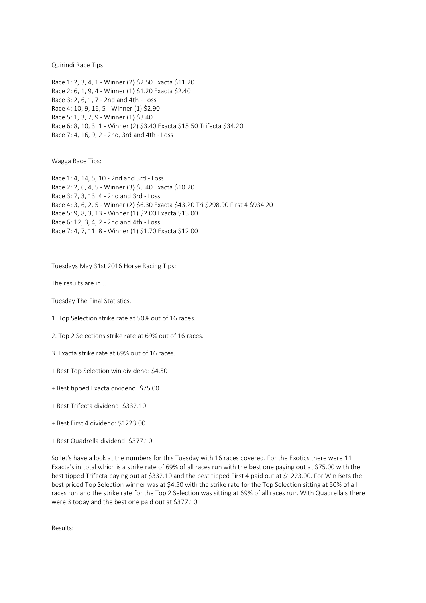Quirindi Race Tips:

Race 1: 2, 3, 4, 1 - Winner (2) \$2.50 Exacta \$11.20 Race 2: 6, 1, 9, 4 - Winner (1) \$1.20 Exacta \$2.40 Race 3: 2, 6, 1, 7 - 2nd and 4th - Loss Race 4: 10, 9, 16, 5 - Winner (1) \$2.90 Race 5: 1, 3, 7, 9 - Winner (1) \$3.40 Race 6: 8, 10, 3, 1 - Winner (2) \$3.40 Exacta \$15.50 Trifecta \$34.20 Race 7: 4, 16, 9, 2 - 2nd, 3rd and 4th - Loss

Wagga Race Tips:

Race 1: 4, 14, 5, 10 - 2nd and 3rd - Loss Race 2: 2, 6, 4, 5 - Winner (3) \$5.40 Exacta \$10.20 Race 3: 7, 3, 13, 4 - 2nd and 3rd - Loss Race 4: 3, 6, 2, 5 - Winner (2) \$6.30 Exacta \$43.20 Tri \$298.90 First 4 \$934.20 Race 5: 9, 8, 3, 13 - Winner (1) \$2.00 Exacta \$13.00 Race 6: 12, 3, 4, 2 - 2nd and 4th - Loss Race 7: 4, 7, 11, 8 - Winner (1) \$1.70 Exacta \$12.00

Tuesdays May 31st 2016 Horse Racing Tips:

The results are in...

Tuesday The Final Statistics.

- 1. Top Selection strike rate at 50% out of 16 races.
- 2. Top 2 Selections strike rate at 69% out of 16 races.
- 3. Exacta strike rate at 69% out of 16 races.
- + Best Top Selection win dividend: \$4.50
- + Best tipped Exacta dividend: \$75.00
- + Best Trifecta dividend: \$332.10
- + Best First 4 dividend: \$1223.00
- + Best Quadrella dividend: \$377.10

So let's have a look at the numbers for this Tuesday with 16 races covered. For the Exotics there were 11 Exacta's in total which is a strike rate of 69% of all races run with the best one paying out at \$75.00 with the best tipped Trifecta paying out at \$332.10 and the best tipped First 4 paid out at \$1223.00. For Win Bets the best priced Top Selection winner was at \$4.50 with the strike rate for the Top Selection sitting at 50% of all races run and the strike rate for the Top 2 Selection was sitting at 69% of all races run. With Quadrella's there were 3 today and the best one paid out at \$377.10

Results: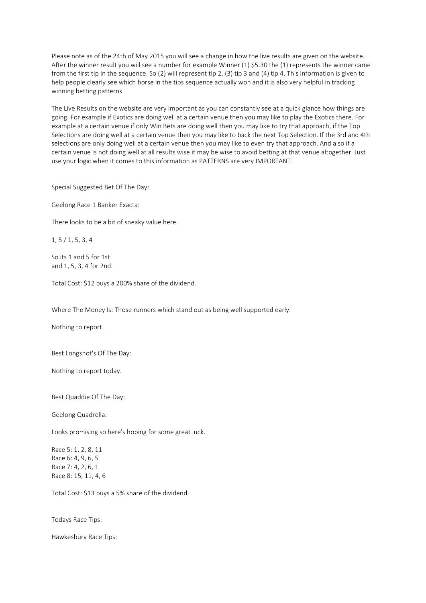Please note as of the 24th of May 2015 you will see a change in how the live results are given on the website. After the winner result you will see a number for example Winner (1) \$5.30 the (1) represents the winner came from the first tip in the sequence. So (2) will represent tip 2, (3) tip 3 and (4) tip 4. This information is given to help people clearly see which horse in the tips sequence actually won and it is also very helpful in tracking winning betting patterns.

The Live Results on the website are very important as you can constantly see at a quick glance how things are going. For example if Exotics are doing well at a certain venue then you may like to play the Exotics there. For example at a certain venue if only Win Bets are doing well then you may like to try that approach, if the Top Selections are doing well at a certain venue then you may like to back the next Top Selection. If the 3rd and 4th selections are only doing well at a certain venue then you may like to even try that approach. And also if a certain venue is not doing well at all results wise it may be wise to avoid betting at that venue altogether. Just use your logic when it comes to this information as PATTERNS are very IMPORTANT!

Special Suggested Bet Of The Day:

Geelong Race 1 Banker Exacta:

There looks to be a bit of sneaky value here.

1, 5 / 1, 5, 3, 4

So its 1 and 5 for 1st and 1, 5, 3, 4 for 2nd.

Total Cost: \$12 buys a 200% share of the dividend.

Where The Money Is: Those runners which stand out as being well supported early.

Nothing to report.

Best Longshot's Of The Day:

Nothing to report today.

Best Quaddie Of The Day:

Geelong Quadrella:

Looks promising so here's hoping for some great luck.

Race 5: 1, 2, 8, 11 Race 6: 4, 9, 6, 5 Race 7: 4, 2, 6, 1 Race 8: 15, 11, 4, 6

Total Cost: \$13 buys a 5% share of the dividend.

Todays Race Tips:

Hawkesbury Race Tips: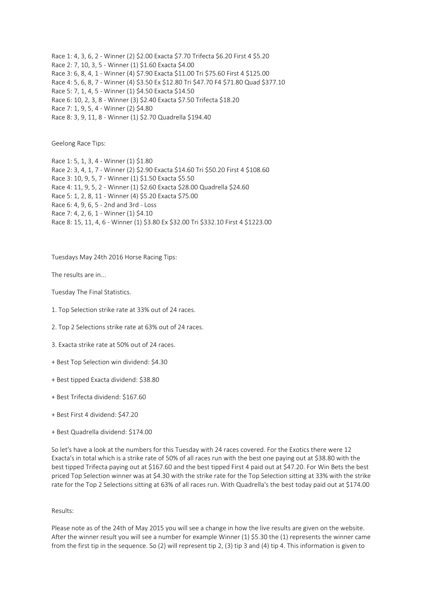Race 1: 4, 3, 6, 2 - Winner (2) \$2.00 Exacta \$7.70 Trifecta \$6.20 First 4 \$5.20 Race 2: 7, 10, 3, 5 - Winner (1) \$1.60 Exacta \$4.00 Race 3: 6, 8, 4, 1 - Winner (4) \$7.90 Exacta \$11.00 Tri \$75.60 First 4 \$125.00 Race 4: 5, 6, 8, 7 - Winner (4) \$3.50 Ex \$12.80 Tri \$47.70 F4 \$71.80 Quad \$377.10 Race 5: 7, 1, 4, 5 - Winner (1) \$4.50 Exacta \$14.50 Race 6: 10, 2, 3, 8 - Winner (3) \$2.40 Exacta \$7.50 Trifecta \$18.20 Race 7: 1, 9, 5, 4 - Winner (2) \$4.80 Race 8: 3, 9, 11, 8 - Winner (1) \$2.70 Quadrella \$194.40

Geelong Race Tips:

Race 1: 5, 1, 3, 4 - Winner (1) \$1.80 Race 2: 3, 4, 1, 7 - Winner (2) \$2.90 Exacta \$14.60 Tri \$50.20 First 4 \$108.60 Race 3: 10, 9, 5, 7 - Winner (1) \$1.50 Exacta \$5.50 Race 4: 11, 9, 5, 2 - Winner (1) \$2.60 Exacta \$28.00 Quadrella \$24.60 Race 5: 1, 2, 8, 11 - Winner (4) \$5.20 Exacta \$75.00 Race 6: 4, 9, 6, 5 - 2nd and 3rd - Loss Race 7: 4, 2, 6, 1 - Winner (1) \$4.10 Race 8: 15, 11, 4, 6 - Winner (1) \$3.80 Ex \$32.00 Tri \$332.10 First 4 \$1223.00

Tuesdays May 24th 2016 Horse Racing Tips:

The results are in...

Tuesday The Final Statistics.

- 1. Top Selection strike rate at 33% out of 24 races.
- 2. Top 2 Selections strike rate at 63% out of 24 races.
- 3. Exacta strike rate at 50% out of 24 races.
- + Best Top Selection win dividend: \$4.30
- + Best tipped Exacta dividend: \$38.80
- + Best Trifecta dividend: \$167.60
- + Best First 4 dividend: \$47.20
- + Best Quadrella dividend: \$174.00

So let's have a look at the numbers for this Tuesday with 24 races covered. For the Exotics there were 12 Exacta's in total which is a strike rate of 50% of all races run with the best one paying out at \$38.80 with the best tipped Trifecta paying out at \$167.60 and the best tipped First 4 paid out at \$47.20. For Win Bets the best priced Top Selection winner was at \$4.30 with the strike rate for the Top Selection sitting at 33% with the strike rate for the Top 2 Selections sitting at 63% of all races run. With Quadrella's the best today paid out at \$174.00

## Results:

Please note as of the 24th of May 2015 you will see a change in how the live results are given on the website. After the winner result you will see a number for example Winner (1) \$5.30 the (1) represents the winner came from the first tip in the sequence. So (2) will represent tip 2, (3) tip 3 and (4) tip 4. This information is given to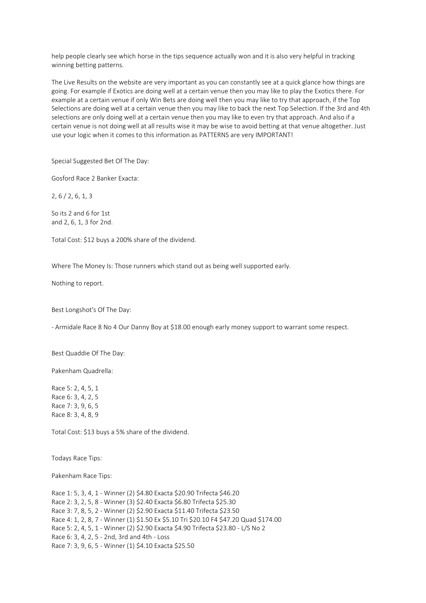help people clearly see which horse in the tips sequence actually won and it is also very helpful in tracking winning betting patterns.

The Live Results on the website are very important as you can constantly see at a quick glance how things are going. For example if Exotics are doing well at a certain venue then you may like to play the Exotics there. For example at a certain venue if only Win Bets are doing well then you may like to try that approach, if the Top Selections are doing well at a certain venue then you may like to back the next Top Selection. If the 3rd and 4th selections are only doing well at a certain venue then you may like to even try that approach. And also if a certain venue is not doing well at all results wise it may be wise to avoid betting at that venue altogether. Just use your logic when it comes to this information as PATTERNS are very IMPORTANT!

### Special Suggested Bet Of The Day:

Gosford Race 2 Banker Exacta:

2, 6 / 2, 6, 1, 3

So its 2 and 6 for 1st and 2, 6, 1, 3 for 2nd.

Total Cost: \$12 buys a 200% share of the dividend.

Where The Money Is: Those runners which stand out as being well supported early.

Nothing to report.

Best Longshot's Of The Day:

- Armidale Race 8 No 4 Our Danny Boy at \$18.00 enough early money support to warrant some respect.

Best Quaddie Of The Day:

Pakenham Quadrella:

Race 5: 2, 4, 5, 1 Race 6: 3, 4, 2, 5 Race 7: 3, 9, 6, 5 Race 8: 3, 4, 8, 9

Total Cost: \$13 buys a 5% share of the dividend.

Todays Race Tips:

Pakenham Race Tips:

Race 1: 5, 3, 4, 1 - Winner (2) \$4.80 Exacta \$20.90 Trifecta \$46.20 Race 2: 3, 2, 5, 8 - Winner (3) \$2.40 Exacta \$6.80 Trifecta \$25.30 Race 3: 7, 8, 5, 2 - Winner (2) \$2.90 Exacta \$11.40 Trifecta \$23.50 Race 4: 1, 2, 8, 7 - Winner (1) \$1.50 Ex \$5.10 Tri \$20.10 F4 \$47.20 Quad \$174.00 Race 5: 2, 4, 5, 1 - Winner (2) \$2.90 Exacta \$4.90 Trifecta \$23.80 - L/S No 2 Race 6: 3, 4, 2, 5 - 2nd, 3rd and 4th - Loss Race 7: 3, 9, 6, 5 - Winner (1) \$4.10 Exacta \$25.50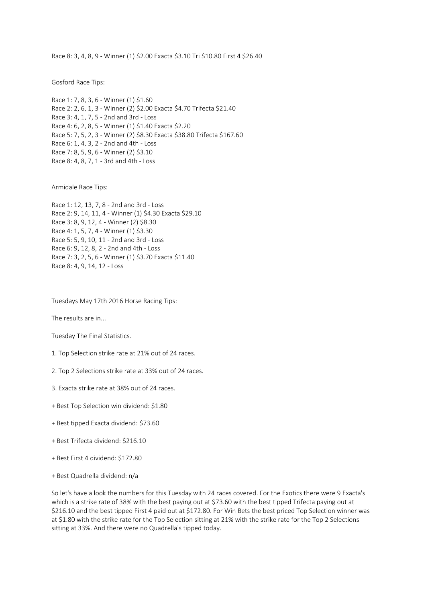Race 8: 3, 4, 8, 9 - Winner (1) \$2.00 Exacta \$3.10 Tri \$10.80 First 4 \$26.40

Gosford Race Tips:

Race 1: 7, 8, 3, 6 - Winner (1) \$1.60 Race 2: 2, 6, 1, 3 - Winner (2) \$2.00 Exacta \$4.70 Trifecta \$21.40 Race 3: 4, 1, 7, 5 - 2nd and 3rd - Loss Race 4: 6, 2, 8, 5 - Winner (1) \$1.40 Exacta \$2.20 Race 5: 7, 5, 2, 3 - Winner (2) \$8.30 Exacta \$38.80 Trifecta \$167.60 Race 6: 1, 4, 3, 2 - 2nd and 4th - Loss Race 7: 8, 5, 9, 6 - Winner (2) \$3.10 Race 8: 4, 8, 7, 1 - 3rd and 4th - Loss

Armidale Race Tips:

Race 1: 12, 13, 7, 8 - 2nd and 3rd - Loss Race 2: 9, 14, 11, 4 - Winner (1) \$4.30 Exacta \$29.10 Race 3: 8, 9, 12, 4 - Winner (2) \$8.30 Race 4: 1, 5, 7, 4 - Winner (1) \$3.30 Race 5: 5, 9, 10, 11 - 2nd and 3rd - Loss Race 6: 9, 12, 8, 2 - 2nd and 4th - Loss Race 7: 3, 2, 5, 6 - Winner (1) \$3.70 Exacta \$11.40 Race 8: 4, 9, 14, 12 - Loss

Tuesdays May 17th 2016 Horse Racing Tips:

The results are in...

Tuesday The Final Statistics.

1. Top Selection strike rate at 21% out of 24 races.

- 2. Top 2 Selections strike rate at 33% out of 24 races.
- 3. Exacta strike rate at 38% out of 24 races.
- + Best Top Selection win dividend: \$1.80
- + Best tipped Exacta dividend: \$73.60
- + Best Trifecta dividend: \$216.10
- + Best First 4 dividend: \$172.80
- + Best Quadrella dividend: n/a

So let's have a look the numbers for this Tuesday with 24 races covered. For the Exotics there were 9 Exacta's which is a strike rate of 38% with the best paying out at \$73.60 with the best tipped Trifecta paying out at \$216.10 and the best tipped First 4 paid out at \$172.80. For Win Bets the best priced Top Selection winner was at \$1.80 with the strike rate for the Top Selection sitting at 21% with the strike rate for the Top 2 Selections sitting at 33%. And there were no Quadrella's tipped today.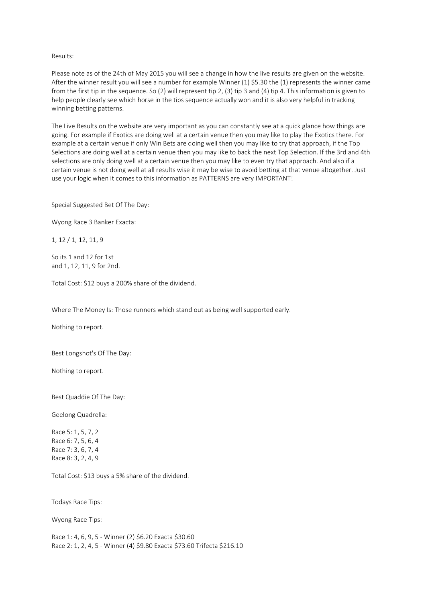### Results:

Please note as of the 24th of May 2015 you will see a change in how the live results are given on the website. After the winner result you will see a number for example Winner (1) \$5.30 the (1) represents the winner came from the first tip in the sequence. So (2) will represent tip 2, (3) tip 3 and (4) tip 4. This information is given to help people clearly see which horse in the tips sequence actually won and it is also very helpful in tracking winning betting patterns.

The Live Results on the website are very important as you can constantly see at a quick glance how things are going. For example if Exotics are doing well at a certain venue then you may like to play the Exotics there. For example at a certain venue if only Win Bets are doing well then you may like to try that approach, if the Top Selections are doing well at a certain venue then you may like to back the next Top Selection. If the 3rd and 4th selections are only doing well at a certain venue then you may like to even try that approach. And also if a certain venue is not doing well at all results wise it may be wise to avoid betting at that venue altogether. Just use your logic when it comes to this information as PATTERNS are very IMPORTANT!

Special Suggested Bet Of The Day:

Wyong Race 3 Banker Exacta:

1, 12 / 1, 12, 11, 9

So its 1 and 12 for 1st and 1, 12, 11, 9 for 2nd.

Total Cost: \$12 buys a 200% share of the dividend.

Where The Money Is: Those runners which stand out as being well supported early.

Nothing to report.

Best Longshot's Of The Day:

Nothing to report.

Best Quaddie Of The Day:

Geelong Quadrella:

Race 5: 1, 5, 7, 2 Race 6: 7, 5, 6, 4 Race 7: 3, 6, 7, 4 Race 8: 3, 2, 4, 9

Total Cost: \$13 buys a 5% share of the dividend.

Todays Race Tips:

Wyong Race Tips:

Race 1: 4, 6, 9, 5 - Winner (2) \$6.20 Exacta \$30.60 Race 2: 1, 2, 4, 5 - Winner (4) \$9.80 Exacta \$73.60 Trifecta \$216.10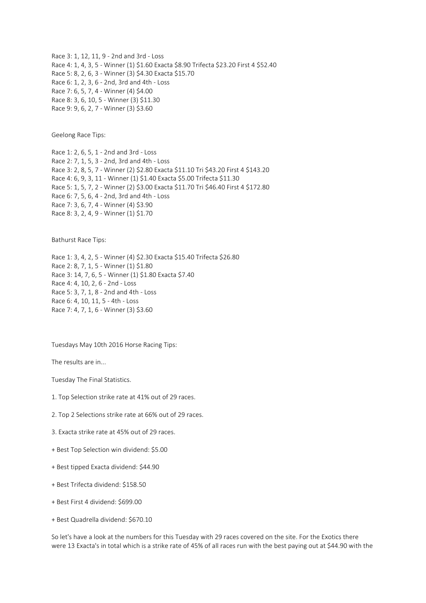Race 3: 1, 12, 11, 9 - 2nd and 3rd - Loss Race 4: 1, 4, 3, 5 - Winner (1) \$1.60 Exacta \$8.90 Trifecta \$23.20 First 4 \$52.40 Race 5: 8, 2, 6, 3 - Winner (3) \$4.30 Exacta \$15.70 Race 6: 1, 2, 3, 6 - 2nd, 3rd and 4th - Loss Race 7: 6, 5, 7, 4 - Winner (4) \$4.00 Race 8: 3, 6, 10, 5 - Winner (3) \$11.30 Race 9: 9, 6, 2, 7 - Winner (3) \$3.60

Geelong Race Tips:

Race 1: 2, 6, 5, 1 - 2nd and 3rd - Loss Race 2: 7, 1, 5, 3 - 2nd, 3rd and 4th - Loss Race 3: 2, 8, 5, 7 - Winner (2) \$2.80 Exacta \$11.10 Tri \$43.20 First 4 \$143.20 Race 4: 6, 9, 3, 11 - Winner (1) \$1.40 Exacta \$5.00 Trifecta \$11.30 Race 5: 1, 5, 7, 2 - Winner (2) \$3.00 Exacta \$11.70 Tri \$46.40 First 4 \$172.80 Race 6: 7, 5, 6, 4 - 2nd, 3rd and 4th - Loss Race 7: 3, 6, 7, 4 - Winner (4) \$3.90 Race 8: 3, 2, 4, 9 - Winner (1) \$1.70

Bathurst Race Tips:

Race 1: 3, 4, 2, 5 - Winner (4) \$2.30 Exacta \$15.40 Trifecta \$26.80 Race 2: 8, 7, 1, 5 - Winner (1) \$1.80 Race 3: 14, 7, 6, 5 - Winner (1) \$1.80 Exacta \$7.40 Race 4: 4, 10, 2, 6 - 2nd - Loss Race 5: 3, 7, 1, 8 - 2nd and 4th - Loss Race 6: 4, 10, 11, 5 - 4th - Loss Race 7: 4, 7, 1, 6 - Winner (3) \$3.60

Tuesdays May 10th 2016 Horse Racing Tips:

The results are in...

Tuesday The Final Statistics.

1. Top Selection strike rate at 41% out of 29 races.

2. Top 2 Selections strike rate at 66% out of 29 races.

3. Exacta strike rate at 45% out of 29 races.

+ Best Top Selection win dividend: \$5.00

+ Best tipped Exacta dividend: \$44.90

+ Best Trifecta dividend: \$158.50

+ Best First 4 dividend: \$699.00

+ Best Quadrella dividend: \$670.10

So let's have a look at the numbers for this Tuesday with 29 races covered on the site. For the Exotics there were 13 Exacta's in total which is a strike rate of 45% of all races run with the best paying out at \$44.90 with the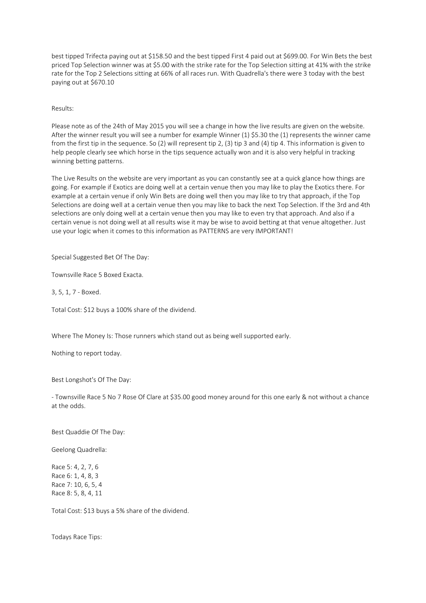best tipped Trifecta paying out at \$158.50 and the best tipped First 4 paid out at \$699.00. For Win Bets the best priced Top Selection winner was at \$5.00 with the strike rate for the Top Selection sitting at 41% with the strike rate for the Top 2 Selections sitting at 66% of all races run. With Quadrella's there were 3 today with the best paying out at \$670.10

## Results:

Please note as of the 24th of May 2015 you will see a change in how the live results are given on the website. After the winner result you will see a number for example Winner (1) \$5.30 the (1) represents the winner came from the first tip in the sequence. So (2) will represent tip 2, (3) tip 3 and (4) tip 4. This information is given to help people clearly see which horse in the tips sequence actually won and it is also very helpful in tracking winning betting patterns.

The Live Results on the website are very important as you can constantly see at a quick glance how things are going. For example if Exotics are doing well at a certain venue then you may like to play the Exotics there. For example at a certain venue if only Win Bets are doing well then you may like to try that approach, if the Top Selections are doing well at a certain venue then you may like to back the next Top Selection. If the 3rd and 4th selections are only doing well at a certain venue then you may like to even try that approach. And also if a certain venue is not doing well at all results wise it may be wise to avoid betting at that venue altogether. Just use your logic when it comes to this information as PATTERNS are very IMPORTANT!

Special Suggested Bet Of The Day:

Townsville Race 5 Boxed Exacta.

3, 5, 1, 7 - Boxed.

Total Cost: \$12 buys a 100% share of the dividend.

Where The Money Is: Those runners which stand out as being well supported early.

Nothing to report today.

Best Longshot's Of The Day:

- Townsville Race 5 No 7 Rose Of Clare at \$35.00 good money around for this one early & not without a chance at the odds.

Best Quaddie Of The Day:

Geelong Quadrella:

Race 5: 4, 2, 7, 6 Race 6: 1, 4, 8, 3 Race 7: 10, 6, 5, 4 Race 8: 5, 8, 4, 11

Total Cost: \$13 buys a 5% share of the dividend.

Todays Race Tips: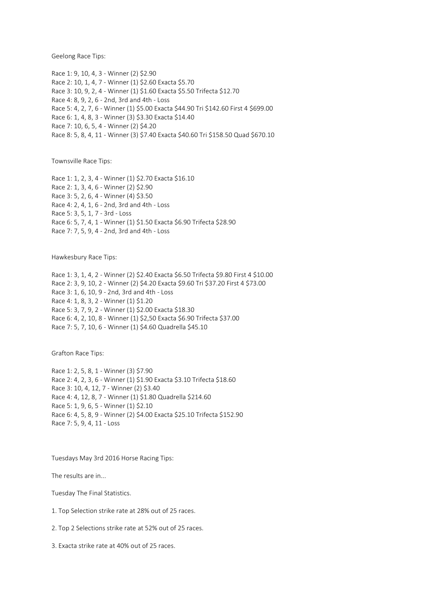Geelong Race Tips:

Race 1: 9, 10, 4, 3 - Winner (2) \$2.90 Race 2: 10, 1, 4, 7 - Winner (1) \$2.60 Exacta \$5.70 Race 3: 10, 9, 2, 4 - Winner (1) \$1.60 Exacta \$5.50 Trifecta \$12.70 Race 4: 8, 9, 2, 6 - 2nd, 3rd and 4th - Loss Race 5: 4, 2, 7, 6 - Winner (1) \$5.00 Exacta \$44.90 Tri \$142.60 First 4 \$699.00 Race 6: 1, 4, 8, 3 - Winner (3) \$3.30 Exacta \$14.40 Race 7: 10, 6, 5, 4 - Winner (2) \$4.20 Race 8: 5, 8, 4, 11 - Winner (3) \$7.40 Exacta \$40.60 Tri \$158.50 Quad \$670.10

Townsville Race Tips:

Race 1: 1, 2, 3, 4 - Winner (1) \$2.70 Exacta \$16.10 Race 2: 1, 3, 4, 6 - Winner (2) \$2.90 Race 3: 5, 2, 6, 4 - Winner (4) \$3.50 Race 4: 2, 4, 1, 6 - 2nd, 3rd and 4th - Loss Race 5: 3, 5, 1, 7 - 3rd - Loss Race 6: 5, 7, 4, 1 - Winner (1) \$1.50 Exacta \$6.90 Trifecta \$28.90 Race 7: 7, 5, 9, 4 - 2nd, 3rd and 4th - Loss

Hawkesbury Race Tips:

Race 1: 3, 1, 4, 2 - Winner (2) \$2.40 Exacta \$6.50 Trifecta \$9.80 First 4 \$10.00 Race 2: 3, 9, 10, 2 - Winner (2) \$4.20 Exacta \$9.60 Tri \$37.20 First 4 \$73.00 Race 3: 1, 6, 10, 9 - 2nd, 3rd and 4th - Loss Race 4: 1, 8, 3, 2 - Winner (1) \$1.20 Race 5: 3, 7, 9, 2 - Winner (1) \$2.00 Exacta \$18.30 Race 6: 4, 2, 10, 8 - Winner (1) \$2,50 Exacta \$6.90 Trifecta \$37.00 Race 7: 5, 7, 10, 6 - Winner (1) \$4.60 Quadrella \$45.10

Grafton Race Tips:

Race 1: 2, 5, 8, 1 - Winner (3) \$7.90 Race 2: 4, 2, 3, 6 - Winner (1) \$1.90 Exacta \$3.10 Trifecta \$18.60 Race 3: 10, 4, 12, 7 - Winner (2) \$3.40 Race 4: 4, 12, 8, 7 - Winner (1) \$1.80 Quadrella \$214.60 Race 5: 1, 9, 6, 5 - Winner (1) \$2.10 Race 6: 4, 5, 8, 9 - Winner (2) \$4.00 Exacta \$25.10 Trifecta \$152.90 Race 7: 5, 9, 4, 11 - Loss

Tuesdays May 3rd 2016 Horse Racing Tips:

The results are in...

Tuesday The Final Statistics.

1. Top Selection strike rate at 28% out of 25 races.

2. Top 2 Selections strike rate at 52% out of 25 races.

3. Exacta strike rate at 40% out of 25 races.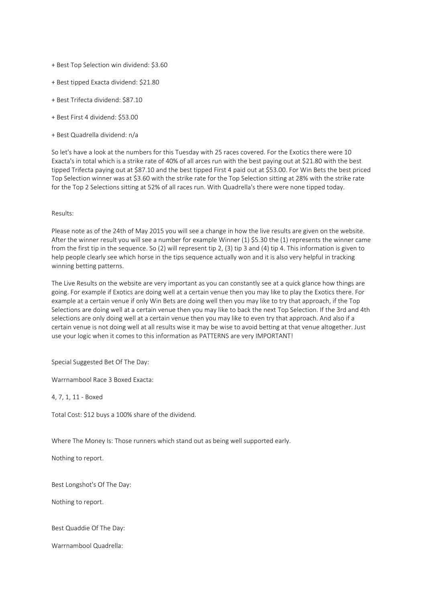- + Best Top Selection win dividend: \$3.60
- + Best tipped Exacta dividend: \$21.80
- + Best Trifecta dividend: \$87.10
- + Best First 4 dividend: \$53.00
- + Best Quadrella dividend: n/a

So let's have a look at the numbers for this Tuesday with 25 races covered. For the Exotics there were 10 Exacta's in total which is a strike rate of 40% of all arces run with the best paying out at \$21.80 with the best tipped Trifecta paying out at \$87.10 and the best tipped First 4 paid out at \$53.00. For Win Bets the best priced Top Selection winner was at \$3.60 with the strike rate for the Top Selection sitting at 28% with the strike rate for the Top 2 Selections sitting at 52% of all races run. With Quadrella's there were none tipped today.

## Results:

Please note as of the 24th of May 2015 you will see a change in how the live results are given on the website. After the winner result you will see a number for example Winner (1) \$5.30 the (1) represents the winner came from the first tip in the sequence. So (2) will represent tip 2, (3) tip 3 and (4) tip 4. This information is given to help people clearly see which horse in the tips sequence actually won and it is also very helpful in tracking winning betting patterns.

The Live Results on the website are very important as you can constantly see at a quick glance how things are going. For example if Exotics are doing well at a certain venue then you may like to play the Exotics there. For example at a certain venue if only Win Bets are doing well then you may like to try that approach, if the Top Selections are doing well at a certain venue then you may like to back the next Top Selection. If the 3rd and 4th selections are only doing well at a certain venue then you may like to even try that approach. And also if a certain venue is not doing well at all results wise it may be wise to avoid betting at that venue altogether. Just use your logic when it comes to this information as PATTERNS are very IMPORTANT!

Special Suggested Bet Of The Day:

Warrnambool Race 3 Boxed Exacta:

4, 7, 1, 11 - Boxed

Total Cost: \$12 buys a 100% share of the dividend.

Where The Money Is: Those runners which stand out as being well supported early.

Nothing to report.

Best Longshot's Of The Day:

Nothing to report.

Best Quaddie Of The Day:

Warrnambool Quadrella: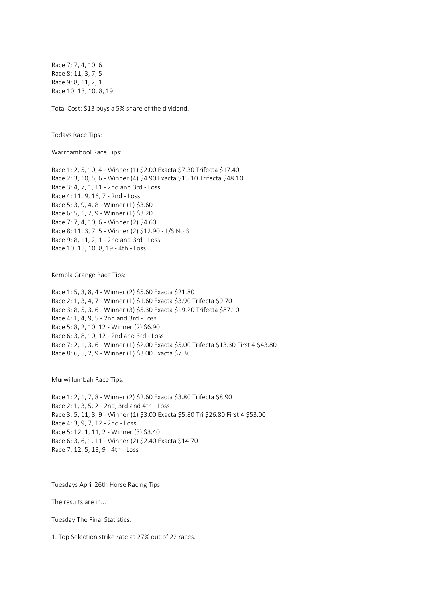Race 7: 7, 4, 10, 6 Race 8: 11, 3, 7, 5 Race 9: 8, 11, 2, 1 Race 10: 13, 10, 8, 19

Total Cost: \$13 buys a 5% share of the dividend.

Todays Race Tips:

Warrnambool Race Tips:

Race 1: 2, 5, 10, 4 - Winner (1) \$2.00 Exacta \$7.30 Trifecta \$17.40 Race 2: 3, 10, 5, 6 - Winner (4) \$4.90 Exacta \$13.10 Trifecta \$48.10 Race 3: 4, 7, 1, 11 - 2nd and 3rd - Loss Race 4: 11, 9, 16, 7 - 2nd - Loss Race 5: 3, 9, 4, 8 - Winner (1) \$3.60 Race 6: 5, 1, 7, 9 - Winner (1) \$3.20 Race 7: 7, 4, 10, 6 - Winner (2) \$4.60 Race 8: 11, 3, 7, 5 - Winner (2) \$12.90 - L/S No 3 Race 9: 8, 11, 2, 1 - 2nd and 3rd - Loss Race 10: 13, 10, 8, 19 - 4th - Loss

Kembla Grange Race Tips:

Race 1: 5, 3, 8, 4 - Winner (2) \$5.60 Exacta \$21.80 Race 2: 1, 3, 4, 7 - Winner (1) \$1.60 Exacta \$3.90 Trifecta \$9.70 Race 3: 8, 5, 3, 6 - Winner (3) \$5.30 Exacta \$19.20 Trifecta \$87.10 Race 4: 1, 4, 9, 5 - 2nd and 3rd - Loss Race 5: 8, 2, 10, 12 - Winner (2) \$6.90 Race 6: 3, 8, 10, 12 - 2nd and 3rd - Loss Race 7: 2, 1, 3, 6 - Winner (1) \$2.00 Exacta \$5.00 Trifecta \$13.30 First 4 \$43.80 Race 8: 6, 5, 2, 9 - Winner (1) \$3.00 Exacta \$7.30

Murwillumbah Race Tips:

Race 1: 2, 1, 7, 8 - Winner (2) \$2.60 Exacta \$3.80 Trifecta \$8.90 Race 2: 1, 3, 5, 2 - 2nd, 3rd and 4th - Loss Race 3: 5, 11, 8, 9 - Winner (1) \$3.00 Exacta \$5.80 Tri \$26.80 First 4 \$53.00 Race 4: 3, 9, 7, 12 - 2nd - Loss Race 5: 12, 1, 11, 2 - Winner (3) \$3.40 Race 6: 3, 6, 1, 11 - Winner (2) \$2.40 Exacta \$14.70 Race 7: 12, 5, 13, 9 - 4th - Loss

Tuesdays April 26th Horse Racing Tips:

The results are in...

Tuesday The Final Statistics.

1. Top Selection strike rate at 27% out of 22 races.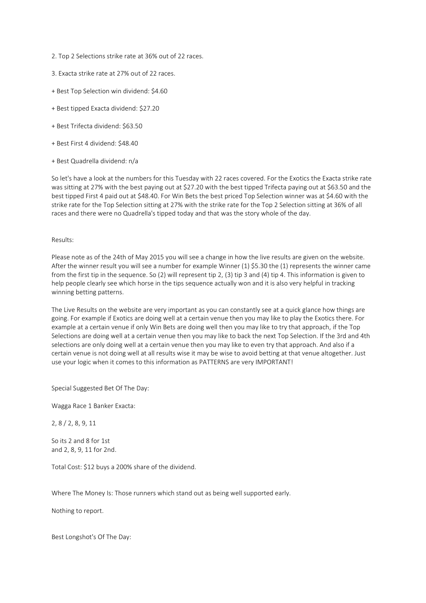- 2. Top 2 Selections strike rate at 36% out of 22 races.
- 3. Exacta strike rate at 27% out of 22 races.
- + Best Top Selection win dividend: \$4.60
- + Best tipped Exacta dividend: \$27.20
- + Best Trifecta dividend: \$63.50
- + Best First 4 dividend: \$48.40
- + Best Quadrella dividend: n/a

So let's have a look at the numbers for this Tuesday with 22 races covered. For the Exotics the Exacta strike rate was sitting at 27% with the best paying out at \$27.20 with the best tipped Trifecta paying out at \$63.50 and the best tipped First 4 paid out at \$48.40. For Win Bets the best priced Top Selection winner was at \$4.60 with the strike rate for the Top Selection sitting at 27% with the strike rate for the Top 2 Selection sitting at 36% of all races and there were no Quadrella's tipped today and that was the story whole of the day.

## Results:

Please note as of the 24th of May 2015 you will see a change in how the live results are given on the website. After the winner result you will see a number for example Winner (1) \$5.30 the (1) represents the winner came from the first tip in the sequence. So (2) will represent tip 2, (3) tip 3 and (4) tip 4. This information is given to help people clearly see which horse in the tips sequence actually won and it is also very helpful in tracking winning betting patterns.

The Live Results on the website are very important as you can constantly see at a quick glance how things are going. For example if Exotics are doing well at a certain venue then you may like to play the Exotics there. For example at a certain venue if only Win Bets are doing well then you may like to try that approach, if the Top Selections are doing well at a certain venue then you may like to back the next Top Selection. If the 3rd and 4th selections are only doing well at a certain venue then you may like to even try that approach. And also if a certain venue is not doing well at all results wise it may be wise to avoid betting at that venue altogether. Just use your logic when it comes to this information as PATTERNS are very IMPORTANT!

Special Suggested Bet Of The Day:

Wagga Race 1 Banker Exacta:

2, 8 / 2, 8, 9, 11

So its 2 and 8 for 1st and 2, 8, 9, 11 for 2nd.

Total Cost: \$12 buys a 200% share of the dividend.

Where The Money Is: Those runners which stand out as being well supported early.

Nothing to report.

Best Longshot's Of The Day: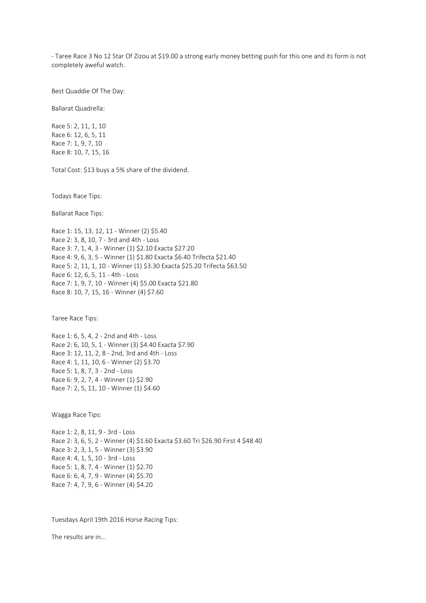- Taree Race 3 No 12 Star Of Zizou at \$19.00 a strong early money betting push for this one and its form is not completely aweful watch.

Best Quaddie Of The Day:

Ballarat Quadrella:

Race 5: 2, 11, 1, 10 Race 6: 12, 6, 5, 11 Race 7: 1, 9, 7, 10 Race 8: 10, 7, 15, 16

Total Cost: \$13 buys a 5% share of the dividend.

Todays Race Tips:

Ballarat Race Tips:

Race 1: 15, 13, 12, 11 - Winner (2) \$5.40 Race 2: 3, 8, 10, 7 - 3rd and 4th - Loss Race 3: 7, 1, 4, 3 - Winner (1) \$2.10 Exacta \$27.20 Race 4: 9, 6, 3, 5 - Winner (1) \$1.80 Exacta \$6.40 Trifecta \$21.40 Race 5: 2, 11, 1, 10 - Winner (1) \$3.30 Exacta \$25.20 Trifecta \$63.50 Race 6: 12, 6, 5, 11 - 4th - Loss Race 7: 1, 9, 7, 10 - Winner (4) \$5.00 Exacta \$21.80 Race 8: 10, 7, 15, 16 - Winner (4) \$7.60

Taree Race Tips:

Race 1: 6, 5, 4, 2 - 2nd and 4th - Loss Race 2: 6, 10, 5, 1 - Winner (3) \$4.40 Exacta \$7.90 Race 3: 12, 11, 2, 8 - 2nd, 3rd and 4th - Loss Race 4: 1, 11, 10, 6 - Winner (2) \$3.70 Race 5: 1, 8, 7, 3 - 2nd - Loss Race 6: 9, 2, 7, 4 - Winner (1) \$2.90 Race 7: 2, 5, 11, 10 - Winner (1) \$4.60

Wagga Race Tips:

Race 1: 2, 8, 11, 9 - 3rd - Loss Race 2: 3, 6, 5, 2 - Winner (4) \$1.60 Exacta \$3.60 Tri \$26.90 First 4 \$48.40 Race 3: 2, 3, 1, 5 - Winner (3) \$3.90 Race 4: 4, 1, 5, 10 - 3rd - Loss Race 5: 1, 8, 7, 4 - Winner (1) \$2.70 Race 6: 6, 4, 7, 9 - Winner (4) \$5.70 Race 7: 4, 7, 9, 6 - Winner (4) \$4.20

Tuesdays April 19th 2016 Horse Racing Tips:

The results are in...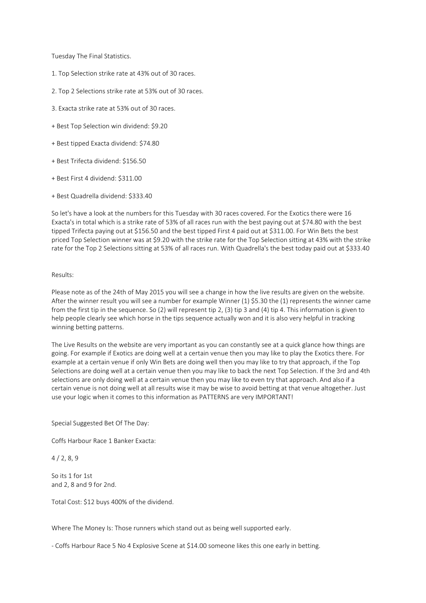Tuesday The Final Statistics.

- 1. Top Selection strike rate at 43% out of 30 races.
- 2. Top 2 Selections strike rate at 53% out of 30 races.
- 3. Exacta strike rate at 53% out of 30 races.
- + Best Top Selection win dividend: \$9.20
- + Best tipped Exacta dividend: \$74.80
- + Best Trifecta dividend: \$156.50
- + Best First 4 dividend: \$311.00
- + Best Quadrella dividend: \$333.40

So let's have a look at the numbers for this Tuesday with 30 races covered. For the Exotics there were 16 Exacta's in total which is a strike rate of 53% of all races run with the best paying out at \$74.80 with the best tipped Trifecta paying out at \$156.50 and the best tipped First 4 paid out at \$311.00. For Win Bets the best priced Top Selection winner was at \$9.20 with the strike rate for the Top Selection sitting at 43% with the strike rate for the Top 2 Selections sitting at 53% of all races run. With Quadrella's the best today paid out at \$333.40

#### Results:

Please note as of the 24th of May 2015 you will see a change in how the live results are given on the website. After the winner result you will see a number for example Winner (1) \$5.30 the (1) represents the winner came from the first tip in the sequence. So (2) will represent tip 2, (3) tip 3 and (4) tip 4. This information is given to help people clearly see which horse in the tips sequence actually won and it is also very helpful in tracking winning betting patterns.

The Live Results on the website are very important as you can constantly see at a quick glance how things are going. For example if Exotics are doing well at a certain venue then you may like to play the Exotics there. For example at a certain venue if only Win Bets are doing well then you may like to try that approach, if the Top Selections are doing well at a certain venue then you may like to back the next Top Selection. If the 3rd and 4th selections are only doing well at a certain venue then you may like to even try that approach. And also if a certain venue is not doing well at all results wise it may be wise to avoid betting at that venue altogether. Just use your logic when it comes to this information as PATTERNS are very IMPORTANT!

Special Suggested Bet Of The Day:

Coffs Harbour Race 1 Banker Exacta:

4 / 2, 8, 9

So its 1 for 1st and 2, 8 and 9 for 2nd.

Total Cost: \$12 buys 400% of the dividend.

Where The Money Is: Those runners which stand out as being well supported early.

- Coffs Harbour Race 5 No 4 Explosive Scene at \$14.00 someone likes this one early in betting.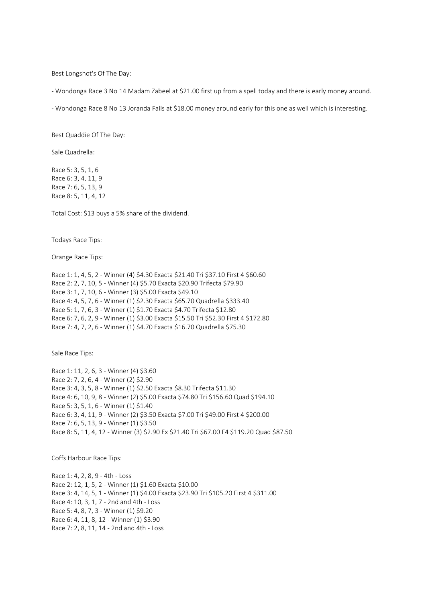Best Longshot's Of The Day:

- Wondonga Race 3 No 14 Madam Zabeel at \$21.00 first up from a spell today and there is early money around.

- Wondonga Race 8 No 13 Joranda Falls at \$18.00 money around early for this one as well which is interesting.

Best Quaddie Of The Day:

Sale Quadrella:

Race 5: 3, 5, 1, 6 Race 6: 3, 4, 11, 9 Race 7: 6, 5, 13, 9 Race 8: 5, 11, 4, 12

Total Cost: \$13 buys a 5% share of the dividend.

Todays Race Tips:

Orange Race Tips:

Race 1: 1, 4, 5, 2 - Winner (4) \$4.30 Exacta \$21.40 Tri \$37.10 First 4 \$60.60 Race 2: 2, 7, 10, 5 - Winner (4) \$5.70 Exacta \$20.90 Trifecta \$79.90 Race 3: 1, 7, 10, 6 - Winner (3) \$5.00 Exacta \$49.10 Race 4: 4, 5, 7, 6 - Winner (1) \$2.30 Exacta \$65.70 Quadrella \$333.40 Race 5: 1, 7, 6, 3 - Winner (1) \$1.70 Exacta \$4.70 Trifecta \$12.80 Race 6: 7, 6, 2, 9 - Winner (1) \$3.00 Exacta \$15.50 Tri \$52.30 First 4 \$172.80 Race 7: 4, 7, 2, 6 - Winner (1) \$4.70 Exacta \$16.70 Quadrella \$75.30

Sale Race Tips:

Race 1: 11, 2, 6, 3 - Winner (4) \$3.60 Race 2: 7, 2, 6, 4 - Winner (2) \$2.90 Race 3: 4, 3, 5, 8 - Winner (1) \$2.50 Exacta \$8.30 Trifecta \$11.30 Race 4: 6, 10, 9, 8 - Winner (2) \$5.00 Exacta \$74.80 Tri \$156.60 Quad \$194.10 Race 5: 3, 5, 1, 6 - Winner (1) \$1.40 Race 6: 3, 4, 11, 9 - Winner (2) \$3.50 Exacta \$7.00 Tri \$49.00 First 4 \$200.00 Race 7: 6, 5, 13, 9 - Winner (1) \$3.50 Race 8: 5, 11, 4, 12 - Winner (3) \$2.90 Ex \$21.40 Tri \$67.00 F4 \$119.20 Quad \$87.50

Coffs Harbour Race Tips:

Race 1: 4, 2, 8, 9 - 4th - Loss Race 2: 12, 1, 5, 2 - Winner (1) \$1.60 Exacta \$10.00 Race 3: 4, 14, 5, 1 - Winner (1) \$4.00 Exacta \$23.90 Tri \$105.20 First 4 \$311.00 Race 4: 10, 3, 1, 7 - 2nd and 4th - Loss Race 5: 4, 8, 7, 3 - Winner (1) \$9.20 Race 6: 4, 11, 8, 12 - Winner (1) \$3.90 Race 7: 2, 8, 11, 14 - 2nd and 4th - Loss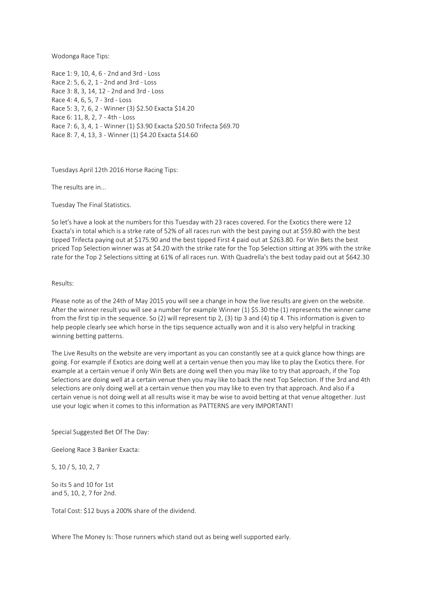Wodonga Race Tips:

Race 1: 9, 10, 4, 6 - 2nd and 3rd - Loss Race 2: 5, 6, 2, 1 - 2nd and 3rd - Loss Race 3: 8, 3, 14, 12 - 2nd and 3rd - Loss Race 4: 4, 6, 5, 7 - 3rd - Loss Race 5: 3, 7, 6, 2 - Winner (3) \$2.50 Exacta \$14.20 Race 6: 11, 8, 2, 7 - 4th - Loss Race 7: 6, 3, 4, 1 - Winner (1) \$3.90 Exacta \$20.50 Trifecta \$69.70 Race 8: 7, 4, 13, 3 - Winner (1) \$4.20 Exacta \$14.60

Tuesdays April 12th 2016 Horse Racing Tips:

The results are in...

Tuesday The Final Statistics.

So let's have a look at the numbers for this Tuesday with 23 races covered. For the Exotics there were 12 Exacta's in total which is a strke rate of 52% of all races run with the best paying out at \$59.80 with the best tipped Trifecta paying out at \$175.90 and the best tipped First 4 paid out at \$263.80. For Win Bets the best priced Top Selection winner was at \$4.20 with the strike rate for the Top Selection sitting at 39% with the strike rate for the Top 2 Selections sitting at 61% of all races run. With Quadrella's the best today paid out at \$642.30

#### Results:

Please note as of the 24th of May 2015 you will see a change in how the live results are given on the website. After the winner result you will see a number for example Winner (1) \$5.30 the (1) represents the winner came from the first tip in the sequence. So (2) will represent tip 2, (3) tip 3 and (4) tip 4. This information is given to help people clearly see which horse in the tips sequence actually won and it is also very helpful in tracking winning betting patterns.

The Live Results on the website are very important as you can constantly see at a quick glance how things are going. For example if Exotics are doing well at a certain venue then you may like to play the Exotics there. For example at a certain venue if only Win Bets are doing well then you may like to try that approach, if the Top Selections are doing well at a certain venue then you may like to back the next Top Selection. If the 3rd and 4th selections are only doing well at a certain venue then you may like to even try that approach. And also if a certain venue is not doing well at all results wise it may be wise to avoid betting at that venue altogether. Just use your logic when it comes to this information as PATTERNS are very IMPORTANT!

Special Suggested Bet Of The Day:

Geelong Race 3 Banker Exacta:

5, 10 / 5, 10, 2, 7

So its 5 and 10 for 1st and 5, 10, 2, 7 for 2nd.

Total Cost: \$12 buys a 200% share of the dividend.

Where The Money Is: Those runners which stand out as being well supported early.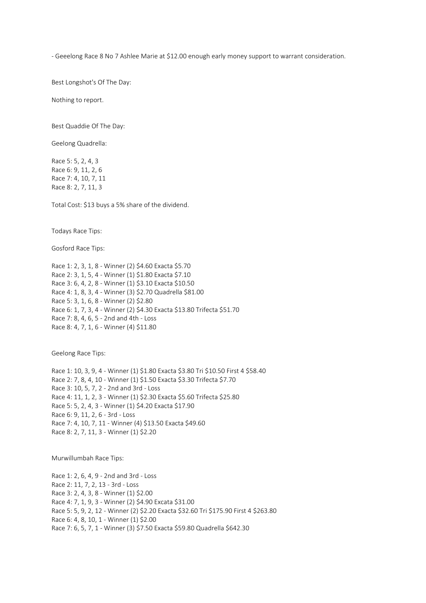- Geeelong Race 8 No 7 Ashlee Marie at \$12.00 enough early money support to warrant consideration.

Best Longshot's Of The Day:

Nothing to report.

Best Quaddie Of The Day:

Geelong Quadrella:

Race 5: 5, 2, 4, 3 Race 6: 9, 11, 2, 6 Race 7: 4, 10, 7, 11 Race 8: 2, 7, 11, 3

Total Cost: \$13 buys a 5% share of the dividend.

Todays Race Tips:

Gosford Race Tips:

Race 1: 2, 3, 1, 8 - Winner (2) \$4.60 Exacta \$5.70 Race 2: 3, 1, 5, 4 - Winner (1) \$1.80 Exacta \$7.10 Race 3: 6, 4, 2, 8 - Winner (1) \$3.10 Exacta \$10.50 Race 4: 1, 8, 3, 4 - Winner (3) \$2.70 Quadrella \$81.00 Race 5: 3, 1, 6, 8 - Winner (2) \$2.80 Race 6: 1, 7, 3, 4 - Winner (2) \$4.30 Exacta \$13.80 Trifecta \$51.70 Race 7: 8, 4, 6, 5 - 2nd and 4th - Loss Race 8: 4, 7, 1, 6 - Winner (4) \$11.80

Geelong Race Tips:

Race 1: 10, 3, 9, 4 - Winner (1) \$1.80 Exacta \$3.80 Tri \$10.50 First 4 \$58.40 Race 2: 7, 8, 4, 10 - Winner (1) \$1.50 Exacta \$3.30 Trifecta \$7.70 Race 3: 10, 5, 7, 2 - 2nd and 3rd - Loss Race 4: 11, 1, 2, 3 - Winner (1) \$2.30 Exacta \$5.60 Trifecta \$25.80 Race 5: 5, 2, 4, 3 - Winner (1) \$4.20 Exacta \$17.90 Race 6: 9, 11, 2, 6 - 3rd - Loss Race 7: 4, 10, 7, 11 - Winner (4) \$13.50 Exacta \$49.60 Race 8: 2, 7, 11, 3 - Winner (1) \$2.20

Murwillumbah Race Tips:

Race 1: 2, 6, 4, 9 - 2nd and 3rd - Loss Race 2: 11, 7, 2, 13 - 3rd - Loss Race 3: 2, 4, 3, 8 - Winner (1) \$2.00 Race 4: 7, 1, 9, 3 - Winner (2) \$4.90 Excata \$31.00 Race 5: 5, 9, 2, 12 - Winner (2) \$2.20 Exacta \$32.60 Tri \$175.90 First 4 \$263.80 Race 6: 4, 8, 10, 1 - Winner (1) \$2.00 Race 7: 6, 5, 7, 1 - Winner (3) \$7.50 Exacta \$59.80 Quadrella \$642.30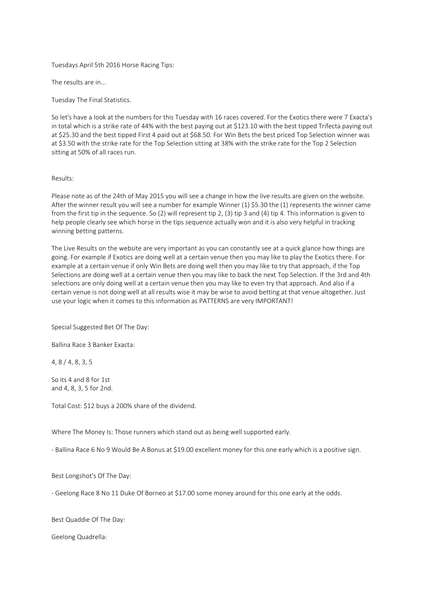Tuesdays April 5th 2016 Horse Racing Tips:

The results are in...

Tuesday The Final Statistics.

So let's have a look at the numbers for this Tuesday with 16 races covered. For the Exotics there were 7 Exacta's in total which is a strike rate of 44% with the best paying out at \$123.10 with the best tipped Trifecta paying out at \$25.30 and the best tipped First 4 paid out at \$68.50. For Win Bets the best priced Top Selection winner was at \$3.50 with the strike rate for the Top Selection sitting at 38% with the strike rate for the Top 2 Selection sitting at 50% of all races run.

#### Results:

Please note as of the 24th of May 2015 you will see a change in how the live results are given on the website. After the winner result you will see a number for example Winner (1) \$5.30 the (1) represents the winner came from the first tip in the sequence. So (2) will represent tip 2, (3) tip 3 and (4) tip 4. This information is given to help people clearly see which horse in the tips sequence actually won and it is also very helpful in tracking winning betting patterns.

The Live Results on the website are very important as you can constantly see at a quick glance how things are going. For example if Exotics are doing well at a certain venue then you may like to play the Exotics there. For example at a certain venue if only Win Bets are doing well then you may like to try that approach, if the Top Selections are doing well at a certain venue then you may like to back the next Top Selection. If the 3rd and 4th selections are only doing well at a certain venue then you may like to even try that approach. And also if a certain venue is not doing well at all results wise it may be wise to avoid betting at that venue altogether. Just use your logic when it comes to this information as PATTERNS are very IMPORTANT!

Special Suggested Bet Of The Day:

Ballina Race 3 Banker Exacta:

4, 8 / 4, 8, 3, 5

So its 4 and 8 for 1st and 4, 8, 3, 5 for 2nd.

Total Cost: \$12 buys a 200% share of the dividend.

Where The Money Is: Those runners which stand out as being well supported early.

- Ballina Race 6 No 9 Would Be A Bonus at \$19.00 excellent money for this one early which is a positive sign.

Best Longshot's Of The Day:

- Geelong Race 8 No 11 Duke Of Borneo at \$17.00 some money around for this one early at the odds.

Best Quaddie Of The Day:

Geelong Quadrella: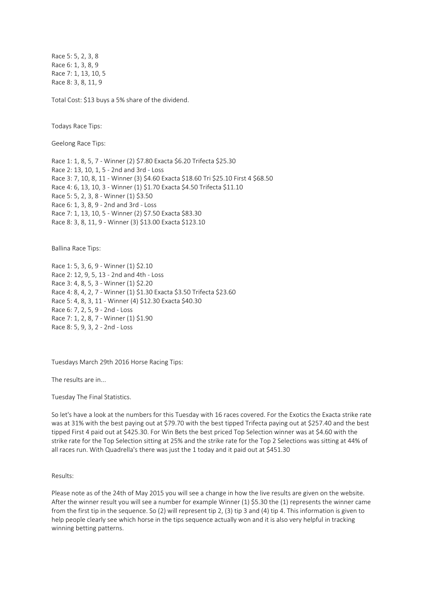Race 5: 5, 2, 3, 8 Race 6: 1, 3, 8, 9 Race 7: 1, 13, 10, 5 Race 8: 3, 8, 11, 9

Total Cost: \$13 buys a 5% share of the dividend.

Todays Race Tips:

Geelong Race Tips:

Race 1: 1, 8, 5, 7 - Winner (2) \$7.80 Exacta \$6.20 Trifecta \$25.30 Race 2: 13, 10, 1, 5 - 2nd and 3rd - Loss Race 3: 7, 10, 8, 11 - Winner (3) \$4.60 Exacta \$18.60 Tri \$25.10 First 4 \$68.50 Race 4: 6, 13, 10, 3 - Winner (1) \$1.70 Exacta \$4.50 Trifecta \$11.10 Race 5: 5, 2, 3, 8 - Winner (1) \$3.50 Race 6: 1, 3, 8, 9 - 2nd and 3rd - Loss Race 7: 1, 13, 10, 5 - Winner (2) \$7.50 Exacta \$83.30 Race 8: 3, 8, 11, 9 - Winner (3) \$13.00 Exacta \$123.10

Ballina Race Tips:

Race 1: 5, 3, 6, 9 - Winner (1) \$2.10 Race 2: 12, 9, 5, 13 - 2nd and 4th - Loss Race 3: 4, 8, 5, 3 - Winner (1) \$2.20 Race 4: 8, 4, 2, 7 - Winner (1) \$1.30 Exacta \$3.50 Trifecta \$23.60 Race 5: 4, 8, 3, 11 - Winner (4) \$12.30 Exacta \$40.30 Race 6: 7, 2, 5, 9 - 2nd - Loss Race 7: 1, 2, 8, 7 - Winner (1) \$1.90 Race 8: 5, 9, 3, 2 - 2nd - Loss

Tuesdays March 29th 2016 Horse Racing Tips:

The results are in...

Tuesday The Final Statistics.

So let's have a look at the numbers for this Tuesday with 16 races covered. For the Exotics the Exacta strike rate was at 31% with the best paying out at \$79.70 with the best tipped Trifecta paying out at \$257.40 and the best tipped First 4 paid out at \$425.30. For Win Bets the best priced Top Selection winner was at \$4.60 with the strike rate for the Top Selection sitting at 25% and the strike rate for the Top 2 Selections was sitting at 44% of all races run. With Quadrella's there was just the 1 today and it paid out at \$451.30

Results:

Please note as of the 24th of May 2015 you will see a change in how the live results are given on the website. After the winner result you will see a number for example Winner (1) \$5.30 the (1) represents the winner came from the first tip in the sequence. So (2) will represent tip 2, (3) tip 3 and (4) tip 4. This information is given to help people clearly see which horse in the tips sequence actually won and it is also very helpful in tracking winning betting patterns.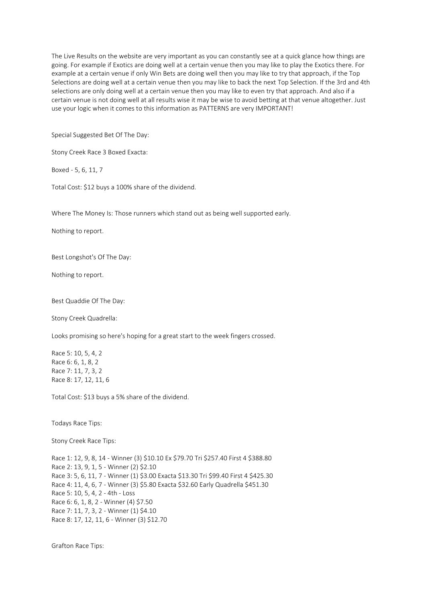The Live Results on the website are very important as you can constantly see at a quick glance how things are going. For example if Exotics are doing well at a certain venue then you may like to play the Exotics there. For example at a certain venue if only Win Bets are doing well then you may like to try that approach, if the Top Selections are doing well at a certain venue then you may like to back the next Top Selection. If the 3rd and 4th selections are only doing well at a certain venue then you may like to even try that approach. And also if a certain venue is not doing well at all results wise it may be wise to avoid betting at that venue altogether. Just use your logic when it comes to this information as PATTERNS are very IMPORTANT!

Special Suggested Bet Of The Day:

Stony Creek Race 3 Boxed Exacta:

Boxed - 5, 6, 11, 7

Total Cost: \$12 buys a 100% share of the dividend.

Where The Money Is: Those runners which stand out as being well supported early.

Nothing to report.

Best Longshot's Of The Day:

Nothing to report.

Best Quaddie Of The Day:

Stony Creek Quadrella:

Looks promising so here's hoping for a great start to the week fingers crossed.

Race 5: 10, 5, 4, 2 Race 6: 6, 1, 8, 2 Race 7: 11, 7, 3, 2 Race 8: 17, 12, 11, 6

Total Cost: \$13 buys a 5% share of the dividend.

Todays Race Tips:

Stony Creek Race Tips:

Race 1: 12, 9, 8, 14 - Winner (3) \$10.10 Ex \$79.70 Tri \$257.40 First 4 \$388.80 Race 2: 13, 9, 1, 5 - Winner (2) \$2.10 Race 3: 5, 6, 11, 7 - Winner (1) \$3.00 Exacta \$13.30 Tri \$99.40 First 4 \$425.30 Race 4: 11, 4, 6, 7 - Winner (3) \$5.80 Exacta \$32.60 Early Quadrella \$451.30 Race 5: 10, 5, 4, 2 - 4th - Loss Race 6: 6, 1, 8, 2 - Winner (4) \$7.50 Race 7: 11, 7, 3, 2 - Winner (1) \$4.10 Race 8: 17, 12, 11, 6 - Winner (3) \$12.70

Grafton Race Tips: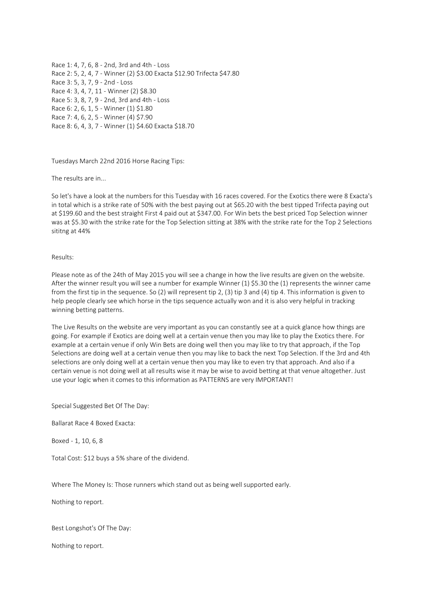Race 1: 4, 7, 6, 8 - 2nd, 3rd and 4th - Loss Race 2: 5, 2, 4, 7 - Winner (2) \$3.00 Exacta \$12.90 Trifecta \$47.80 Race 3: 5, 3, 7, 9 - 2nd - Loss Race 4: 3, 4, 7, 11 - Winner (2) \$8.30 Race 5: 3, 8, 7, 9 - 2nd, 3rd and 4th - Loss Race 6: 2, 6, 1, 5 - Winner (1) \$1.80 Race 7: 4, 6, 2, 5 - Winner (4) \$7.90 Race 8: 6, 4, 3, 7 - Winner (1) \$4.60 Exacta \$18.70

Tuesdays March 22nd 2016 Horse Racing Tips:

The results are in...

So let's have a look at the numbers for this Tuesday with 16 races covered. For the Exotics there were 8 Exacta's in total which is a strike rate of 50% with the best paying out at \$65.20 with the best tipped Trifecta paying out at \$199.60 and the best straight First 4 paid out at \$347.00. For Win bets the best priced Top Selection winner was at \$5.30 with the strike rate for the Top Selection sitting at 38% with the strike rate for the Top 2 Selections sititng at 44%

Results:

Please note as of the 24th of May 2015 you will see a change in how the live results are given on the website. After the winner result you will see a number for example Winner (1) \$5.30 the (1) represents the winner came from the first tip in the sequence. So (2) will represent tip 2, (3) tip 3 and (4) tip 4. This information is given to help people clearly see which horse in the tips sequence actually won and it is also very helpful in tracking winning betting patterns.

The Live Results on the website are very important as you can constantly see at a quick glance how things are going. For example if Exotics are doing well at a certain venue then you may like to play the Exotics there. For example at a certain venue if only Win Bets are doing well then you may like to try that approach, if the Top Selections are doing well at a certain venue then you may like to back the next Top Selection. If the 3rd and 4th selections are only doing well at a certain venue then you may like to even try that approach. And also if a certain venue is not doing well at all results wise it may be wise to avoid betting at that venue altogether. Just use your logic when it comes to this information as PATTERNS are very IMPORTANT!

Special Suggested Bet Of The Day:

Ballarat Race 4 Boxed Exacta:

Boxed - 1, 10, 6, 8

Total Cost: \$12 buys a 5% share of the dividend.

Where The Money Is: Those runners which stand out as being well supported early.

Nothing to report.

Best Longshot's Of The Day:

Nothing to report.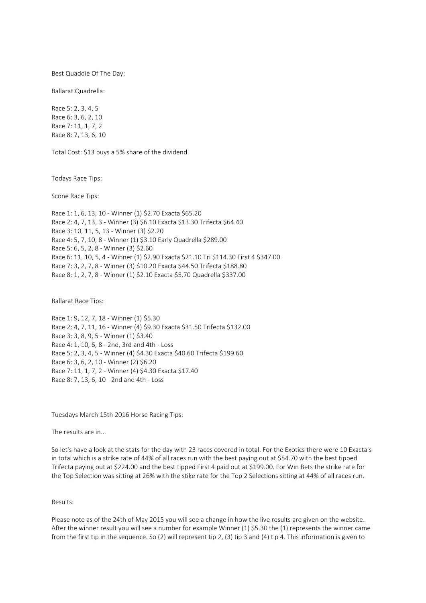Best Quaddie Of The Day:

Ballarat Quadrella:

Race 5: 2, 3, 4, 5 Race 6: 3, 6, 2, 10 Race 7: 11, 1, 7, 2 Race 8: 7, 13, 6, 10

Total Cost: \$13 buys a 5% share of the dividend.

Todays Race Tips:

Scone Race Tips:

Race 1: 1, 6, 13, 10 - Winner (1) \$2.70 Exacta \$65.20 Race 2: 4, 7, 13, 3 - Winner (3) \$6.10 Exacta \$13.30 Trifecta \$64.40 Race 3: 10, 11, 5, 13 - Winner (3) \$2.20 Race 4: 5, 7, 10, 8 - Winner (1) \$3.10 Early Quadrella \$289.00 Race 5: 6, 5, 2, 8 - Winner (3) \$2.60 Race 6: 11, 10, 5, 4 - Winner (1) \$2.90 Exacta \$21.10 Tri \$114.30 First 4 \$347.00 Race 7: 3, 2, 7, 8 - Winner (3) \$10.20 Exacta \$44.50 Trifecta \$188.80 Race 8: 1, 2, 7, 8 - Winner (1) \$2.10 Exacta \$5.70 Quadrella \$337.00

Ballarat Race Tips:

Race 1: 9, 12, 7, 18 - Winner (1) \$5.30 Race 2: 4, 7, 11, 16 - Winner (4) \$9.30 Exacta \$31.50 Trifecta \$132.00 Race 3: 3, 8, 9, 5 - Winner (1) \$3.40 Race 4: 1, 10, 6, 8 - 2nd, 3rd and 4th - Loss Race 5: 2, 3, 4, 5 - Winner (4) \$4.30 Exacta \$40.60 Trifecta \$199.60 Race 6: 3, 6, 2, 10 - Winner (2) \$6.20 Race 7: 11, 1, 7, 2 - Winner (4) \$4.30 Exacta \$17.40 Race 8: 7, 13, 6, 10 - 2nd and 4th - Loss

Tuesdays March 15th 2016 Horse Racing Tips:

The results are in...

So let's have a look at the stats for the day with 23 races covered in total. For the Exotics there were 10 Exacta's in total which is a strike rate of 44% of all races run with the best paying out at \$54.70 with the best tipped Trifecta paying out at \$224.00 and the best tipped First 4 paid out at \$199.00. For Win Bets the strike rate for the Top Selection was sitting at 26% with the stike rate for the Top 2 Selections sitting at 44% of all races run.

# Results:

Please note as of the 24th of May 2015 you will see a change in how the live results are given on the website. After the winner result you will see a number for example Winner (1) \$5.30 the (1) represents the winner came from the first tip in the sequence. So (2) will represent tip 2, (3) tip 3 and (4) tip 4. This information is given to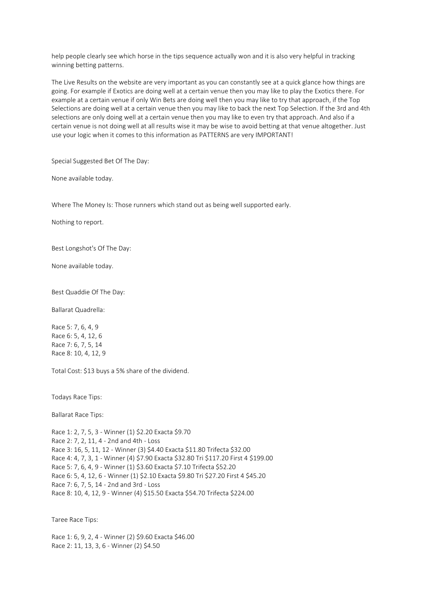help people clearly see which horse in the tips sequence actually won and it is also very helpful in tracking winning betting patterns.

The Live Results on the website are very important as you can constantly see at a quick glance how things are going. For example if Exotics are doing well at a certain venue then you may like to play the Exotics there. For example at a certain venue if only Win Bets are doing well then you may like to try that approach, if the Top Selections are doing well at a certain venue then you may like to back the next Top Selection. If the 3rd and 4th selections are only doing well at a certain venue then you may like to even try that approach. And also if a certain venue is not doing well at all results wise it may be wise to avoid betting at that venue altogether. Just use your logic when it comes to this information as PATTERNS are very IMPORTANT!

Special Suggested Bet Of The Day:

None available today.

Where The Money Is: Those runners which stand out as being well supported early.

Nothing to report.

Best Longshot's Of The Day:

None available today.

Best Quaddie Of The Day:

Ballarat Quadrella:

Race 5: 7, 6, 4, 9 Race 6: 5, 4, 12, 6 Race 7: 6, 7, 5, 14 Race 8: 10, 4, 12, 9

Total Cost: \$13 buys a 5% share of the dividend.

Todays Race Tips:

Ballarat Race Tips:

Race 1: 2, 7, 5, 3 - Winner (1) \$2.20 Exacta \$9.70 Race 2: 7, 2, 11, 4 - 2nd and 4th - Loss Race 3: 16, 5, 11, 12 - Winner (3) \$4.40 Exacta \$11.80 Trifecta \$32.00 Race 4: 4, 7, 3, 1 - Winner (4) \$7.90 Exacta \$32.80 Tri \$117.20 First 4 \$199.00 Race 5: 7, 6, 4, 9 - Winner (1) \$3.60 Exacta \$7.10 Trifecta \$52.20 Race 6: 5, 4, 12, 6 - Winner (1) \$2.10 Exacta \$9.80 Tri \$27.20 First 4 \$45.20 Race 7: 6, 7, 5, 14 - 2nd and 3rd - Loss Race 8: 10, 4, 12, 9 - Winner (4) \$15.50 Exacta \$54.70 Trifecta \$224.00

Taree Race Tips:

Race 1: 6, 9, 2, 4 - Winner (2) \$9.60 Exacta \$46.00 Race 2: 11, 13, 3, 6 - Winner (2) \$4.50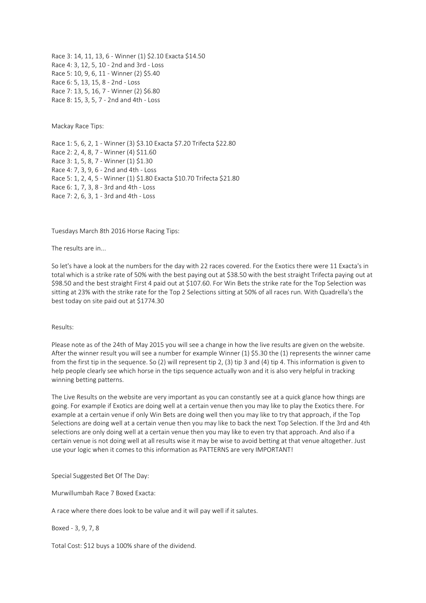Race 3: 14, 11, 13, 6 - Winner (1) \$2.10 Exacta \$14.50 Race 4: 3, 12, 5, 10 - 2nd and 3rd - Loss Race 5: 10, 9, 6, 11 - Winner (2) \$5.40 Race 6: 5, 13, 15, 8 - 2nd - Loss Race 7: 13, 5, 16, 7 - Winner (2) \$6.80 Race 8: 15, 3, 5, 7 - 2nd and 4th - Loss

Mackay Race Tips:

Race 1: 5, 6, 2, 1 - Winner (3) \$3.10 Exacta \$7.20 Trifecta \$22.80 Race 2: 2, 4, 8, 7 - Winner (4) \$11.60 Race 3: 1, 5, 8, 7 - Winner (1) \$1.30 Race 4: 7, 3, 9, 6 - 2nd and 4th - Loss Race 5: 1, 2, 4, 5 - Winner (1) \$1.80 Exacta \$10.70 Trifecta \$21.80 Race 6: 1, 7, 3, 8 - 3rd and 4th - Loss Race 7: 2, 6, 3, 1 - 3rd and 4th - Loss

Tuesdays March 8th 2016 Horse Racing Tips:

The results are in...

So let's have a look at the numbers for the day with 22 races covered. For the Exotics there were 11 Exacta's in total which is a strike rate of 50% with the best paying out at \$38.50 with the best straight Trifecta paying out at \$98.50 and the best straight First 4 paid out at \$107.60. For Win Bets the strike rate for the Top Selection was sitting at 23% with the strike rate for the Top 2 Selections sitting at 50% of all races run. With Quadrella's the best today on site paid out at \$1774.30

#### Results:

Please note as of the 24th of May 2015 you will see a change in how the live results are given on the website. After the winner result you will see a number for example Winner (1) \$5.30 the (1) represents the winner came from the first tip in the sequence. So (2) will represent tip 2, (3) tip 3 and (4) tip 4. This information is given to help people clearly see which horse in the tips sequence actually won and it is also very helpful in tracking winning betting patterns.

The Live Results on the website are very important as you can constantly see at a quick glance how things are going. For example if Exotics are doing well at a certain venue then you may like to play the Exotics there. For example at a certain venue if only Win Bets are doing well then you may like to try that approach, if the Top Selections are doing well at a certain venue then you may like to back the next Top Selection. If the 3rd and 4th selections are only doing well at a certain venue then you may like to even try that approach. And also if a certain venue is not doing well at all results wise it may be wise to avoid betting at that venue altogether. Just use your logic when it comes to this information as PATTERNS are very IMPORTANT!

Special Suggested Bet Of The Day:

Murwillumbah Race 7 Boxed Exacta:

A race where there does look to be value and it will pay well if it salutes.

Boxed - 3, 9, 7, 8

Total Cost: \$12 buys a 100% share of the dividend.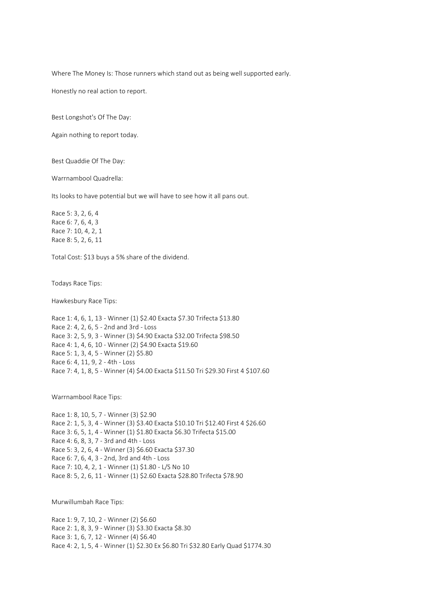Where The Money Is: Those runners which stand out as being well supported early.

Honestly no real action to report.

Best Longshot's Of The Day:

Again nothing to report today.

Best Quaddie Of The Day:

Warrnambool Quadrella:

Its looks to have potential but we will have to see how it all pans out.

Race 5: 3, 2, 6, 4 Race 6: 7, 6, 4, 3 Race 7: 10, 4, 2, 1 Race 8: 5, 2, 6, 11

Total Cost: \$13 buys a 5% share of the dividend.

Todays Race Tips:

Hawkesbury Race Tips:

Race 1: 4, 6, 1, 13 - Winner (1) \$2.40 Exacta \$7.30 Trifecta \$13.80 Race 2: 4, 2, 6, 5 - 2nd and 3rd - Loss Race 3: 2, 5, 9, 3 - Winner (3) \$4.90 Exacta \$32.00 Trifecta \$98.50 Race 4: 1, 4, 6, 10 - Winner (2) \$4.90 Exacta \$19.60 Race 5: 1, 3, 4, 5 - Winner (2) \$5.80 Race 6: 4, 11, 9, 2 - 4th - Loss Race 7: 4, 1, 8, 5 - Winner (4) \$4.00 Exacta \$11.50 Tri \$29.30 First 4 \$107.60

Warrnambool Race Tips:

Race 1: 8, 10, 5, 7 - Winner (3) \$2.90 Race 2: 1, 5, 3, 4 - Winner (3) \$3.40 Exacta \$10.10 Tri \$12.40 First 4 \$26.60 Race 3: 6, 5, 1, 4 - Winner (1) \$1.80 Exacta \$6.30 Trifecta \$15.00 Race 4: 6, 8, 3, 7 - 3rd and 4th - Loss Race 5: 3, 2, 6, 4 - Winner (3) \$6.60 Exacta \$37.30 Race 6: 7, 6, 4, 3 - 2nd, 3rd and 4th - Loss Race 7: 10, 4, 2, 1 - Winner (1) \$1.80 - L/S No 10 Race 8: 5, 2, 6, 11 - Winner (1) \$2.60 Exacta \$28.80 Trifecta \$78.90

Murwillumbah Race Tips:

Race 1: 9, 7, 10, 2 - Winner (2) \$6.60 Race 2: 1, 8, 3, 9 - Winner (3) \$3.30 Exacta \$8.30 Race 3: 1, 6, 7, 12 - Winner (4) \$6.40 Race 4: 2, 1, 5, 4 - Winner (1) \$2.30 Ex \$6.80 Tri \$32.80 Early Quad \$1774.30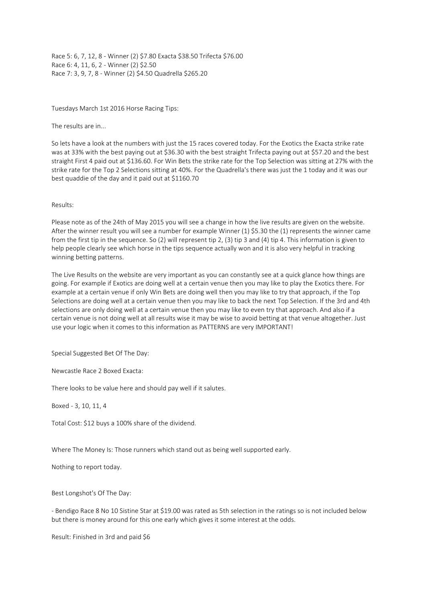Race 5: 6, 7, 12, 8 - Winner (2) \$7.80 Exacta \$38.50 Trifecta \$76.00 Race 6: 4, 11, 6, 2 - Winner (2) \$2.50 Race 7: 3, 9, 7, 8 - Winner (2) \$4.50 Quadrella \$265.20

Tuesdays March 1st 2016 Horse Racing Tips:

The results are in...

So lets have a look at the numbers with just the 15 races covered today. For the Exotics the Exacta strike rate was at 33% with the best paying out at \$36.30 with the best straight Trifecta paying out at \$57.20 and the best straight First 4 paid out at \$136.60. For Win Bets the strike rate for the Top Selection was sitting at 27% with the strike rate for the Top 2 Selections sitting at 40%. For the Quadrella's there was just the 1 today and it was our best quaddie of the day and it paid out at \$1160.70

Results:

Please note as of the 24th of May 2015 you will see a change in how the live results are given on the website. After the winner result you will see a number for example Winner (1) \$5.30 the (1) represents the winner came from the first tip in the sequence. So (2) will represent tip 2, (3) tip 3 and (4) tip 4. This information is given to help people clearly see which horse in the tips sequence actually won and it is also very helpful in tracking winning betting patterns.

The Live Results on the website are very important as you can constantly see at a quick glance how things are going. For example if Exotics are doing well at a certain venue then you may like to play the Exotics there. For example at a certain venue if only Win Bets are doing well then you may like to try that approach, if the Top Selections are doing well at a certain venue then you may like to back the next Top Selection. If the 3rd and 4th selections are only doing well at a certain venue then you may like to even try that approach. And also if a certain venue is not doing well at all results wise it may be wise to avoid betting at that venue altogether. Just use your logic when it comes to this information as PATTERNS are very IMPORTANT!

Special Suggested Bet Of The Day:

Newcastle Race 2 Boxed Exacta:

There looks to be value here and should pay well if it salutes.

Boxed - 3, 10, 11, 4

Total Cost: \$12 buys a 100% share of the dividend.

Where The Money Is: Those runners which stand out as being well supported early.

Nothing to report today.

Best Longshot's Of The Day:

- Bendigo Race 8 No 10 Sistine Star at \$19.00 was rated as 5th selection in the ratings so is not included below but there is money around for this one early which gives it some interest at the odds.

Result: Finished in 3rd and paid \$6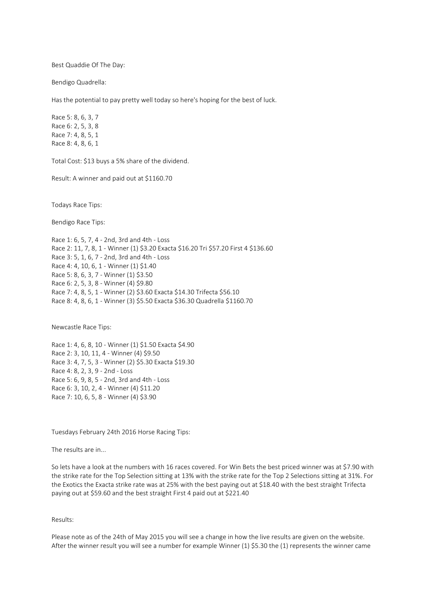Best Quaddie Of The Day:

Bendigo Quadrella:

Has the potential to pay pretty well today so here's hoping for the best of luck.

Race 5: 8, 6, 3, 7 Race 6: 2, 5, 3, 8 Race 7: 4, 8, 5, 1 Race 8: 4, 8, 6, 1

Total Cost: \$13 buys a 5% share of the dividend.

Result: A winner and paid out at \$1160.70

Todays Race Tips:

Bendigo Race Tips:

Race 1: 6, 5, 7, 4 - 2nd, 3rd and 4th - Loss Race 2: 11, 7, 8, 1 - Winner (1) \$3.20 Exacta \$16.20 Tri \$57.20 First 4 \$136.60 Race 3: 5, 1, 6, 7 - 2nd, 3rd and 4th - Loss Race 4: 4, 10, 6, 1 - Winner (1) \$1.40 Race 5: 8, 6, 3, 7 - Winner (1) \$3.50 Race 6: 2, 5, 3, 8 - Winner (4) \$9.80 Race 7: 4, 8, 5, 1 - Winner (2) \$3.60 Exacta \$14.30 Trifecta \$56.10 Race 8: 4, 8, 6, 1 - Winner (3) \$5.50 Exacta \$36.30 Quadrella \$1160.70

Newcastle Race Tips:

Race 1: 4, 6, 8, 10 - Winner (1) \$1.50 Exacta \$4.90 Race 2: 3, 10, 11, 4 - Winner (4) \$9.50 Race 3: 4, 7, 5, 3 - Winner (2) \$5.30 Exacta \$19.30 Race 4: 8, 2, 3, 9 - 2nd - Loss Race 5: 6, 9, 8, 5 - 2nd, 3rd and 4th - Loss Race 6: 3, 10, 2, 4 - Winner (4) \$11.20 Race 7: 10, 6, 5, 8 - Winner (4) \$3.90

Tuesdays February 24th 2016 Horse Racing Tips:

The results are in...

So lets have a look at the numbers with 16 races covered. For Win Bets the best priced winner was at \$7.90 with the strike rate for the Top Selection sitting at 13% with the strike rate for the Top 2 Selections sitting at 31%. For the Exotics the Exacta strike rate was at 25% with the best paying out at \$18.40 with the best straight Trifecta paying out at \$59.60 and the best straight First 4 paid out at \$221.40

Results:

Please note as of the 24th of May 2015 you will see a change in how the live results are given on the website. After the winner result you will see a number for example Winner (1) \$5.30 the (1) represents the winner came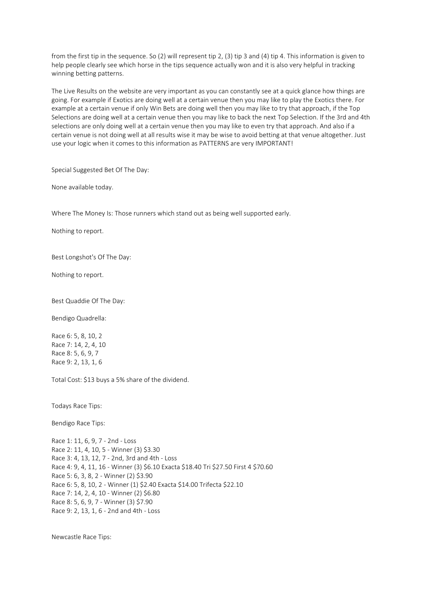from the first tip in the sequence. So (2) will represent tip 2, (3) tip 3 and (4) tip 4. This information is given to help people clearly see which horse in the tips sequence actually won and it is also very helpful in tracking winning betting patterns.

The Live Results on the website are very important as you can constantly see at a quick glance how things are going. For example if Exotics are doing well at a certain venue then you may like to play the Exotics there. For example at a certain venue if only Win Bets are doing well then you may like to try that approach, if the Top Selections are doing well at a certain venue then you may like to back the next Top Selection. If the 3rd and 4th selections are only doing well at a certain venue then you may like to even try that approach. And also if a certain venue is not doing well at all results wise it may be wise to avoid betting at that venue altogether. Just use your logic when it comes to this information as PATTERNS are very IMPORTANT!

Special Suggested Bet Of The Day:

None available today.

Where The Money Is: Those runners which stand out as being well supported early.

Nothing to report.

Best Longshot's Of The Day:

Nothing to report.

Best Quaddie Of The Day:

Bendigo Quadrella:

Race 6: 5, 8, 10, 2 Race 7: 14, 2, 4, 10 Race 8: 5, 6, 9, 7 Race 9: 2, 13, 1, 6

Total Cost: \$13 buys a 5% share of the dividend.

Todays Race Tips:

Bendigo Race Tips:

Race 1: 11, 6, 9, 7 - 2nd - Loss Race 2: 11, 4, 10, 5 - Winner (3) \$3.30 Race 3: 4, 13, 12, 7 - 2nd, 3rd and 4th - Loss Race 4: 9, 4, 11, 16 - Winner (3) \$6.10 Exacta \$18.40 Tri \$27.50 First 4 \$70.60 Race 5: 6, 3, 8, 2 - Winner (2) \$3.90 Race 6: 5, 8, 10, 2 - Winner (1) \$2.40 Exacta \$14.00 Trifecta \$22.10 Race 7: 14, 2, 4, 10 - Winner (2) \$6.80 Race 8: 5, 6, 9, 7 - Winner (3) \$7.90 Race 9: 2, 13, 1, 6 - 2nd and 4th - Loss

Newcastle Race Tips: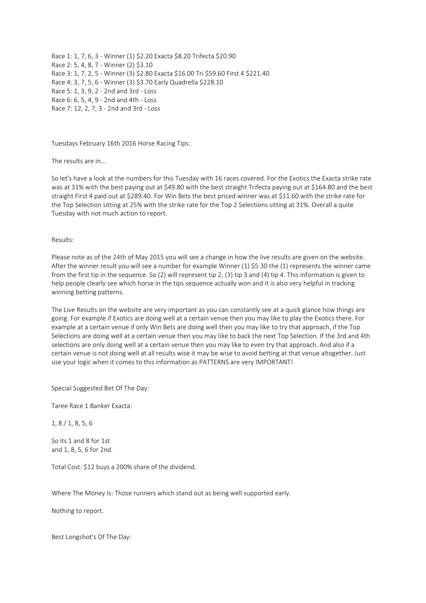Race 1: 1, 7, 6, 3 - Winner (1) \$2.20 Exacta \$8.20 Trifecta \$20.90 Race 2: 5, 4, 8, 7 - Winner (2) \$3.10 Race 3: 1, 7, 2, 5 - Winner (3) \$2.80 Exacta \$16.00 Tri \$59.60 First 4 \$221.40 Race 4: 3, 7, 5, 6 - Winner (3) \$3.70 Early Quadrella \$228.10 Race 5: 1, 3, 9, 2 - 2nd and 3rd - Loss Race 6: 6, 5, 4, 9 - 2nd and 4th - Loss Race 7: 12, 2, 7, 3 - 2nd and 3rd - Loss

Tuesdays February 16th 2016 Horse Racing Tips:

The results are in...

So let's have a look at the numbers for this Tuesday with 16 races covered. For the Exotics the Exacta strike rate was at 31% with the best paying out at \$49.80 with the best straight Trifecta paying out at \$164.80 and the best straight First 4 paid out at \$289.40. For Win Bets the best priced winner was at \$11.60 with the strike rate for the Top Selection sitting at 25% with the strike rate for the Top 2 Selections sitting at 31%. Overall a quite Tuesday with not much action to report.

### Results:

Please note as of the 24th of May 2015 you will see a change in how the live results are given on the website. After the winner result you will see a number for example Winner (1) \$5.30 the (1) represents the winner came from the first tip in the sequence. So (2) will represent tip 2, (3) tip 3 and (4) tip 4. This information is given to help people clearly see which horse in the tips sequence actually won and it is also very helpful in tracking winning betting patterns.

The Live Results on the website are very important as you can constantly see at a quick glance how things are going. For example if Exotics are doing well at a certain venue then you may like to play the Exotics there. For example at a certain venue if only Win Bets are doing well then you may like to try that approach, if the Top Selections are doing well at a certain venue then you may like to back the next Top Selection. If the 3rd and 4th selections are only doing well at a certain venue then you may like to even try that approach. And also if a certain venue is not doing well at all results wise it may be wise to avoid betting at that venue altogether. Just use your logic when it comes to this information as PATTERNS are very IMPORTANT!

Special Suggested Bet Of The Day:

Taree Race 1 Banker Exacta:

1, 8 / 1, 8, 5, 6

So its 1 and 8 for 1st and 1, 8, 5, 6 for 2nd.

Total Cost: \$12 buys a 200% share of the dividend.

Where The Money Is: Those runners which stand out as being well supported early.

Nothing to report.

Best Longshot's Of The Day: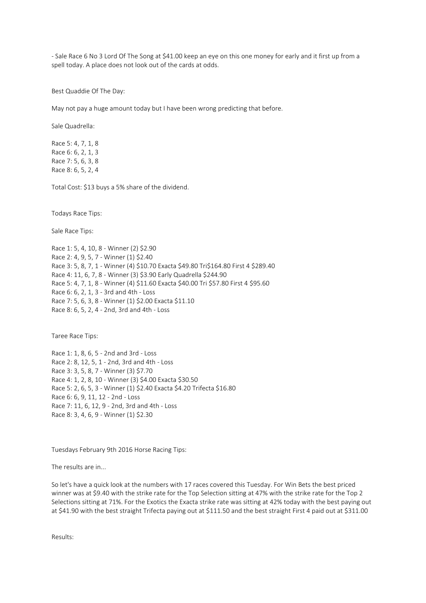- Sale Race 6 No 3 Lord Of The Song at \$41.00 keep an eye on this one money for early and it first up from a spell today. A place does not look out of the cards at odds.

Best Quaddie Of The Day:

May not pay a huge amount today but I have been wrong predicting that before.

Sale Quadrella:

Race 5: 4, 7, 1, 8 Race 6: 6, 2, 1, 3 Race 7: 5, 6, 3, 8 Race 8: 6, 5, 2, 4

Total Cost: \$13 buys a 5% share of the dividend.

Todays Race Tips:

Sale Race Tips:

Race 1: 5, 4, 10, 8 - Winner (2) \$2.90 Race 2: 4, 9, 5, 7 - Winner (1) \$2.40 Race 3: 5, 8, 7, 1 - Winner (4) \$10.70 Exacta \$49.80 Tri\$164.80 First 4 \$289.40 Race 4: 11, 6, 7, 8 - Winner (3) \$3.90 Early Quadrella \$244.90 Race 5: 4, 7, 1, 8 - Winner (4) \$11.60 Exacta \$40.00 Tri \$57.80 First 4 \$95.60 Race 6: 6, 2, 1, 3 - 3rd and 4th - Loss Race 7: 5, 6, 3, 8 - Winner (1) \$2.00 Exacta \$11.10 Race 8: 6, 5, 2, 4 - 2nd, 3rd and 4th - Loss

Taree Race Tips:

Race 1: 1, 8, 6, 5 - 2nd and 3rd - Loss Race 2: 8, 12, 5, 1 - 2nd, 3rd and 4th - Loss Race 3: 3, 5, 8, 7 - Winner (3) \$7.70 Race 4: 1, 2, 8, 10 - Winner (3) \$4.00 Exacta \$30.50 Race 5: 2, 6, 5, 3 - Winner (1) \$2.40 Exacta \$4.20 Trifecta \$16.80 Race 6: 6, 9, 11, 12 - 2nd - Loss Race 7: 11, 6, 12, 9 - 2nd, 3rd and 4th - Loss Race 8: 3, 4, 6, 9 - Winner (1) \$2.30

Tuesdays February 9th 2016 Horse Racing Tips:

The results are in...

So let's have a quick look at the numbers with 17 races covered this Tuesday. For Win Bets the best priced winner was at \$9.40 with the strike rate for the Top Selection sitting at 47% with the strike rate for the Top 2 Selections sitting at 71%. For the Exotics the Exacta strike rate was sitting at 42% today with the best paying out at \$41.90 with the best straight Trifecta paying out at \$111.50 and the best straight First 4 paid out at \$311.00

Results: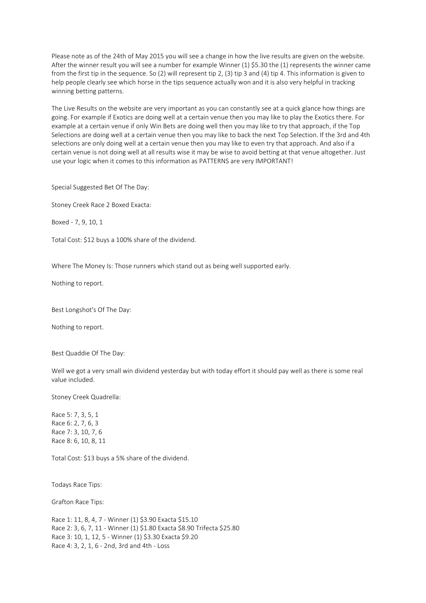Please note as of the 24th of May 2015 you will see a change in how the live results are given on the website. After the winner result you will see a number for example Winner (1) \$5.30 the (1) represents the winner came from the first tip in the sequence. So (2) will represent tip 2, (3) tip 3 and (4) tip 4. This information is given to help people clearly see which horse in the tips sequence actually won and it is also very helpful in tracking winning betting patterns.

The Live Results on the website are very important as you can constantly see at a quick glance how things are going. For example if Exotics are doing well at a certain venue then you may like to play the Exotics there. For example at a certain venue if only Win Bets are doing well then you may like to try that approach, if the Top Selections are doing well at a certain venue then you may like to back the next Top Selection. If the 3rd and 4th selections are only doing well at a certain venue then you may like to even try that approach. And also if a certain venue is not doing well at all results wise it may be wise to avoid betting at that venue altogether. Just use your logic when it comes to this information as PATTERNS are very IMPORTANT!

Special Suggested Bet Of The Day:

Stoney Creek Race 2 Boxed Exacta:

Boxed - 7, 9, 10, 1

Total Cost: \$12 buys a 100% share of the dividend.

Where The Money Is: Those runners which stand out as being well supported early.

Nothing to report.

Best Longshot's Of The Day:

Nothing to report.

Best Quaddie Of The Day:

Well we got a very small win dividend yesterday but with today effort it should pay well as there is some real value included.

Stoney Creek Quadrella:

Race 5: 7, 3, 5, 1 Race 6: 2, 7, 6, 3 Race 7: 3, 10, 7, 6 Race 8: 6, 10, 8, 11

Total Cost: \$13 buys a 5% share of the dividend.

Todays Race Tips:

Grafton Race Tips:

Race 1: 11, 8, 4, 7 - Winner (1) \$3.90 Exacta \$15.10 Race 2: 3, 6, 7, 11 - Winner (1) \$1.80 Exacta \$8.90 Trifecta \$25.80 Race 3: 10, 1, 12, 5 - Winner (1) \$3.30 Exacta \$9.20 Race 4: 3, 2, 1, 6 - 2nd, 3rd and 4th - Loss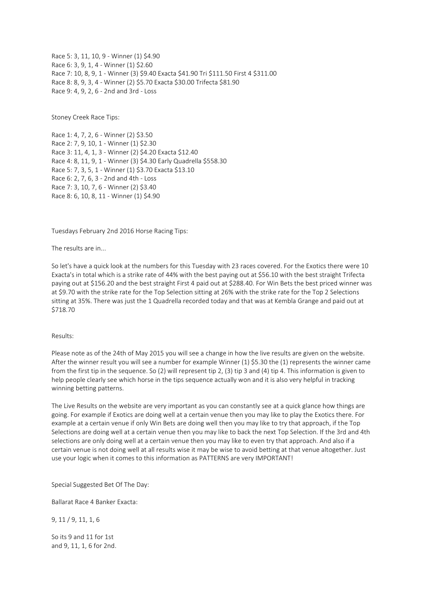Race 5: 3, 11, 10, 9 - Winner (1) \$4.90 Race 6: 3, 9, 1, 4 - Winner (1) \$2.60 Race 7: 10, 8, 9, 1 - Winner (3) \$9.40 Exacta \$41.90 Tri \$111.50 First 4 \$311.00 Race 8: 8, 9, 3, 4 - Winner (2) \$5.70 Exacta \$30.00 Trifecta \$81.90 Race 9: 4, 9, 2, 6 - 2nd and 3rd - Loss

Stoney Creek Race Tips:

Race 1: 4, 7, 2, 6 - Winner (2) \$3.50 Race 2: 7, 9, 10, 1 - Winner (1) \$2.30 Race 3: 11, 4, 1, 3 - Winner (2) \$4.20 Exacta \$12.40 Race 4: 8, 11, 9, 1 - Winner (3) \$4.30 Early Quadrella \$558.30 Race 5: 7, 3, 5, 1 - Winner (1) \$3.70 Exacta \$13.10 Race 6: 2, 7, 6, 3 - 2nd and 4th - Loss Race 7: 3, 10, 7, 6 - Winner (2) \$3.40 Race 8: 6, 10, 8, 11 - Winner (1) \$4.90

Tuesdays February 2nd 2016 Horse Racing Tips:

The results are in...

So let's have a quick look at the numbers for this Tuesday with 23 races covered. For the Exotics there were 10 Exacta's in total which is a strike rate of 44% with the best paying out at \$56.10 with the best straight Trifecta paying out at \$156.20 and the best straight First 4 paid out at \$288.40. For Win Bets the best priced winner was at \$9.70 with the strike rate for the Top Selection sitting at 26% with the strike rate for the Top 2 Selections sitting at 35%. There was just the 1 Quadrella recorded today and that was at Kembla Grange and paid out at \$718.70

#### Results:

Please note as of the 24th of May 2015 you will see a change in how the live results are given on the website. After the winner result you will see a number for example Winner (1) \$5.30 the (1) represents the winner came from the first tip in the sequence. So (2) will represent tip 2, (3) tip 3 and (4) tip 4. This information is given to help people clearly see which horse in the tips sequence actually won and it is also very helpful in tracking winning betting patterns.

The Live Results on the website are very important as you can constantly see at a quick glance how things are going. For example if Exotics are doing well at a certain venue then you may like to play the Exotics there. For example at a certain venue if only Win Bets are doing well then you may like to try that approach, if the Top Selections are doing well at a certain venue then you may like to back the next Top Selection. If the 3rd and 4th selections are only doing well at a certain venue then you may like to even try that approach. And also if a certain venue is not doing well at all results wise it may be wise to avoid betting at that venue altogether. Just use your logic when it comes to this information as PATTERNS are very IMPORTANT!

Special Suggested Bet Of The Day:

Ballarat Race 4 Banker Exacta:

9, 11 / 9, 11, 1, 6

So its 9 and 11 for 1st and 9, 11, 1, 6 for 2nd.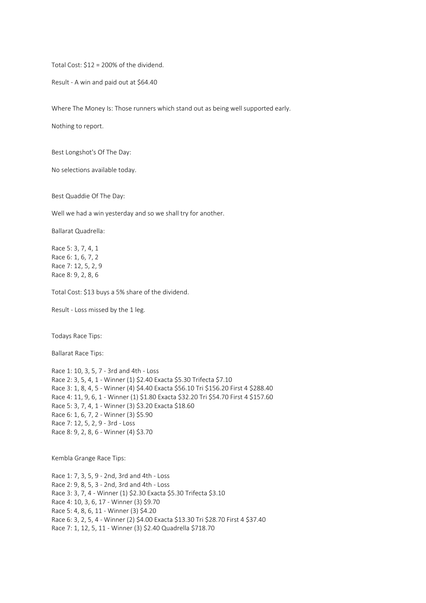Total Cost: \$12 = 200% of the dividend.

Result - A win and paid out at \$64.40

Where The Money Is: Those runners which stand out as being well supported early.

Nothing to report.

Best Longshot's Of The Day:

No selections available today.

Best Quaddie Of The Day:

Well we had a win yesterday and so we shall try for another.

Ballarat Quadrella:

Race 5: 3, 7, 4, 1 Race 6: 1, 6, 7, 2 Race 7: 12, 5, 2, 9 Race 8: 9, 2, 8, 6

Total Cost: \$13 buys a 5% share of the dividend.

Result - Loss missed by the 1 leg.

Todays Race Tips:

Ballarat Race Tips:

Race 1: 10, 3, 5, 7 - 3rd and 4th - Loss Race 2: 3, 5, 4, 1 - Winner (1) \$2.40 Exacta \$5.30 Trifecta \$7.10 Race 3: 1, 8, 4, 5 - Winner (4) \$4.40 Exacta \$56.10 Tri \$156.20 First 4 \$288.40 Race 4: 11, 9, 6, 1 - Winner (1) \$1.80 Exacta \$32.20 Tri \$54.70 First 4 \$157.60 Race 5: 3, 7, 4, 1 - Winner (3) \$3.20 Exacta \$18.60 Race 6: 1, 6, 7, 2 - Winner (3) \$5.90 Race 7: 12, 5, 2, 9 - 3rd - Loss Race 8: 9, 2, 8, 6 - Winner (4) \$3.70

Kembla Grange Race Tips:

Race 1: 7, 3, 5, 9 - 2nd, 3rd and 4th - Loss Race 2: 9, 8, 5, 3 - 2nd, 3rd and 4th - Loss Race 3: 3, 7, 4 - Winner (1) \$2.30 Exacta \$5.30 Trifecta \$3.10 Race 4: 10, 3, 6, 17 - Winner (3) \$9.70 Race 5: 4, 8, 6, 11 - Winner (3) \$4.20 Race 6: 3, 2, 5, 4 - Winner (2) \$4.00 Exacta \$13.30 Tri \$28.70 First 4 \$37.40 Race 7: 1, 12, 5, 11 - Winner (3) \$2.40 Quadrella \$718.70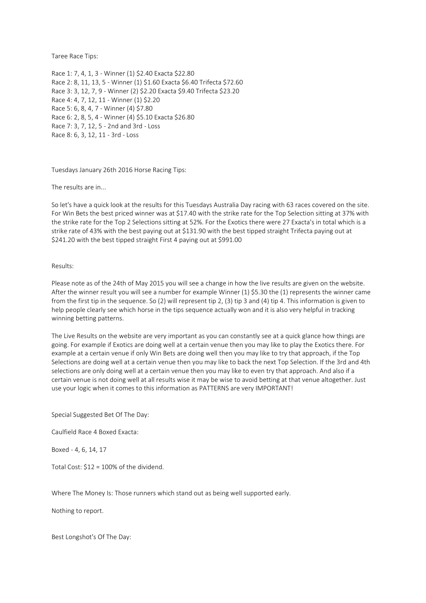Taree Race Tips:

Race 1: 7, 4, 1, 3 - Winner (1) \$2.40 Exacta \$22.80 Race 2: 8, 11, 13, 5 - Winner (1) \$1.60 Exacta \$6.40 Trifecta \$72.60 Race 3: 3, 12, 7, 9 - Winner (2) \$2.20 Exacta \$9.40 Trifecta \$23.20 Race 4: 4, 7, 12, 11 - Winner (1) \$2.20 Race 5: 6, 8, 4, 7 - Winner (4) \$7.80 Race 6: 2, 8, 5, 4 - Winner (4) \$5.10 Exacta \$26.80 Race 7: 3, 7, 12, 5 - 2nd and 3rd - Loss Race 8: 6, 3, 12, 11 - 3rd - Loss

Tuesdays January 26th 2016 Horse Racing Tips:

The results are in...

So let's have a quick look at the results for this Tuesdays Australia Day racing with 63 races covered on the site. For Win Bets the best priced winner was at \$17.40 with the strike rate for the Top Selection sitting at 37% with the strike rate for the Top 2 Selections sitting at 52%. For the Exotics there were 27 Exacta's in total which is a strike rate of 43% with the best paying out at \$131.90 with the best tipped straight Trifecta paying out at \$241.20 with the best tipped straight First 4 paying out at \$991.00

Results:

Please note as of the 24th of May 2015 you will see a change in how the live results are given on the website. After the winner result you will see a number for example Winner (1) \$5.30 the (1) represents the winner came from the first tip in the sequence. So (2) will represent tip 2, (3) tip 3 and (4) tip 4. This information is given to help people clearly see which horse in the tips sequence actually won and it is also very helpful in tracking winning betting patterns.

The Live Results on the website are very important as you can constantly see at a quick glance how things are going. For example if Exotics are doing well at a certain venue then you may like to play the Exotics there. For example at a certain venue if only Win Bets are doing well then you may like to try that approach, if the Top Selections are doing well at a certain venue then you may like to back the next Top Selection. If the 3rd and 4th selections are only doing well at a certain venue then you may like to even try that approach. And also if a certain venue is not doing well at all results wise it may be wise to avoid betting at that venue altogether. Just use your logic when it comes to this information as PATTERNS are very IMPORTANT!

Special Suggested Bet Of The Day:

Caulfield Race 4 Boxed Exacta:

Boxed - 4, 6, 14, 17

Total Cost: \$12 = 100% of the dividend.

Where The Money Is: Those runners which stand out as being well supported early.

Nothing to report.

Best Longshot's Of The Day: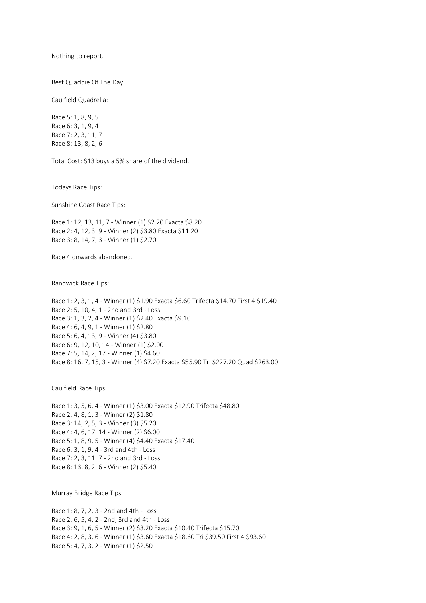Nothing to report.

Best Quaddie Of The Day:

Caulfield Quadrella:

Race 5: 1, 8, 9, 5 Race 6: 3, 1, 9, 4 Race 7: 2, 3, 11, 7 Race 8: 13, 8, 2, 6

Total Cost: \$13 buys a 5% share of the dividend.

Todays Race Tips:

Sunshine Coast Race Tips:

Race 1: 12, 13, 11, 7 - Winner (1) \$2.20 Exacta \$8.20 Race 2: 4, 12, 3, 9 - Winner (2) \$3.80 Exacta \$11.20 Race 3: 8, 14, 7, 3 - Winner (1) \$2.70

Race 4 onwards abandoned.

Randwick Race Tips:

Race 1: 2, 3, 1, 4 - Winner (1) \$1.90 Exacta \$6.60 Trifecta \$14.70 First 4 \$19.40 Race 2: 5, 10, 4, 1 - 2nd and 3rd - Loss Race 3: 1, 3, 2, 4 - Winner (1) \$2.40 Exacta \$9.10 Race 4: 6, 4, 9, 1 - Winner (1) \$2.80 Race 5: 6, 4, 13, 9 - Winner (4) \$3.80 Race 6: 9, 12, 10, 14 - Winner (1) \$2.00 Race 7: 5, 14, 2, 17 - Winner (1) \$4.60 Race 8: 16, 7, 15, 3 - Winner (4) \$7.20 Exacta \$55.90 Tri \$227.20 Quad \$263.00

Caulfield Race Tips:

Race 1: 3, 5, 6, 4 - Winner (1) \$3.00 Exacta \$12.90 Trifecta \$48.80 Race 2: 4, 8, 1, 3 - Winner (2) \$1.80 Race 3: 14, 2, 5, 3 - Winner (3) \$5.20 Race 4: 4, 6, 17, 14 - Winner (2) \$6.00 Race 5: 1, 8, 9, 5 - Winner (4) \$4.40 Exacta \$17.40 Race 6: 3, 1, 9, 4 - 3rd and 4th - Loss Race 7: 2, 3, 11, 7 - 2nd and 3rd - Loss Race 8: 13, 8, 2, 6 - Winner (2) \$5.40

Murray Bridge Race Tips:

Race 1: 8, 7, 2, 3 - 2nd and 4th - Loss Race 2: 6, 5, 4, 2 - 2nd, 3rd and 4th - Loss Race 3: 9, 1, 6, 5 - Winner (2) \$3.20 Exacta \$10.40 Trifecta \$15.70 Race 4: 2, 8, 3, 6 - Winner (1) \$3.60 Exacta \$18.60 Tri \$39.50 First 4 \$93.60 Race 5: 4, 7, 3, 2 - Winner (1) \$2.50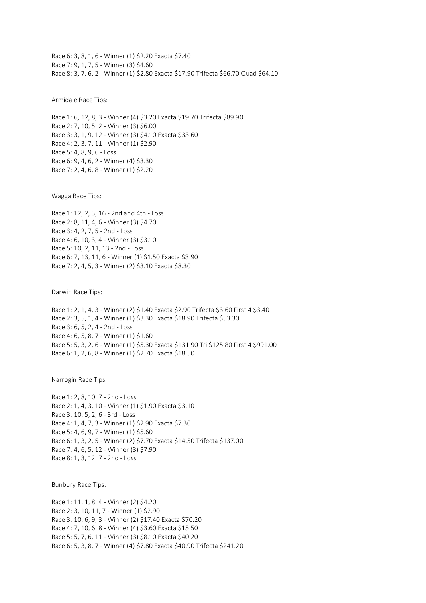Race 6: 3, 8, 1, 6 - Winner (1) \$2.20 Exacta \$7.40 Race 7: 9, 1, 7, 5 - Winner (3) \$4.60 Race 8: 3, 7, 6, 2 - Winner (1) \$2.80 Exacta \$17.90 Trifecta \$66.70 Quad \$64.10

Armidale Race Tips:

Race 1: 6, 12, 8, 3 - Winner (4) \$3.20 Exacta \$19.70 Trifecta \$89.90 Race 2: 7, 10, 5, 2 - Winner (3) \$6.00 Race 3: 3, 1, 9, 12 - Winner (3) \$4.10 Exacta \$33.60 Race 4: 2, 3, 7, 11 - Winner (1) \$2.90 Race 5: 4, 8, 9, 6 - Loss Race 6: 9, 4, 6, 2 - Winner (4) \$3.30 Race 7: 2, 4, 6, 8 - Winner (1) \$2.20

Wagga Race Tips:

Race 1: 12, 2, 3, 16 - 2nd and 4th - Loss Race 2: 8, 11, 4, 6 - Winner (3) \$4.70 Race 3: 4, 2, 7, 5 - 2nd - Loss Race 4: 6, 10, 3, 4 - Winner (3) \$3.10 Race 5: 10, 2, 11, 13 - 2nd - Loss Race 6: 7, 13, 11, 6 - Winner (1) \$1.50 Exacta \$3.90 Race 7: 2, 4, 5, 3 - Winner (2) \$3.10 Exacta \$8.30

Darwin Race Tips:

Race 1: 2, 1, 4, 3 - Winner (2) \$1.40 Exacta \$2.90 Trifecta \$3.60 First 4 \$3.40 Race 2: 3, 5, 1, 4 - Winner (1) \$3.30 Exacta \$18.90 Trifecta \$53.30 Race 3: 6, 5, 2, 4 - 2nd - Loss Race 4: 6, 5, 8, 7 - Winner (1) \$1.60 Race 5: 5, 3, 2, 6 - Winner (1) \$5.30 Exacta \$131.90 Tri \$125.80 First 4 \$991.00 Race 6: 1, 2, 6, 8 - Winner (1) \$2.70 Exacta \$18.50

Narrogin Race Tips:

Race 1: 2, 8, 10, 7 - 2nd - Loss Race 2: 1, 4, 3, 10 - Winner (1) \$1.90 Exacta \$3.10 Race 3: 10, 5, 2, 6 - 3rd - Loss Race 4: 1, 4, 7, 3 - Winner (1) \$2.90 Exacta \$7.30 Race 5: 4, 6, 9, 7 - Winner (1) \$5.60 Race 6: 1, 3, 2, 5 - Winner (2) \$7.70 Exacta \$14.50 Trifecta \$137.00 Race 7: 4, 6, 5, 12 - Winner (3) \$7.90 Race 8: 1, 3, 12, 7 - 2nd - Loss

Bunbury Race Tips:

Race 1: 11, 1, 8, 4 - Winner (2) \$4.20 Race 2: 3, 10, 11, 7 - Winner (1) \$2.90 Race 3: 10, 6, 9, 3 - Winner (2) \$17.40 Exacta \$70.20 Race 4: 7, 10, 6, 8 - Winner (4) \$3.60 Exacta \$15.50 Race 5: 5, 7, 6, 11 - Winner (3) \$8.10 Exacta \$40.20 Race 6: 5, 3, 8, 7 - Winner (4) \$7.80 Exacta \$40.90 Trifecta \$241.20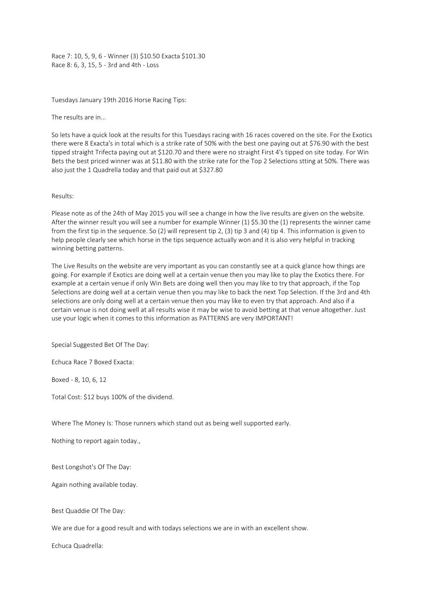Race 7: 10, 5, 9, 6 - Winner (3) \$10.50 Exacta \$101.30 Race 8: 6, 3, 15, 5 - 3rd and 4th - Loss

Tuesdays January 19th 2016 Horse Racing Tips:

The results are in...

So lets have a quick look at the results for this Tuesdays racing with 16 races covered on the site. For the Exotics there were 8 Exacta's in total which is a strike rate of 50% with the best one paying out at \$76.90 with the best tipped straight Trifecta paying out at \$120.70 and there were no straight First 4's tipped on site today. For Win Bets the best priced winner was at \$11.80 with the strike rate for the Top 2 Selections stting at 50%. There was also just the 1 Quadrella today and that paid out at \$327.80

#### Results:

Please note as of the 24th of May 2015 you will see a change in how the live results are given on the website. After the winner result you will see a number for example Winner (1) \$5.30 the (1) represents the winner came from the first tip in the sequence. So (2) will represent tip 2, (3) tip 3 and (4) tip 4. This information is given to help people clearly see which horse in the tips sequence actually won and it is also very helpful in tracking winning betting patterns.

The Live Results on the website are very important as you can constantly see at a quick glance how things are going. For example if Exotics are doing well at a certain venue then you may like to play the Exotics there. For example at a certain venue if only Win Bets are doing well then you may like to try that approach, if the Top Selections are doing well at a certain venue then you may like to back the next Top Selection. If the 3rd and 4th selections are only doing well at a certain venue then you may like to even try that approach. And also if a certain venue is not doing well at all results wise it may be wise to avoid betting at that venue altogether. Just use your logic when it comes to this information as PATTERNS are very IMPORTANT!

Special Suggested Bet Of The Day:

Echuca Race 7 Boxed Exacta:

Boxed - 8, 10, 6, 12

Total Cost: \$12 buys 100% of the dividend.

Where The Money Is: Those runners which stand out as being well supported early.

Nothing to report again today.,

Best Longshot's Of The Day:

Again nothing available today.

Best Quaddie Of The Day:

We are due for a good result and with todays selections we are in with an excellent show.

Echuca Quadrella: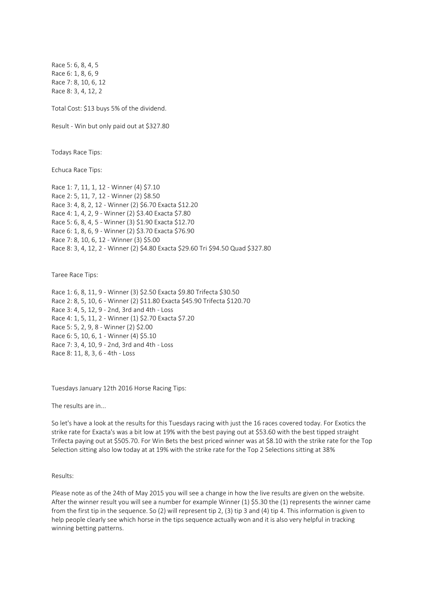Race 5: 6, 8, 4, 5 Race 6: 1, 8, 6, 9 Race 7: 8, 10, 6, 12 Race 8: 3, 4, 12, 2

Total Cost: \$13 buys 5% of the dividend.

Result - Win but only paid out at \$327.80

Todays Race Tips:

Echuca Race Tips:

Race 1: 7, 11, 1, 12 - Winner (4) \$7.10 Race 2: 5, 11, 7, 12 - Winner (2) \$8.50 Race 3: 4, 8, 2, 12 - Winner (2) \$6.70 Exacta \$12.20 Race 4: 1, 4, 2, 9 - Winner (2) \$3.40 Exacta \$7.80 Race 5: 6, 8, 4, 5 - Winner (3) \$1.90 Exacta \$12.70 Race 6: 1, 8, 6, 9 - Winner (2) \$3.70 Exacta \$76.90 Race 7: 8, 10, 6, 12 - Winner (3) \$5.00 Race 8: 3, 4, 12, 2 - Winner (2) \$4.80 Exacta \$29.60 Tri \$94.50 Quad \$327.80

Taree Race Tips:

Race 1: 6, 8, 11, 9 - Winner (3) \$2.50 Exacta \$9.80 Trifecta \$30.50 Race 2: 8, 5, 10, 6 - Winner (2) \$11.80 Exacta \$45.90 Trifecta \$120.70 Race 3: 4, 5, 12, 9 - 2nd, 3rd and 4th - Loss Race 4: 1, 5, 11, 2 - Winner (1) \$2.70 Exacta \$7.20 Race 5: 5, 2, 9, 8 - Winner (2) \$2.00 Race 6: 5, 10, 6, 1 - Winner (4) \$5.10 Race 7: 3, 4, 10, 9 - 2nd, 3rd and 4th - Loss Race 8: 11, 8, 3, 6 - 4th - Loss

Tuesdays January 12th 2016 Horse Racing Tips:

The results are in...

So let's have a look at the results for this Tuesdays racing with just the 16 races covered today. For Exotics the strike rate for Exacta's was a bit low at 19% with the best paying out at \$53.60 with the best tipped straight Trifecta paying out at \$505.70. For Win Bets the best priced winner was at \$8.10 with the strike rate for the Top Selection sitting also low today at at 19% with the strike rate for the Top 2 Selections sitting at 38%

Results:

Please note as of the 24th of May 2015 you will see a change in how the live results are given on the website. After the winner result you will see a number for example Winner (1) \$5.30 the (1) represents the winner came from the first tip in the sequence. So (2) will represent tip 2, (3) tip 3 and (4) tip 4. This information is given to help people clearly see which horse in the tips sequence actually won and it is also very helpful in tracking winning betting patterns.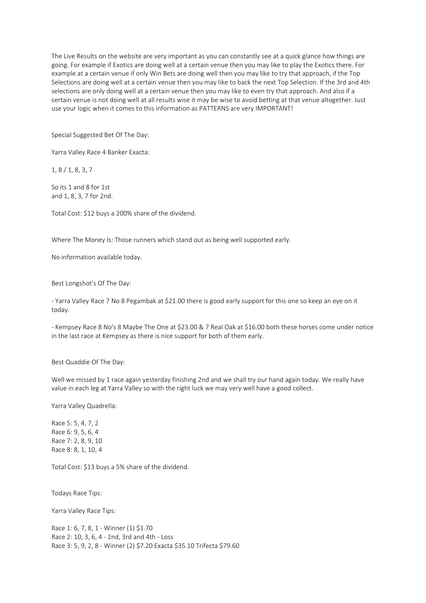The Live Results on the website are very important as you can constantly see at a quick glance how things are going. For example if Exotics are doing well at a certain venue then you may like to play the Exotics there. For example at a certain venue if only Win Bets are doing well then you may like to try that approach, if the Top Selections are doing well at a certain venue then you may like to back the next Top Selection. If the 3rd and 4th selections are only doing well at a certain venue then you may like to even try that approach. And also if a certain venue is not doing well at all results wise it may be wise to avoid betting at that venue altogether. Just use your logic when it comes to this information as PATTERNS are very IMPORTANT!

Special Suggested Bet Of The Day:

Yarra Valley Race 4 Banker Exacta:

1, 8 / 1, 8, 3, 7

So its 1 and 8 for 1st and 1, 8, 3, 7 for 2nd.

Total Cost: \$12 buys a 200% share of the dividend.

Where The Money Is: Those runners which stand out as being well supported early.

No information available today.

Best Longshot's Of The Day:

- Yarra Valley Race 7 No 8 Pegambak at \$21.00 there is good early support for this one so keep an eye on it today.

- Kempsey Race 8 No's 8 Maybe The One at \$23.00 & 7 Real Oak at \$16.00 both these horses come under notice in the last race at Kempsey as there is nice support for both of them early.

Best Quaddie Of The Day:

Well we missed by 1 race again yesterday finishing 2nd and we shall try our hand again today. We really have value in each leg at Yarra Valley so with the right luck we may very well have a good collect.

Yarra Valley Quadrella:

Race 5: 5, 4, 7, 2 Race 6: 9, 5, 6, 4 Race 7: 2, 8, 9, 10 Race 8: 8, 1, 10, 4

Total Cost: \$13 buys a 5% share of the dividend.

Todays Race Tips:

Yarra Valley Race Tips:

Race 1: 6, 7, 8, 1 - Winner (1) \$1.70 Race 2: 10, 3, 6, 4 - 2nd, 3rd and 4th - Loss Race 3: 5, 9, 2, 8 - Winner (2) \$7.20 Exacta \$35.10 Trifecta \$79.60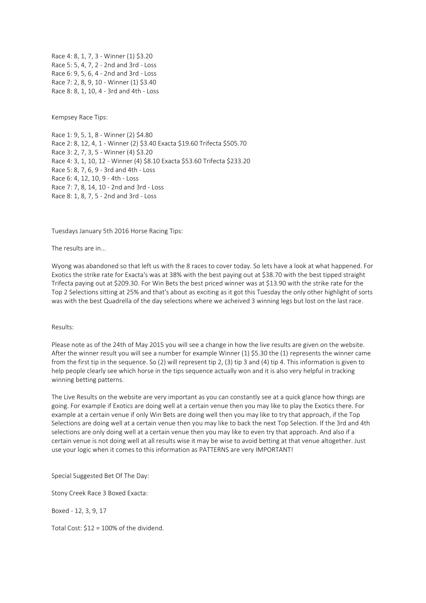Race 4: 8, 1, 7, 3 - Winner (1) \$3.20 Race 5: 5, 4, 7, 2 - 2nd and 3rd - Loss Race 6: 9, 5, 6, 4 - 2nd and 3rd - Loss Race 7: 2, 8, 9, 10 - Winner (1) \$3.40 Race 8: 8, 1, 10, 4 - 3rd and 4th - Loss

Kempsey Race Tips:

Race 1: 9, 5, 1, 8 - Winner (2) \$4.80 Race 2: 8, 12, 4, 1 - Winner (2) \$3.40 Exacta \$19.60 Trifecta \$505.70 Race 3: 2, 7, 3, 5 - Winner (4) \$3.20 Race 4: 3, 1, 10, 12 - Winner (4) \$8.10 Exacta \$53.60 Trifecta \$233.20 Race 5: 8, 7, 6, 9 - 3rd and 4th - Loss Race 6: 4, 12, 10, 9 - 4th - Loss Race 7: 7, 8, 14, 10 - 2nd and 3rd - Loss Race 8: 1, 8, 7, 5 - 2nd and 3rd - Loss

Tuesdays January 5th 2016 Horse Racing Tips:

The results are in...

Wyong was abandoned so that left us with the 8 races to cover today. So lets have a look at what happened. For Exotics the strike rate for Exacta's was at 38% with the best paying out at \$38.70 with the best tipped straight Trifecta paying out at \$209.30. For Win Bets the best priced winner was at \$13.90 with the strike rate for the Top 2 Selections sitting at 25% and that's about as exciting as it got this Tuesday the only other highlight of sorts was with the best Quadrella of the day selections where we acheived 3 winning legs but lost on the last race.

#### Results:

Please note as of the 24th of May 2015 you will see a change in how the live results are given on the website. After the winner result you will see a number for example Winner (1) \$5.30 the (1) represents the winner came from the first tip in the sequence. So (2) will represent tip 2, (3) tip 3 and (4) tip 4. This information is given to help people clearly see which horse in the tips sequence actually won and it is also very helpful in tracking winning betting patterns.

The Live Results on the website are very important as you can constantly see at a quick glance how things are going. For example if Exotics are doing well at a certain venue then you may like to play the Exotics there. For example at a certain venue if only Win Bets are doing well then you may like to try that approach, if the Top Selections are doing well at a certain venue then you may like to back the next Top Selection. If the 3rd and 4th selections are only doing well at a certain venue then you may like to even try that approach. And also if a certain venue is not doing well at all results wise it may be wise to avoid betting at that venue altogether. Just use your logic when it comes to this information as PATTERNS are very IMPORTANT!

Special Suggested Bet Of The Day:

Stony Creek Race 3 Boxed Exacta:

Boxed - 12, 3, 9, 17

Total Cost: \$12 = 100% of the dividend.